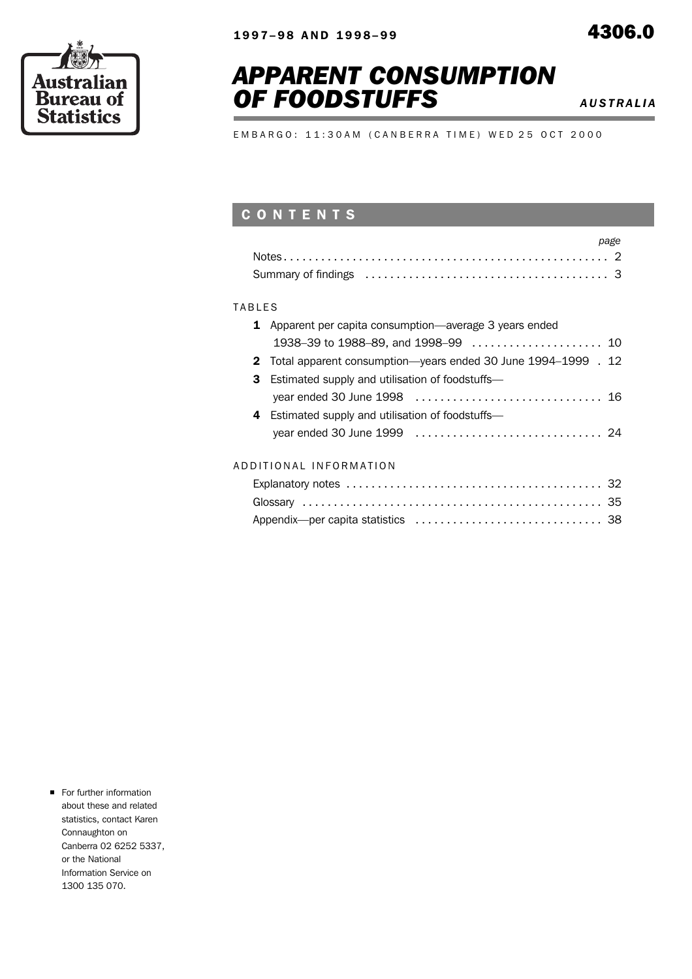## *APPARENT CONSUMPTION* **OF FOODSTUFFS** AUSTRALIA

۰

E M B A R G O : 11:30 A M ( C A N B E R R A T I M E ) W E D 25 O C T 2000

### C O N T E N T S

| page |
|------|
|      |
|      |

### **TABLES**

| <b>1</b> Apparent per capita consumption—average 3 years ended  |  |
|-----------------------------------------------------------------|--|
|                                                                 |  |
| 2 Total apparent consumption-years ended 30 June 1994-1999 . 12 |  |
| <b>3</b> Estimated supply and utilisation of foodstuffs—        |  |
|                                                                 |  |
| 4 Estimated supply and utilisation of foodstuffs-               |  |
|                                                                 |  |
|                                                                 |  |
| ADDITIONAL INFORMATION                                          |  |
|                                                                 |  |

|  | ADDIIIUNAL INI UNWAIIUN |  |
|--|-------------------------|--|
|  |                         |  |

**For further information** about these and related statistics, contact Karen Connaughton on Canberra 02 6252 5337, or the National Information Service on 1300 135 070.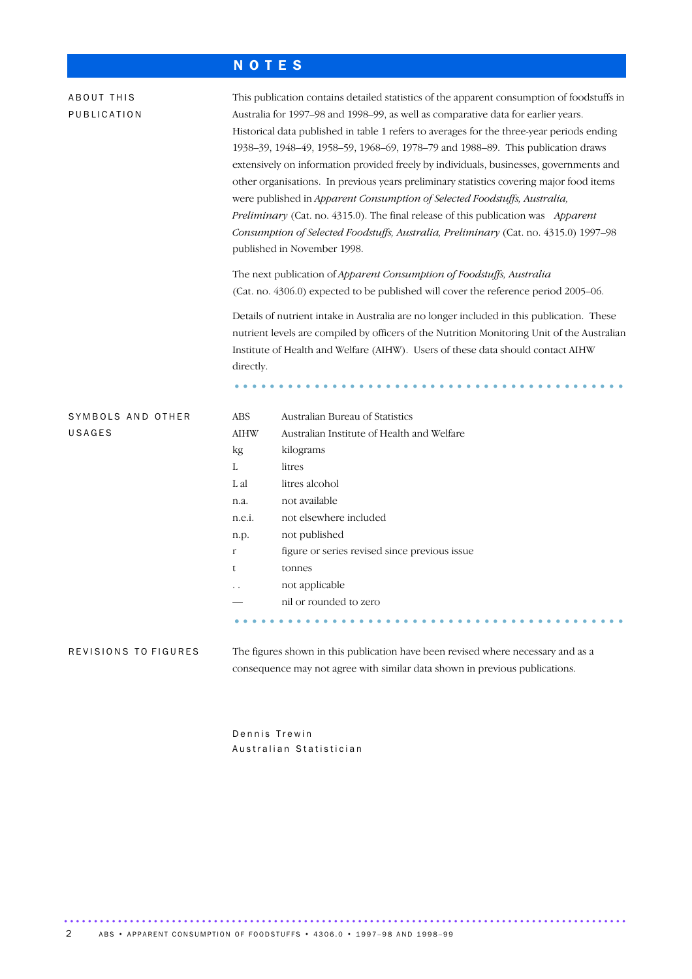### N O T E S

| ABOUT THIS<br>PUBLICATION   | directly.                 | This publication contains detailed statistics of the apparent consumption of foodstuffs in<br>Australia for 1997-98 and 1998-99, as well as comparative data for earlier years.<br>Historical data published in table 1 refers to averages for the three-year periods ending<br>1938-39, 1948-49, 1958-59, 1968-69, 1978-79 and 1988-89. This publication draws<br>extensively on information provided freely by individuals, businesses, governments and<br>other organisations. In previous years preliminary statistics covering major food items<br>were published in Apparent Consumption of Selected Foodstuffs, Australia,<br>Preliminary (Cat. no. 4315.0). The final release of this publication was Apparent<br>Consumption of Selected Foodstuffs, Australia, Preliminary (Cat. no. 4315.0) 1997-98<br>published in November 1998.<br>The next publication of Apparent Consumption of Foodstuffs, Australia<br>(Cat. no. 4306.0) expected to be published will cover the reference period 2005-06.<br>Details of nutrient intake in Australia are no longer included in this publication. These<br>nutrient levels are compiled by officers of the Nutrition Monitoring Unit of the Australian<br>Institute of Health and Welfare (AIHW). Users of these data should contact AIHW |
|-----------------------------|---------------------------|----------------------------------------------------------------------------------------------------------------------------------------------------------------------------------------------------------------------------------------------------------------------------------------------------------------------------------------------------------------------------------------------------------------------------------------------------------------------------------------------------------------------------------------------------------------------------------------------------------------------------------------------------------------------------------------------------------------------------------------------------------------------------------------------------------------------------------------------------------------------------------------------------------------------------------------------------------------------------------------------------------------------------------------------------------------------------------------------------------------------------------------------------------------------------------------------------------------------------------------------------------------------------------------------|
| SYMBOLS AND OTHER<br>USAGES | <b>ABS</b><br><b>AIHW</b> | Australian Bureau of Statistics<br>Australian Institute of Health and Welfare                                                                                                                                                                                                                                                                                                                                                                                                                                                                                                                                                                                                                                                                                                                                                                                                                                                                                                                                                                                                                                                                                                                                                                                                                |
|                             | kg                        | kilograms                                                                                                                                                                                                                                                                                                                                                                                                                                                                                                                                                                                                                                                                                                                                                                                                                                                                                                                                                                                                                                                                                                                                                                                                                                                                                    |
|                             | L                         | litres                                                                                                                                                                                                                                                                                                                                                                                                                                                                                                                                                                                                                                                                                                                                                                                                                                                                                                                                                                                                                                                                                                                                                                                                                                                                                       |
|                             | L al                      | litres alcohol                                                                                                                                                                                                                                                                                                                                                                                                                                                                                                                                                                                                                                                                                                                                                                                                                                                                                                                                                                                                                                                                                                                                                                                                                                                                               |
|                             | n.a.                      | not available                                                                                                                                                                                                                                                                                                                                                                                                                                                                                                                                                                                                                                                                                                                                                                                                                                                                                                                                                                                                                                                                                                                                                                                                                                                                                |
|                             | n.e.i.                    | not elsewhere included                                                                                                                                                                                                                                                                                                                                                                                                                                                                                                                                                                                                                                                                                                                                                                                                                                                                                                                                                                                                                                                                                                                                                                                                                                                                       |
|                             | n.p.                      | not published                                                                                                                                                                                                                                                                                                                                                                                                                                                                                                                                                                                                                                                                                                                                                                                                                                                                                                                                                                                                                                                                                                                                                                                                                                                                                |
|                             | r                         | figure or series revised since previous issue                                                                                                                                                                                                                                                                                                                                                                                                                                                                                                                                                                                                                                                                                                                                                                                                                                                                                                                                                                                                                                                                                                                                                                                                                                                |
|                             | t                         | tonnes                                                                                                                                                                                                                                                                                                                                                                                                                                                                                                                                                                                                                                                                                                                                                                                                                                                                                                                                                                                                                                                                                                                                                                                                                                                                                       |
|                             |                           | not applicable                                                                                                                                                                                                                                                                                                                                                                                                                                                                                                                                                                                                                                                                                                                                                                                                                                                                                                                                                                                                                                                                                                                                                                                                                                                                               |
|                             |                           | nil or rounded to zero                                                                                                                                                                                                                                                                                                                                                                                                                                                                                                                                                                                                                                                                                                                                                                                                                                                                                                                                                                                                                                                                                                                                                                                                                                                                       |
|                             |                           |                                                                                                                                                                                                                                                                                                                                                                                                                                                                                                                                                                                                                                                                                                                                                                                                                                                                                                                                                                                                                                                                                                                                                                                                                                                                                              |
| REVISIONS TO FIGURES        |                           | The figures shown in this publication have been revised where necessary and as a                                                                                                                                                                                                                                                                                                                                                                                                                                                                                                                                                                                                                                                                                                                                                                                                                                                                                                                                                                                                                                                                                                                                                                                                             |
|                             |                           | consequence may not agree with similar data shown in previous publications.                                                                                                                                                                                                                                                                                                                                                                                                                                                                                                                                                                                                                                                                                                                                                                                                                                                                                                                                                                                                                                                                                                                                                                                                                  |

Dennis Trewin Australian Statistician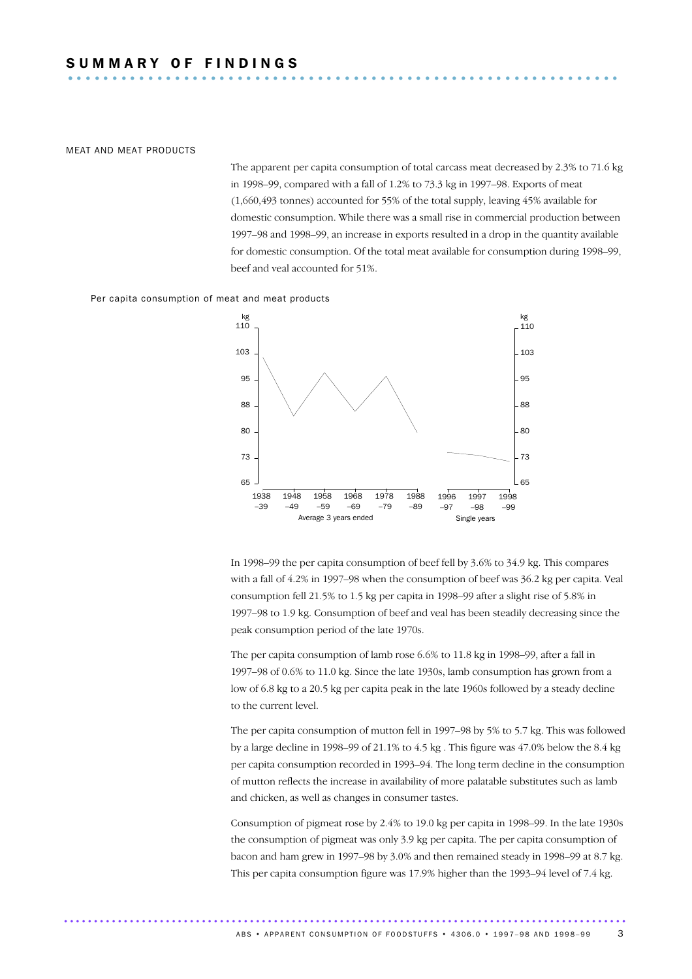### MEAT AND MEAT PRODUCTS

The apparent per capita consumption of total carcass meat decreased by 2.3% to 71.6 kg in 1998–99, compared with a fall of 1.2% to 73.3 kg in 1997–98. Exports of meat (1,660,493 tonnes) accounted for 55% of the total supply, leaving 45% available for domestic consumption. While there was a small rise in commercial production between 1997–98 and 1998–99, an increase in exports resulted in a drop in the quantity available for domestic consumption. Of the total meat available for consumption during 1998–99, beef and veal accounted for 51%.

Per capita consumption of meat and meat products



In 1998–99 the per capita consumption of beef fell by 3.6% to 34.9 kg. This compares with a fall of 4.2% in 1997–98 when the consumption of beef was 36.2 kg per capita. Veal consumption fell 21.5% to 1.5 kg per capita in 1998–99 after a slight rise of 5.8% in 1997–98 to 1.9 kg. Consumption of beef and veal has been steadily decreasing since the peak consumption period of the late 1970s.

The per capita consumption of lamb rose 6.6% to 11.8 kg in 1998–99, after a fall in 1997–98 of 0.6% to 11.0 kg. Since the late 1930s, lamb consumption has grown from a low of 6.8 kg to a 20.5 kg per capita peak in the late 1960s followed by a steady decline to the current level.

The per capita consumption of mutton fell in 1997–98 by 5% to 5.7 kg. This was followed by a large decline in 1998–99 of 21.1% to  $4.5 \text{ kg}$ . This figure was  $47.0\%$  below the  $8.4 \text{ kg}$ per capita consumption recorded in 1993–94. The long term decline in the consumption of mutton reflects the increase in availability of more palatable substitutes such as lamb and chicken, as well as changes in consumer tastes.

Consumption of pigmeat rose by 2.4% to 19.0 kg per capita in 1998–99. In the late 1930s the consumption of pigmeat was only 3.9 kg per capita. The per capita consumption of bacon and ham grew in 1997–98 by 3.0% and then remained steady in 1998–99 at 8.7 kg. This per capita consumption figure was 17.9% higher than the 1993–94 level of 7.4 kg.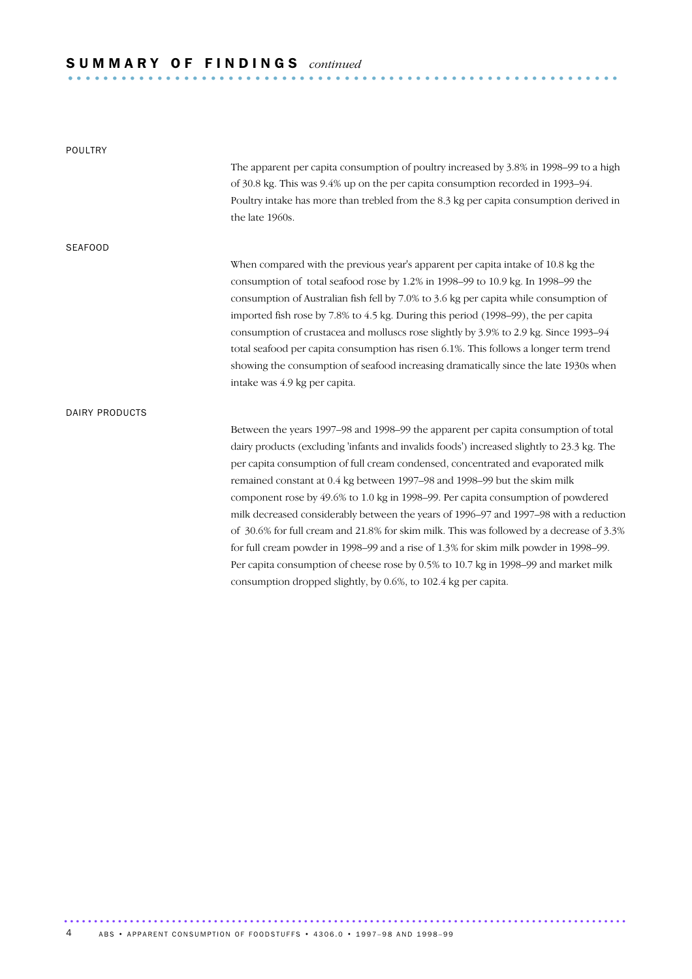# S U M M A R Y O F F I N D I N G S *continued* .............................................................. .

| POULTRY        |                                                                                            |
|----------------|--------------------------------------------------------------------------------------------|
|                | The apparent per capita consumption of poultry increased by 3.8% in 1998–99 to a high      |
|                | of 30.8 kg. This was 9.4% up on the per capita consumption recorded in 1993-94.            |
|                | Poultry intake has more than trebled from the 8.3 kg per capita consumption derived in     |
|                | the late 1960s.                                                                            |
| <b>SEAFOOD</b> |                                                                                            |
|                | When compared with the previous year's apparent per capita intake of 10.8 kg the           |
|                | consumption of total seafood rose by 1.2% in 1998-99 to 10.9 kg. In 1998-99 the            |
|                | consumption of Australian fish fell by 7.0% to 3.6 kg per capita while consumption of      |
|                | imported fish rose by 7.8% to 4.5 kg. During this period (1998-99), the per capita         |
|                | consumption of crustacea and molluscs rose slightly by 3.9% to 2.9 kg. Since 1993–94       |
|                | total seafood per capita consumption has risen 6.1%. This follows a longer term trend      |
|                | showing the consumption of seafood increasing dramatically since the late 1930s when       |
|                | intake was 4.9 kg per capita.                                                              |
| DAIRY PRODUCTS |                                                                                            |
|                | Between the years 1997–98 and 1998–99 the apparent per capita consumption of total         |
|                | dairy products (excluding 'infants and invalids foods') increased slightly to 23.3 kg. The |
|                | per capita consumption of full cream condensed, concentrated and evaporated milk           |
|                | remained constant at 0.4 kg between 1997–98 and 1998–99 but the skim milk                  |
|                | component rose by 49.6% to 1.0 kg in 1998–99. Per capita consumption of powdered           |
|                | milk decreased considerably between the years of 1996-97 and 1997-98 with a reduction      |
|                | of 30.6% for full cream and 21.8% for skim milk. This was followed by a decrease of 3.3%   |
|                | for full cream powder in 1998–99 and a rise of 1.3% for skim milk powder in 1998–99.       |
|                | Per capita consumption of cheese rose by 0.5% to 10.7 kg in 1998–99 and market milk        |
|                | consumption dropped slightly, by 0.6%, to 102.4 kg per capita.                             |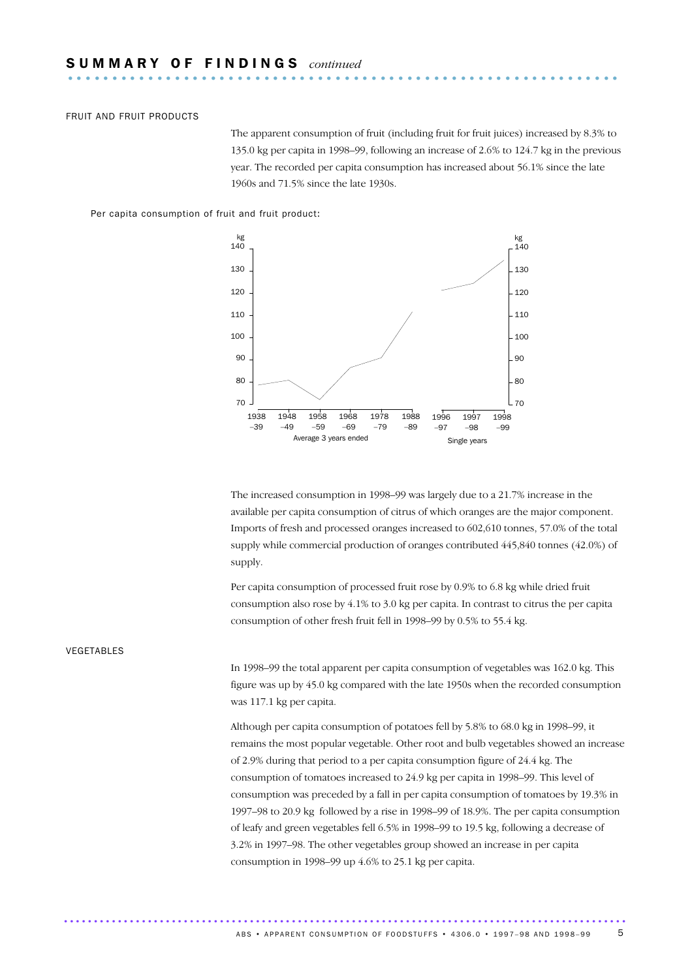### FRUIT AND FRUIT PRODUCTS

The apparent consumption of fruit (including fruit for fruit juices) increased by 8.3% to 135.0 kg per capita in 1998–99, following an increase of 2.6% to 124.7 kg in the previous year. The recorded per capita consumption has increased about 56.1% since the late 1960s and 71.5% since the late 1930s.

Per capita consumption of fruit and fruit product:



The increased consumption in 1998–99 was largely due to a 21.7% increase in the available per capita consumption of citrus of which oranges are the major component. Imports of fresh and processed oranges increased to 602,610 tonnes, 57.0% of the total supply while commercial production of oranges contributed 445,840 tonnes (42.0%) of supply.

Per capita consumption of processed fruit rose by 0.9% to 6.8 kg while dried fruit consumption also rose by 4.1% to 3.0 kg per capita. In contrast to citrus the per capita consumption of other fresh fruit fell in 1998–99 by 0.5% to 55.4 kg.

### VEGETABLES

In 1998–99 the total apparent per capita consumption of vegetables was 162.0 kg. This figure was up by 45.0 kg compared with the late 1950s when the recorded consumption was 117.1 kg per capita.

Although per capita consumption of potatoes fell by 5.8% to 68.0 kg in 1998–99, it remains the most popular vegetable. Other root and bulb vegetables showed an increase of 2.9% during that period to a per capita consumption figure of 24.4 kg. The consumption of tomatoes increased to 24.9 kg per capita in 1998–99. This level of consumption was preceded by a fall in per capita consumption of tomatoes by 19.3% in 1997–98 to 20.9 kg followed by a rise in 1998–99 of 18.9%. The per capita consumption of leafy and green vegetables fell 6.5% in 1998–99 to 19.5 kg, following a decrease of 3.2% in 1997–98. The other vegetables group showed an increase in per capita consumption in 1998–99 up 4.6% to 25.1 kg per capita.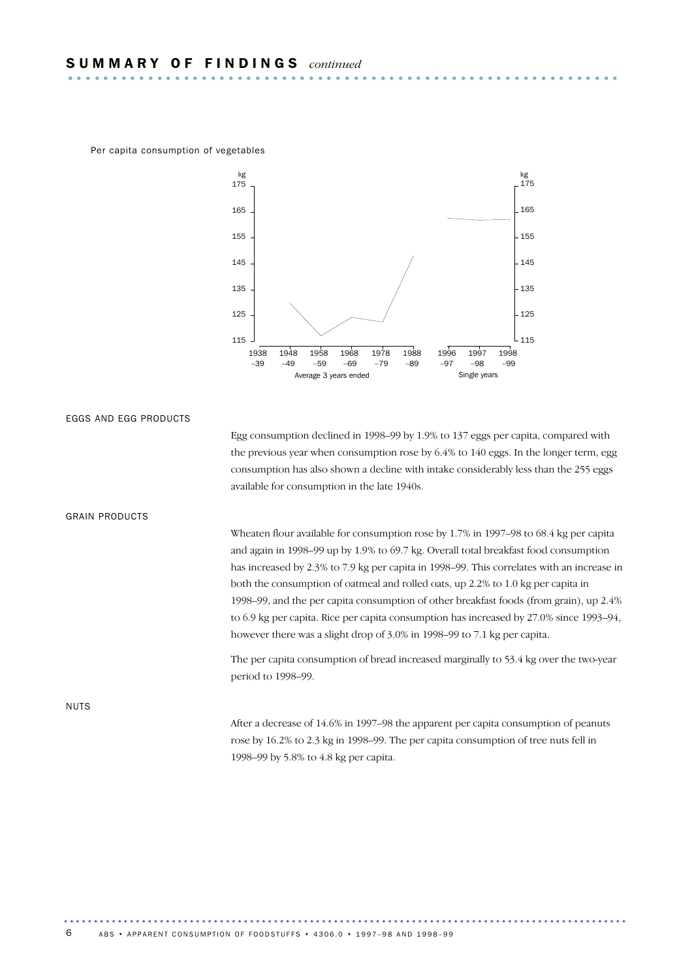Per capita consumption of vegetables



EGGS AND EGG PRODUCTS

Egg consumption declined in 1998–99 by 1.9% to 137 eggs per capita, compared with the previous year when consumption rose by 6.4% to 140 eggs. In the longer term, egg consumption has also shown a decline with intake considerably less than the 255 eggs available for consumption in the late 1940s.

### GRAIN PRODUCTS

Wheaten flour available for consumption rose by 1.7% in 1997–98 to 68.4 kg per capita and again in 1998–99 up by 1.9% to 69.7 kg. Overall total breakfast food consumption has increased by 2.3% to 7.9 kg per capita in 1998–99. This correlates with an increase in both the consumption of oatmeal and rolled oats, up 2.2% to 1.0 kg per capita in 1998–99, and the per capita consumption of other breakfast foods (from grain), up 2.4% to 6.9 kg per capita. Rice per capita consumption has increased by 27.0% since 1993–94, however there was a slight drop of 3.0% in 1998–99 to 7.1 kg per capita.

The per capita consumption of bread increased marginally to 53.4 kg over the two-year period to 1998–99.

NUTS

After a decrease of 14.6% in 1997–98 the apparent per capita consumption of peanuts rose by 16.2% to 2.3 kg in 1998–99. The per capita consumption of tree nuts fell in 1998–99 by 5.8% to 4.8 kg per capita.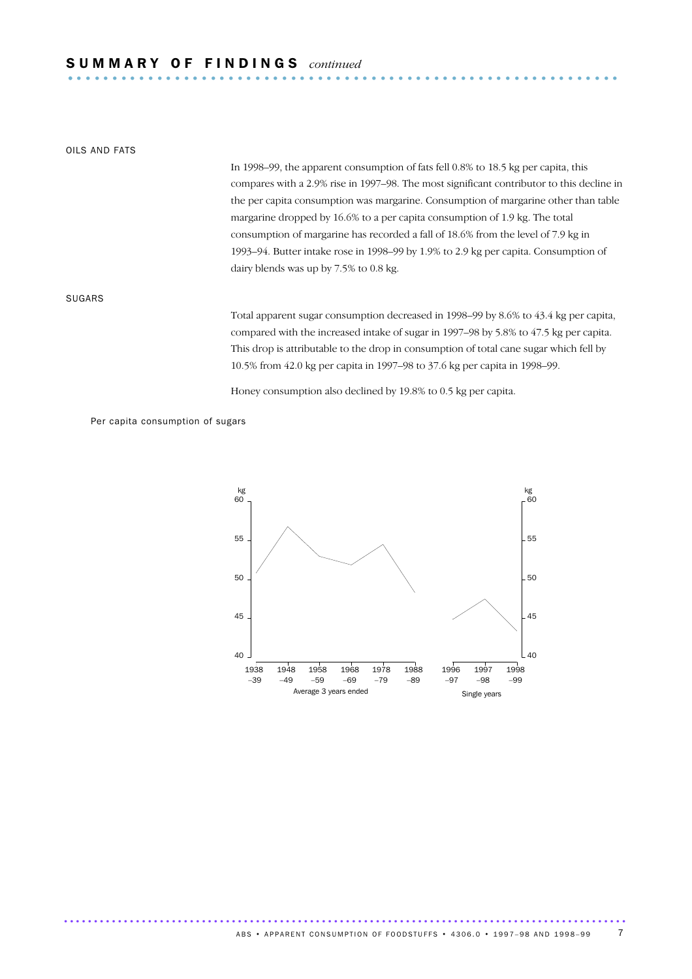# S U M M A R Y O F F I N D I N G S *continued* .............................................................. .

### OILS AND FATS

In 1998–99, the apparent consumption of fats fell 0.8% to 18.5 kg per capita, this compares with a 2.9% rise in 1997–98. The most significant contributor to this decline in the per capita consumption was margarine. Consumption of margarine other than table margarine dropped by 16.6% to a per capita consumption of 1.9 kg. The total consumption of margarine has recorded a fall of 18.6% from the level of 7.9 kg in 1993–94. Butter intake rose in 1998–99 by 1.9% to 2.9 kg per capita. Consumption of dairy blends was up by 7.5% to 0.8 kg.

### SUGARS

Total apparent sugar consumption decreased in 1998–99 by 8.6% to 43.4 kg per capita, compared with the increased intake of sugar in 1997–98 by 5.8% to 47.5 kg per capita. This drop is attributable to the drop in consumption of total cane sugar which fell by 10.5% from 42.0 kg per capita in 1997–98 to 37.6 kg per capita in 1998–99.

Honey consumption also declined by 19.8% to 0.5 kg per capita.

Per capita consumption of sugars

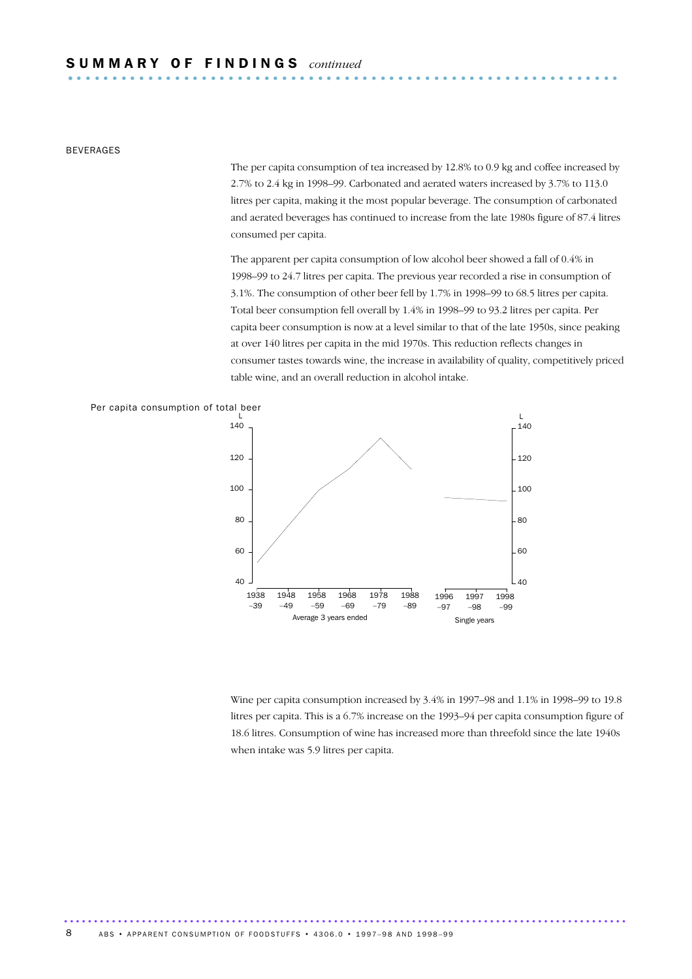# S U M M A R Y O F F I N D I N G S *continued* .............................................................. .

BEVERAGES

The per capita consumption of tea increased by 12.8% to 0.9 kg and coffee increased by 2.7% to 2.4 kg in 1998–99. Carbonated and aerated waters increased by 3.7% to 113.0 litres per capita, making it the most popular beverage. The consumption of carbonated and aerated beverages has continued to increase from the late 1980s figure of 87.4 litres consumed per capita.

The apparent per capita consumption of low alcohol beer showed a fall of 0.4% in 1998–99 to 24.7 litres per capita. The previous year recorded a rise in consumption of 3.1%. The consumption of other beer fell by 1.7% in 1998–99 to 68.5 litres per capita. Total beer consumption fell overall by 1.4% in 1998–99 to 93.2 litres per capita. Per capita beer consumption is now at a level similar to that of the late 1950s, since peaking at over 140 litres per capita in the mid 1970s. This reduction reflects changes in consumer tastes towards wine, the increase in availability of quality, competitively priced table wine, and an overall reduction in alcohol intake.



..............................................................................................

Wine per capita consumption increased by 3.4% in 1997–98 and 1.1% in 1998–99 to 19.8 litres per capita. This is a 6.7% increase on the 1993–94 per capita consumption figure of 18.6 litres. Consumption of wine has increased more than threefold since the late 1940s when intake was 5.9 litres per capita.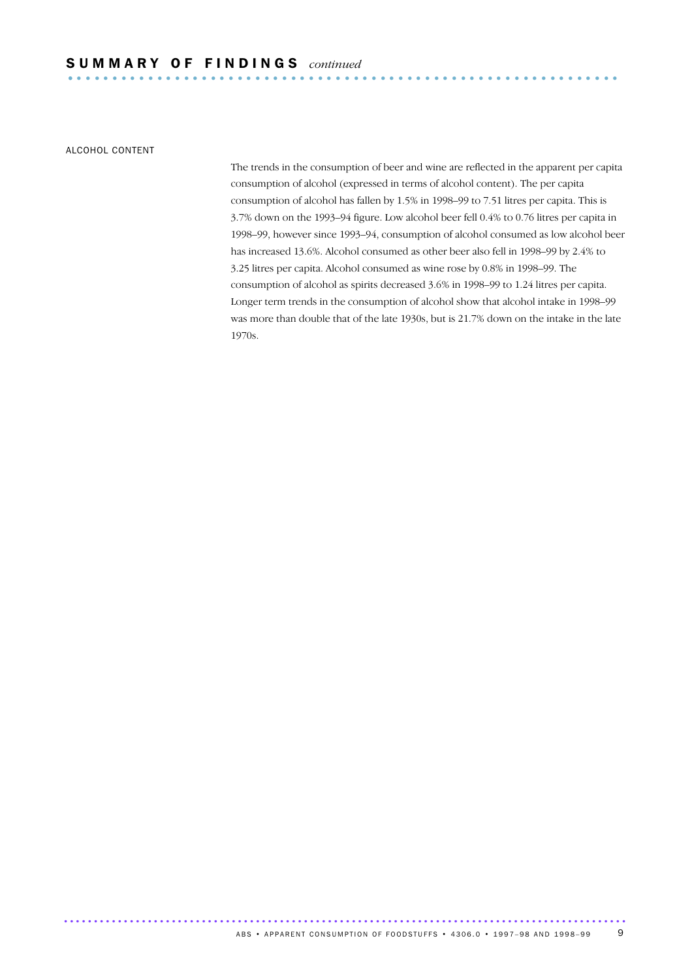ALCOHOL CONTENT

The trends in the consumption of beer and wine are reflected in the apparent per capita consumption of alcohol (expressed in terms of alcohol content). The per capita consumption of alcohol has fallen by 1.5% in 1998–99 to 7.51 litres per capita. This is 3.7% down on the 1993–94 figure. Low alcohol beer fell 0.4% to 0.76 litres per capita in 1998–99, however since 1993–94, consumption of alcohol consumed as low alcohol beer has increased 13.6%. Alcohol consumed as other beer also fell in 1998–99 by 2.4% to 3.25 litres per capita. Alcohol consumed as wine rose by 0.8% in 1998–99. The consumption of alcohol as spirits decreased 3.6% in 1998–99 to 1.24 litres per capita. Longer term trends in the consumption of alcohol show that alcohol intake in 1998–99 was more than double that of the late 1930s, but is 21.7% down on the intake in the late 1970s.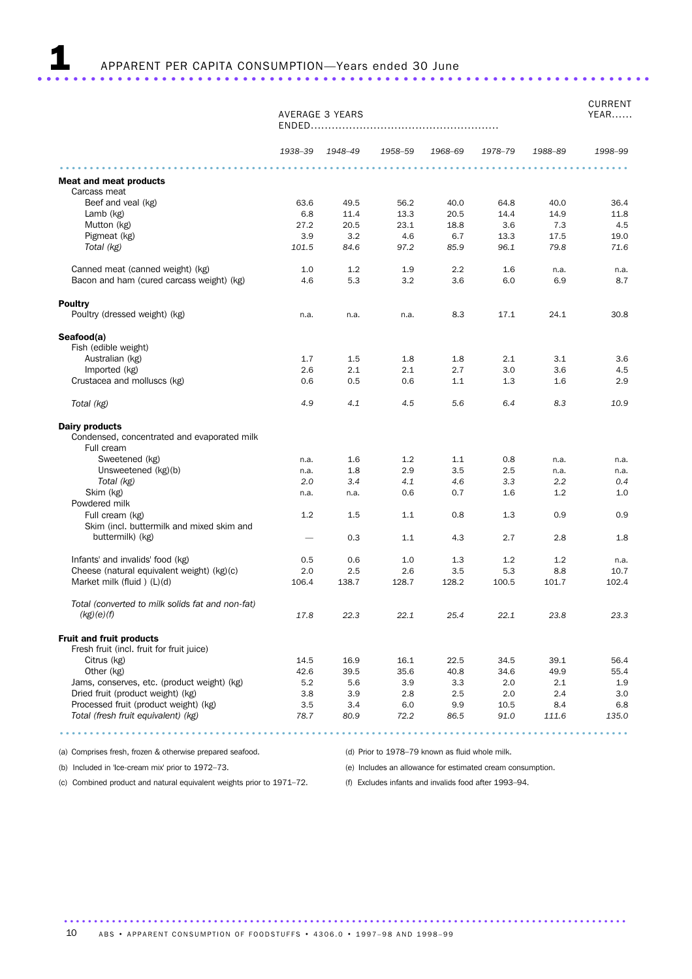|                                                                              | AVERAGE 3 YEARS                 |                 |         |         |         |         | <b>CURRENT</b><br>YEAR |
|------------------------------------------------------------------------------|---------------------------------|-----------------|---------|---------|---------|---------|------------------------|
|                                                                              |                                 | 1938-39 1948-49 | 1958-59 | 1968-69 | 1978-79 | 1988-89 | 1998-99                |
| <b>Meat and meat products</b>                                                |                                 |                 |         |         |         |         |                        |
| Carcass meat                                                                 |                                 |                 |         |         |         |         |                        |
| Beef and yeal (kg)                                                           | 63.6                            | 49.5            | 56.2    | 40.0    | 64.8    | 40.0    | 36.4                   |
| Lamb (kg)                                                                    | 6.8                             | 11.4            | 13.3    | 20.5    | 14.4    | 14.9    | 11.8                   |
| Mutton (kg)                                                                  | 27.2                            | 20.5            | 23.1    | 18.8    | 3.6     | 7.3     | 4.5                    |
| Pigmeat (kg)                                                                 | 3.9                             | 3.2             | 4.6     | 6.7     | 13.3    | 17.5    | 19.0                   |
| Total (kg)                                                                   | 101.5                           | 84.6            | 97.2    | 85.9    | 96.1    | 79.8    | 71.6                   |
| Canned meat (canned weight) (kg)                                             | 1.0                             | 1.2             | 1.9     | $2.2\,$ | 1.6     | n.a.    | n.a.                   |
| Bacon and ham (cured carcass weight) (kg)                                    | 4.6                             | 5.3             | 3.2     | 3.6     | 6.0     | 6.9     | 8.7                    |
| Poultry                                                                      |                                 |                 |         |         |         |         |                        |
| Poultry (dressed weight) (kg)                                                | n.a.                            | n.a.            | n.a.    | 8.3     | 17.1    | 24.1    | 30.8                   |
| Seafood(a)<br>Fish (edible weight)                                           |                                 |                 |         |         |         |         |                        |
| Australian (kg)                                                              | 1.7                             | 1.5             | 1.8     | 1.8     | 2.1     | 3.1     | 3.6                    |
| Imported (kg)                                                                | 2.6                             | 2.1             | 2.1     | 2.7     | 3.0     | 3.6     | 4.5                    |
| Crustacea and molluscs (kg)                                                  | 0.6                             | 0.5             | 0.6     | 1.1     | 1.3     | 1.6     | 2.9                    |
| Total (kg)                                                                   | 4.9                             | 4.1             | 4.5     | 5.6     | 6.4     | 8.3     | 10.9                   |
| Dairy products<br>Condensed, concentrated and evaporated milk<br>Full cream  |                                 |                 |         |         |         |         |                        |
| Sweetened (kg)                                                               | n.a.                            | 1.6             | 1.2     | 1.1     | 0.8     | n.a.    | n.a.                   |
| Unsweetened (kg)(b)                                                          | n.a.                            | 1.8             | 2.9     | 3.5     | 2.5     | n.a.    | n.a.                   |
| Total (kg)                                                                   | 2.0                             | 3.4             | 4.1     | 4.6     | 3.3     | 2.2     | 0.4                    |
| Skim (kg)<br>Powdered milk                                                   | n.a.                            | n.a.            | 0.6     | 0.7     | 1.6     | 1.2     | 1.0                    |
| Full cream (kg)                                                              | 1.2                             | 1.5             | 1.1     | 0.8     | 1.3     | 0.9     | 0.9                    |
| Skim (incl. buttermilk and mixed skim and                                    |                                 |                 |         |         |         |         |                        |
| buttermilk) (kg)                                                             | $\overbrace{\phantom{1232211}}$ | 0.3             | 1.1     | 4.3     | 2.7     | 2.8     | 1.8                    |
| Infants' and invalids' food (kg)                                             | 0.5                             | 0.6             | 1.0     | 1.3     | 1.2     | 1.2     | n.a.                   |
| Cheese (natural equivalent weight) (kg)(c)                                   | 2.0                             | 2.5             | 2.6     | 3.5     | 5.3     | 8.8     | 10.7                   |
| Market milk (fluid) (L)(d)                                                   | 106.4                           | 138.7           | 128.7   | 128.2   | 100.5   | 101.7   | 102.4                  |
| Total (converted to milk solids fat and non-fat)<br>(kg)(e)(f)               | 17.8                            | 22.3            | 22.1    | 25.4    | 22.1    | 23.8    | 23.3                   |
| <b>Fruit and fruit products</b><br>Fresh fruit (incl. fruit for fruit juice) |                                 |                 |         |         |         |         |                        |
| Citrus (kg)                                                                  | 14.5                            | 16.9            | 16.1    | 22.5    | 34.5    | 39.1    | 56.4                   |
| Other (kg)                                                                   | 42.6                            | 39.5            | 35.6    | 40.8    | 34.6    | 49.9    | 55.4                   |
| Jams, conserves, etc. (product weight) (kg)                                  | 5.2                             | 5.6             | 3.9     | 3.3     | 2.0     | 2.1     | 1.9                    |
| Dried fruit (product weight) (kg)                                            | 3.8                             | 3.9             | 2.8     | 2.5     | 2.0     | 2.4     | 3.0                    |
| Processed fruit (product weight) (kg)                                        | 3.5                             | 3.4             | 6.0     | 9.9     | 10.5    | 8.4     | 6.8                    |
| Total (fresh fruit equivalent) (kg)                                          | 78.7                            | 80.9            | 72.2    | 86.5    | 91.0    | 111.6   | 135.0                  |
|                                                                              |                                 |                 |         |         |         |         |                        |

(a) Comprises fresh, frozen & otherwise prepared seafood.

(d) Prior to 1978–79 known as fluid whole milk. (e) Includes an allowance for estimated cream consumption.

(b) Included in 'Ice-cream mix' prior to 1972–73. (c) Combined product and natural equivalent weights prior to 1971–72.

(f) Excludes infants and invalids food after 1993–94.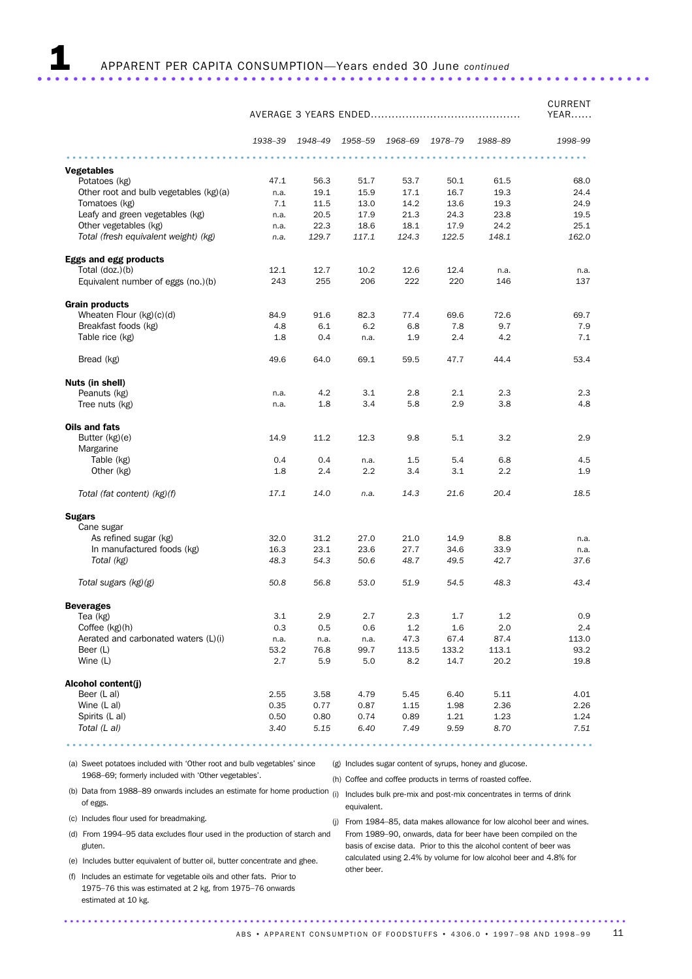|                                        |         |         |         |         |         |         | <b>CURRENT</b><br>YEAR |
|----------------------------------------|---------|---------|---------|---------|---------|---------|------------------------|
|                                        | 1938-39 | 1948-49 | 1958-59 | 1968-69 | 1978-79 | 1988-89 | 1998-99                |
| <b>Vegetables</b>                      |         |         |         |         |         |         |                        |
| Potatoes (kg)                          | 47.1    | 56.3    | 51.7    | 53.7    | 50.1    | 61.5    | 68.0                   |
| Other root and bulb vegetables (kg)(a) | n.a.    | 19.1    | 15.9    | 17.1    | 16.7    | 19.3    | 24.4                   |
| Tomatoes (kg)                          | 7.1     | 11.5    | 13.0    | 14.2    | 13.6    | 19.3    | 24.9                   |
| Leafy and green vegetables (kg)        | n.a.    | 20.5    | 17.9    | 21.3    | 24.3    | 23.8    | 19.5                   |
| Other vegetables (kg)                  | n.a.    | 22.3    | 18.6    | 18.1    | 17.9    | 24.2    | 25.1                   |
| Total (fresh equivalent weight) (kg)   | n.a.    | 129.7   | 117.1   | 124.3   | 122.5   | 148.1   | 162.0                  |
| Eggs and egg products                  |         |         |         |         |         |         |                        |
| Total (doz.)(b)                        | 12.1    | 12.7    | 10.2    | 12.6    | 12.4    | n.a.    | n.a.                   |
| Equivalent number of eggs (no.)(b)     | 243     | 255     | 206     | 222     | 220     | 146     | 137                    |
| <b>Grain products</b>                  |         |         |         |         |         |         |                        |
| Wheaten Flour $(kg)(c)(d)$             | 84.9    | 91.6    | 82.3    | 77.4    | 69.6    | 72.6    | 69.7                   |
| Breakfast foods (kg)                   | 4.8     | 6.1     | 6.2     | 6.8     | 7.8     | 9.7     | 7.9                    |
| Table rice (kg)                        | 1.8     | 0.4     | n.a.    | 1.9     | 2.4     | 4.2     | 7.1                    |
| Bread (kg)                             | 49.6    | 64.0    | 69.1    | 59.5    | 47.7    | 44.4    | 53.4                   |
| Nuts (in shell)                        |         |         |         |         |         |         |                        |
| Peanuts (kg)                           | n.a.    | 4.2     | 3.1     | 2.8     | 2.1     | 2.3     | 2.3                    |
| Tree nuts (kg)                         | n.a.    | 1.8     | 3.4     | 5.8     | 2.9     | 3.8     | 4.8                    |
| Oils and fats                          |         |         |         |         |         |         |                        |
| Butter (kg)(e)                         | 14.9    | 11.2    | 12.3    | 9.8     | 5.1     | 3.2     | 2.9                    |
| Margarine                              |         |         |         |         |         |         |                        |
| Table (kg)                             | 0.4     | 0.4     | n.a.    | 1.5     | 5.4     | 6.8     | 4.5                    |
| Other (kg)                             | 1.8     | 2.4     | 2.2     | 3.4     | 3.1     | 2.2     | 1.9                    |
| Total (fat content) (kg)(f)            | 17.1    | 14.0    | n.a.    | 14.3    | 21.6    | 20.4    | 18.5                   |
| <b>Sugars</b>                          |         |         |         |         |         |         |                        |
| Cane sugar                             |         |         |         |         |         |         |                        |
| As refined sugar (kg)                  | 32.0    | 31.2    | 27.0    | 21.0    | 14.9    | 8.8     | n.a.                   |
| In manufactured foods (kg)             | 16.3    | 23.1    | 23.6    | 27.7    | 34.6    | 33.9    | n.a.                   |
| Total (kg)                             | 48.3    | 54.3    | 50.6    | 48.7    | 49.5    | 42.7    | 37.6                   |
| Total sugars (kg)(g)                   | 50.8    | 56.8    | 53.0    | 51.9    | 54.5    | 48.3    | 43.4                   |
| <b>Beverages</b>                       |         |         |         |         |         |         |                        |
| Tea (kg)                               | 3.1     | 2.9     | 2.7     | 2.3     | 1.7     | 1.2     | 0.9                    |
| Coffee (kg)(h)                         | 0.3     | 0.5     | 0.6     | 1.2     | 1.6     | 2.0     | 2.4                    |
| Aerated and carbonated waters (L)(i)   | n.a.    | n.a.    | n.a.    | 47.3    | 67.4    | 87.4    | 113.0                  |
| Beer (L)                               | 53.2    | 76.8    | 99.7    | 113.5   | 133.2   | 113.1   | 93.2                   |
| Wine (L)                               | 2.7     | 5.9     | 5.0     | 8.2     | 14.7    | 20.2    | 19.8                   |
| Alcohol content(j)                     |         |         |         |         |         |         |                        |
| Beer (L al)                            | 2.55    | 3.58    | 4.79    | 5.45    | 6.40    | 5.11    | 4.01                   |
| Wine (L al)                            | 0.35    | 0.77    | 0.87    | 1.15    | 1.98    | 2.36    | 2.26                   |
| Spirits (L al)                         | 0.50    | 0.80    | 0.74    | 0.89    | 1.21    | 1.23    | 1.24                   |
| Total (L al)                           | 3.40    | 5.15    | 6.40    | 7.49    | 9.59    | 8.70    | 7.51                   |
|                                        |         |         |         |         |         |         |                        |

(a) Sweet potatoes included with 'Other root and bulb vegetables' since 1968–69; formerly included with 'Other vegetables'.

(g) Includes sugar content of syrups, honey and glucose.

(h) Coffee and coffee products in terms of roasted coffee.

equivalent.

- (b) Data from 1988–89 onwards includes an estimate for home production (i) Includes bulk pre-mix and post-mix concentrates in terms of drink of eggs.
- (c) Includes flour used for breadmaking.
- (d) From 1994–95 data excludes flour used in the production of starch and From 1989–90, onwards, data for beer have been compiled on the gluten.
- (e) Includes butter equivalent of butter oil, butter concentrate and ghee.
- (f) Includes an estimate for vegetable oils and other fats. Prior to 1975–76 this was estimated at 2 kg, from 1975–76 onwards estimated at 10 kg.

(j) From 1984–85, data makes allowance for low alcohol beer and wines. basis of excise data. Prior to this the alcohol content of beer was calculated using 2.4% by volume for low alcohol beer and 4.8% for other beer.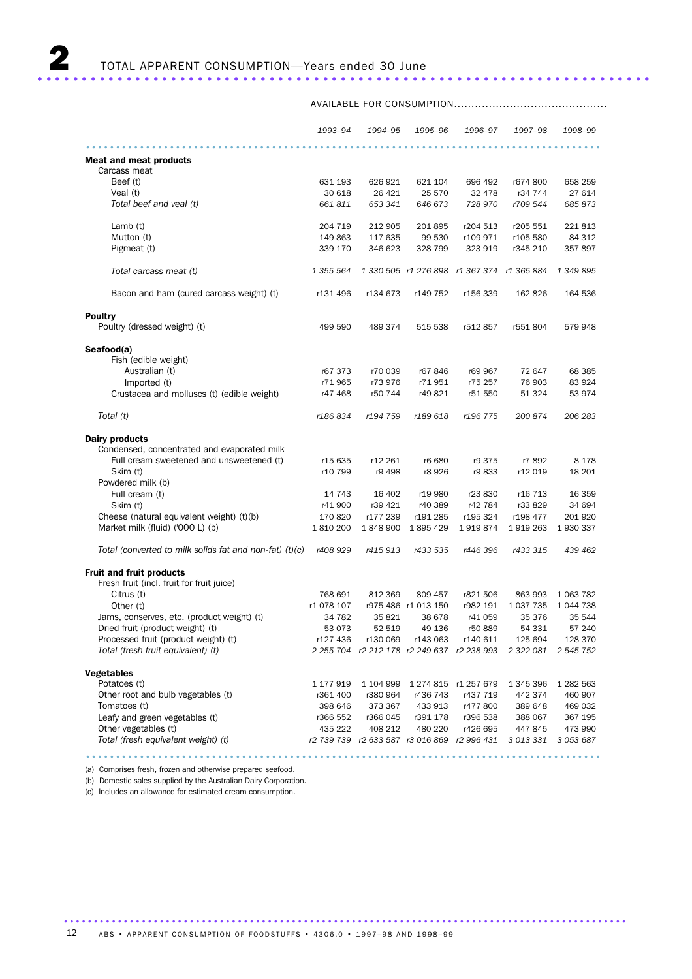AVAILABLE FOR CONSUMPTION............................................

|                                                           | 1993-94    | 1994-95  | 1995–96                        | 1996–97                                     | 1997–98                                                        | 1998-99             |
|-----------------------------------------------------------|------------|----------|--------------------------------|---------------------------------------------|----------------------------------------------------------------|---------------------|
| <b>Meat and meat products</b>                             |            |          |                                |                                             |                                                                |                     |
| Carcass meat                                              |            |          |                                |                                             |                                                                |                     |
| Beef (t)                                                  | 631 193    | 626 921  | 621 104                        | 696 492                                     | r674 800                                                       | 658 259             |
| Veal (t)                                                  | 30 618     | 26 4 21  | 25 570                         | 32 478                                      | r34 744                                                        | 27 614              |
| Total beef and veal (t)                                   | 661 811    | 653 341  | 646 673                        | 728 970                                     | r709 544                                                       | 685873              |
|                                                           |            |          |                                |                                             |                                                                |                     |
| Lamb $(t)$                                                | 204 719    | 212 905  | 201 895                        | r204 513                                    | r205 551                                                       | 221813              |
| Mutton (t)                                                | 149 863    | 117 635  | 99 530                         | r109 971                                    | r105 580                                                       | 84 312              |
| Pigmeat (t)                                               | 339 170    | 346 623  | 328 799                        | 323 919                                     | r345 210                                                       | 357897              |
| Total carcass meat (t)                                    | 1 355 564  |          |                                | 1 330 505 r1 276 898 r1 367 374 r1 365 884  |                                                                | 1 349 895           |
| Bacon and ham (cured carcass weight) (t)                  | r131 496   | r134 673 | r149 752                       | r156 339                                    | 162 826                                                        | 164 536             |
| <b>Poultry</b>                                            |            |          |                                |                                             |                                                                |                     |
| Poultry (dressed weight) (t)                              | 499 590    | 489 374  | 515 538                        | r512 857                                    | r551 804                                                       | 579 948             |
| Seafood(a)                                                |            |          |                                |                                             |                                                                |                     |
| Fish (edible weight)                                      |            |          |                                |                                             |                                                                |                     |
| Australian (t)                                            | r67 373    | r70 039  | r67846                         | r69 967                                     | 72 647                                                         | 68 385              |
| Imported (t)                                              | r71965     | r73 976  | r71951                         | r75 257                                     | 76 903                                                         | 83 924              |
| Crustacea and molluscs (t) (edible weight)                | r47 468    | r50 744  | r49 821                        | r51 550                                     | 51 324                                                         | 53 974              |
| Total (t)                                                 | r186834    | r194 759 | r189 618                       | r196 775                                    | 200 874                                                        | 206 283             |
| Dairy products                                            |            |          |                                |                                             |                                                                |                     |
| Condensed, concentrated and evaporated milk               |            |          |                                |                                             |                                                                |                     |
| Full cream sweetened and unsweetened (t)                  | r15 635    | r12 261  | r6 680                         | r9 375                                      | r7 892                                                         | 8 1 7 8             |
| Skim (t)                                                  | r10 799    | r9 498   | r8 926                         | r9 833                                      | r12 019                                                        | 18 201              |
| Powdered milk (b)                                         |            |          |                                |                                             |                                                                |                     |
| Full cream (t)                                            | 14 743     | 16 402   | r19 980                        | r23 830                                     | r16 713                                                        | 16 359              |
| Skim (t)                                                  | r41 900    | r39 421  | r40 389                        | r42 784                                     | r33 829                                                        | 34 694              |
| Cheese (natural equivalent weight) (t)(b)                 | 170 820    | r177 239 | r191 285                       | r195 324                                    | r198 477                                                       | 201 920             |
| Market milk (fluid) ('000 L) (b)                          | 1810200    |          | 1848 900 1895 429              | 1919874                                     | 1919263                                                        | 1930337             |
|                                                           |            |          |                                |                                             |                                                                |                     |
| Total (converted to milk solids fat and non-fat) $(t)(c)$ | r408 929   | r415 913 | r433 535                       | r446 396                                    | r433 315                                                       | 439 462             |
| <b>Fruit and fruit products</b>                           |            |          |                                |                                             |                                                                |                     |
| Fresh fruit (incl. fruit for fruit juice)                 |            |          |                                |                                             |                                                                |                     |
| Citrus (t)                                                | 768 691    | 812 369  | 809 457                        | r821 506                                    | 863 993                                                        | 1 0 63 7 82         |
| Other (t)                                                 | r1 078 107 |          | r975 486 r1 013 150            | r982 191                                    | 1 0 3 7 7 3 5                                                  | 1 0 4 4 7 3 8       |
| Jams, conserves, etc. (product weight) (t)                | 34 782     | 35 821   | 38 678                         | r41 059                                     | 35 376                                                         | 35 544              |
| Dried fruit (product weight) (t)                          | 53 073     | 52 519   | 49 136                         | r50 889                                     | 54 331                                                         | 57 240              |
| Processed fruit (product weight) (t)                      | r127 436   |          | r130 069 r143 063              | r140 611                                    | 125 694                                                        | 128 370             |
| Total (fresh fruit equivalent) (t)                        |            |          |                                |                                             | 2 255 704 r2 212 178 r2 249 637 r2 238 993 2 322 081 2 545 752 |                     |
|                                                           |            |          |                                |                                             |                                                                |                     |
| <b>Vegetables</b>                                         |            |          |                                |                                             |                                                                |                     |
| Potatoes (t)                                              | 1 177 919  |          | 1 104 999 1 274 815 r1 257 679 |                                             | 1 345 396                                                      | 1 282 563           |
| Other root and bulb vegetables (t)                        | r361 400   | r380 964 | r436 743                       | r437 719                                    | 442 374                                                        | 460 907             |
| Tomatoes (t)                                              | 398 646    | 373 367  | 433 913                        | r477800                                     | 389 648                                                        | 469 032             |
| Leafy and green vegetables (t)                            | r366 552   | r366 045 | r391 178                       | r396 538                                    | 388 067                                                        | 367 195             |
| Other vegetables (t)                                      | 435 222    | 408 212  | 480 220                        | r426 695                                    | 447 845                                                        | 473 990             |
| Total (fresh equivalent weight) (t)                       |            |          |                                | r2 739 739 r2 633 587 r3 016 869 r2 996 431 |                                                                | 3 013 331 3 053 687 |

......................................................................................

(a) Comprises fresh, frozen and otherwise prepared seafood.

(b) Domestic sales supplied by the Australian Dairy Corporation.

(c) Includes an allowance for estimated cream consumption.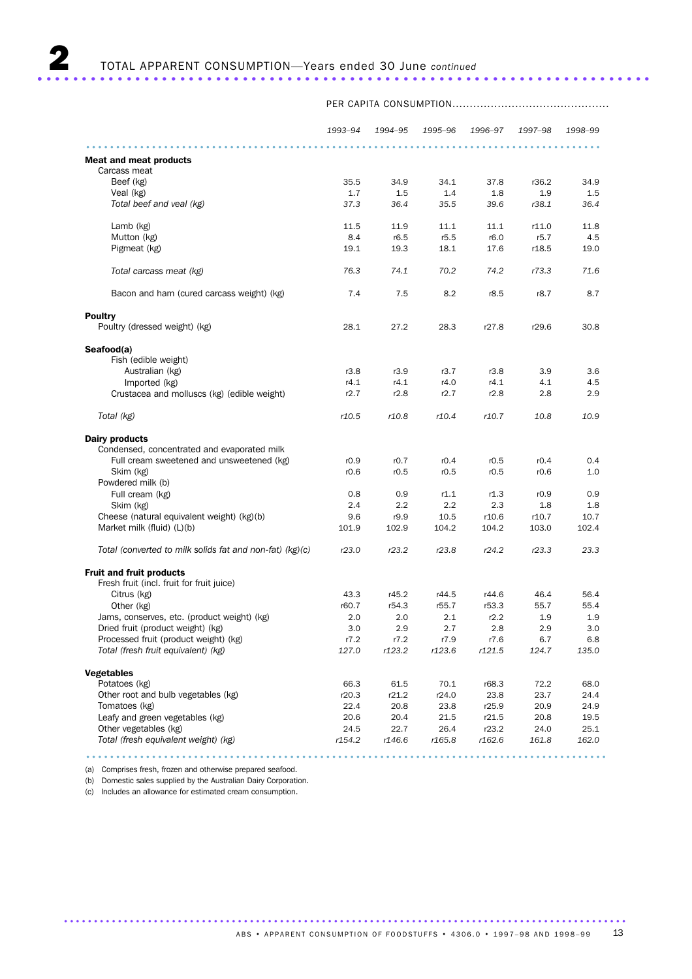*1993–94 1994–95 1995–96 1996–97 1997–98 1998–99* ...................................................................................... Meat and meat products Carcass meat Beef (kg) 35.5 34.9 34.1 37.8 r36.2 34.9 Veal (kg) 1.7 1.5 1.4 1.8 1.9 1.5 *Total beef and veal (kg) 37.3 36.4 35.5 39.6 r38.1 36.4* Lamb (kg) 11.5 11.9 11.1 11.1 r11.0 11.8 Mutton (kg) 8.4 r6.5 r5.5 r6.0 r5.7 4.5 Pigmeat (kg) *Total carcass meat (kg) 76.3 74.1 70.2 74.2 r73.3 71.6* Bacon and ham (cured carcass weight) (kg)  $\overline{7.4}$  7.5 8.2 r8.5 r8.7 8.7 8.7 **Poultry** Poultry (dressed weight) (kg) 28.1 27.2 28.3 r27.8 r29.6 30.8 Seafood(a) Fish (edible weight) Australian (kg) rates and the case of the rates of the rates of the rates of the rates of the rates of the rates of the rates of the rates of the rates of the rates of the rates of the rates of the rates of the rates of th Imported (kg) r4.1 r4.1 r4.0 r4.1 4.1 4.5 Crustacea and molluscs (kg) (edible weight) r2.7 r2.8 r2.7 r2.8 2.8 2.9 *Total (kg) r10.5 r10.8 r10.4 r10.7 10.8 10.9* Dairy products Condensed, concentrated and evaporated milk Full cream sweetened and unsweetened (kg)  $r0.9$  r0.7 r0.4 r0.5 r0.4 0.4 Skim (kg) r0.6 r0.5 r0.5 r0.5 r0.6 1.0 Powdered milk (b) Full cream (kg) 0.8 0.9 r1.1 r1.3 r0.9 0.9 Skim (kg) 2.4 2.2 2.2 2.3 1.8 1.8 Cheese (natural equivalent weight) (kg)(b) 9.6 r9.9 10.5 r10.6 r10.7 10.7 Market milk (fluid) (L)(b) 101.9 102.9 104.2 104.2 103.0 102.4 *Total (converted to milk solids fat and non-fat) (kg)(c) r23.0 r23.2 r23.8 r24.2 r23.3 23.3* Fruit and fruit products Fresh fruit (incl. fruit for fruit juice)<br>Citrus (kg) Citrus (kg) 43.3 r45.2 r44.5 r44.6 46.4 56.4 Other (kg) r60.7 r54.3 r55.7 r53.3 55.7 55.4 values, conserves, etc. (product weight) (kg) <br>
Dried fruit (product weight) (kg) <br>
2.0 2.0 2.1 r2.2 1.9 1.9<br>
2.0 2.9 2.7 2.8 2.9 3.0 Dried fruit (product weight) (kg) 3.0 2.9 2.7 2.8 2.9 3.0 Processed fruit (product weight) (kg) <br>
Total (fresh fruit equivalent) (kg) <br>
217.0 r123.2 r123.6 r121.5 124.7 135.0 *Total (fresh fruit equivalent) (kg) 127.0 r123.2 r123.6 r121.5 124.7 135.0* Vegetables Potatoes (kg) 66.3 61.5 70.1 r68.3 72.2 68.0 Other root and bulb vegetables (kg)  $\begin{array}{cccc} 20.3 & 721.2 & 724.0 & 23.8 & 23.7 & 24.4 \\ 22.4 & 20.8 & 23.8 & 725.9 & 20.9 & 24.9 \\ 20.6 & 20.4 & 21.5 & 721.5 & 20.8 & 19.5 \end{array}$ Tomatoes (kg) 34.9 22.4 20.8 23.8 r25.9 20.9 24.9 26.6 20.4 20.8 24.9 20.9 24.9 20.9 24.9 20.8 24.9 20.8 20.8 20.9 24.9 Leafy and green vegetables (kg) 20.6 20.4<br>Other vegetables (kg) 24.5 22.7 Other vegetables (kg) 24.5 22.7 26.4 r23.2 24.0 25.1 *Total (fresh equivalent weight) (kg) r154.2 r146.6 r165.8 r162.6 161.8 162.0*

.......................................................................................

PER CAPITA CONSUMPTION.............................................

(a) Comprises fresh, frozen and otherwise prepared seafood.

(b) Domestic sales supplied by the Australian Dairy Corporation.

(c) Includes an allowance for estimated cream consumption.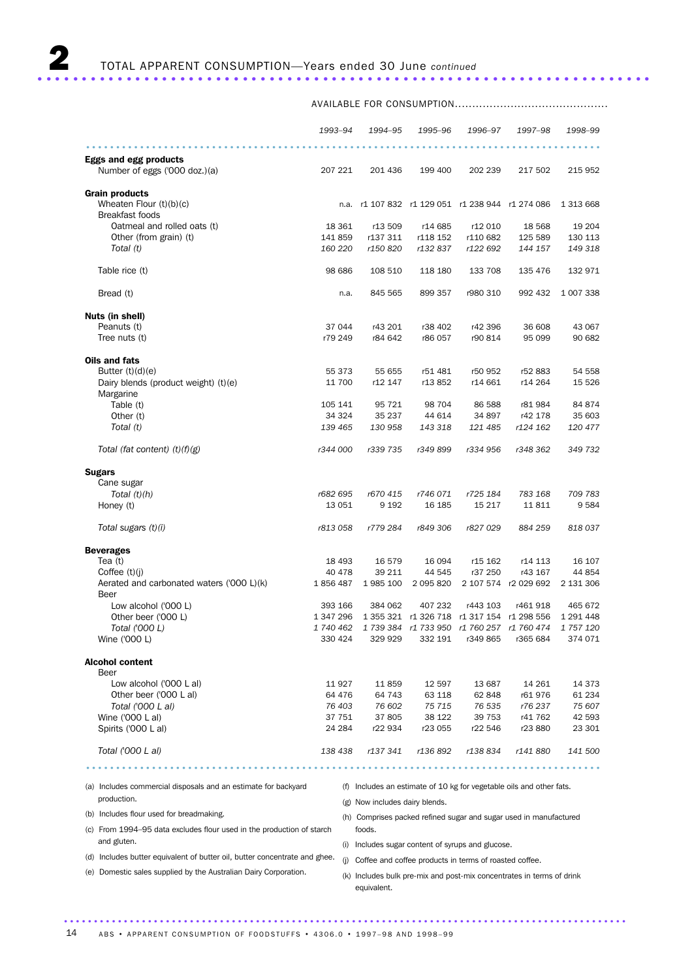|                                                                | 1993-94          | 1994–95                                          | 1995-96                                    | 1996-97             | 1997-98                                                              | 1998–99              |
|----------------------------------------------------------------|------------------|--------------------------------------------------|--------------------------------------------|---------------------|----------------------------------------------------------------------|----------------------|
|                                                                |                  |                                                  |                                            |                     |                                                                      |                      |
| <b>Eggs and egg products</b><br>Number of eggs ('000 doz.)(a)  | 207 221          | 201 436                                          | 199 400                                    | 202 239             | 217 502                                                              | 215 952              |
|                                                                |                  |                                                  |                                            |                     |                                                                      |                      |
| <b>Grain products</b>                                          |                  |                                                  |                                            |                     |                                                                      |                      |
| Wheaten Flour $(t)(b)(c)$                                      |                  | n.a. r1 107 832 r1 129 051 r1 238 944 r1 274 086 |                                            |                     |                                                                      | 1 313 668            |
| <b>Breakfast foods</b>                                         |                  |                                                  |                                            |                     |                                                                      |                      |
| Oatmeal and rolled oats (t)<br>Other (from grain) (t)          | 18 361<br>141859 | r13 509<br>r137 311                              | r14 685<br>r118 152                        | r12 010<br>r110 682 | 18 5 68<br>125 589                                                   | 19 204<br>130 113    |
| Total (t)                                                      | 160 220          | r150 820                                         | r132837                                    | r122 692            | 144 157                                                              | 149 318              |
|                                                                |                  |                                                  |                                            |                     |                                                                      |                      |
| Table rice (t)                                                 | 98 686           | 108 510                                          | 118 180                                    | 133 708             | 135 476                                                              | 132 971              |
| Bread (t)                                                      | n.a.             | 845 565                                          | 899 357                                    | r980 310            | 992 432                                                              | 1 007 338            |
| Nuts (in shell)                                                |                  |                                                  |                                            |                     |                                                                      |                      |
| Peanuts (t)                                                    | 37 044           | r43 201                                          | r38 402                                    | r42 396             | 36 608                                                               | 43 067               |
| Tree nuts (t)                                                  | r79 249          | r84 642                                          | r86 057                                    | r90 814             | 95 099                                                               | 90 682               |
|                                                                |                  |                                                  |                                            |                     |                                                                      |                      |
| Oils and fats                                                  |                  |                                                  |                                            |                     |                                                                      |                      |
| Butter $(t)(d)(e)$<br>Dairy blends (product weight) (t)(e)     | 55 373<br>11 700 | 55 655<br>r12 147                                | r51 481<br>r13852                          | r50 952<br>r14 661  | r52 883<br>r14 264                                                   | 54 558<br>15 5 26    |
| Margarine                                                      |                  |                                                  |                                            |                     |                                                                      |                      |
| Table (t)                                                      | 105 141          | 95 721                                           | 98 704                                     | 86 588              | r81 984                                                              | 84 874               |
| Other (t)                                                      | 34 324           | 35 237                                           | 44 614                                     | 34 897              | r42 178                                                              | 35 603               |
| Total (t)                                                      | 139 465          | 130 958                                          | 143 318                                    | 121 485             | r124 162                                                             | 120 477              |
| Total (fat content) $(t)(f)(g)$                                | r344 000         | r339 735                                         | r349 899                                   | r334 956            | r348 362                                                             | 349 732              |
| <b>Sugars</b>                                                  |                  |                                                  |                                            |                     |                                                                      |                      |
| Cane sugar                                                     |                  |                                                  |                                            |                     |                                                                      |                      |
| Total $(t)(h)$                                                 | r682 695         | r670 415                                         | r746 071                                   | r725 184            | 783 168                                                              | 709 783              |
| Honey (t)                                                      | 13 051           | 9 1 9 2                                          | 16 185                                     | 15 217              | 11 811                                                               | 9584                 |
| Total sugars (t)(i)                                            | r813 058         | r779 284                                         | r849 306                                   | r827 029            | 884 259                                                              | 818037               |
| <b>Beverages</b>                                               |                  |                                                  |                                            |                     |                                                                      |                      |
| Tea $(t)$                                                      | 18 4 93          | 16 579                                           | 16 094                                     | r15 162             | r14 113                                                              | 16 107               |
| Coffee $(t)(i)$                                                | 40 478           | 39 211                                           | 44 545                                     | r37 250             | r43 167                                                              | 44 854               |
| Aerated and carbonated waters ('000 L)(k)                      | 1856487          | 1985 100                                         | 2 095 820                                  |                     | 2 107 574 r2 029 692                                                 | 2 131 306            |
| Beer                                                           |                  |                                                  |                                            |                     |                                                                      |                      |
| Low alcohol ('000 L)                                           | 393 166          | 384 062                                          | 407 232                                    | r443 103            | r461918                                                              | 465 672              |
| Other beer ('000 L)<br>Total ('000 L)                          | 1 347 296        |                                                  | 1 355 321 r1 326 718 r1 317 154 r1 298 556 |                     | 1 740 462    1 739 384    1 733 950    1 760 257    1 760 474        | 1 291 448            |
| Wine ('000 L)                                                  | 330 424          | 329 929                                          |                                            |                     | 332 191 r349 865 r365 684                                            | 1 757 120<br>374 071 |
| <b>Alcohol content</b>                                         |                  |                                                  |                                            |                     |                                                                      |                      |
| Beer                                                           |                  |                                                  |                                            |                     |                                                                      |                      |
| Low alcohol ('000 L al)                                        | 11 927           | 11 859                                           | 12 597                                     | 13 687              | 14 261                                                               | 14 373               |
| Other beer ('000 L al)                                         | 64 476           | 64 743                                           | 63 118                                     | 62 848              | r61976                                                               | 61 234               |
| Total ('000 L al)                                              | 76 403           | 76 602                                           | 75 715                                     | 76 535              | r76 237                                                              | 75 607               |
| Wine ('000 L al)                                               | 37 751           | 37 805                                           | 38 122                                     | 39 753              | r41 762                                                              | 42 593               |
| Spirits ('000 L al)                                            | 24 284           | r22 934                                          | r23 055                                    | r22 546             | r23 880                                                              | 23 301               |
| Total ('000 L al)                                              | 138 438          |                                                  | r137 341 r136 892 r138 834 r141 880        |                     |                                                                      | 141 500              |
|                                                                |                  |                                                  | .                                          |                     | .                                                                    |                      |
| (a) Includes commercial disposals and an estimate for backyard |                  |                                                  |                                            |                     | (f) Includes an estimate of 10 kg for vegetable oils and other fats. |                      |
| production.                                                    |                  | (g) Now includes dairy blends.                   |                                            |                     |                                                                      |                      |
| (b) Includes flour used for breadmaking.                       |                  |                                                  |                                            |                     | (h) Comprises packed refined sugar and sugar used in manufactured    |                      |

AVAILABLE FOR CONSUMPTION............................................

(c) From 1994–95 data excludes flour used in the production of starch

(e) Domestic sales supplied by the Australian Dairy Corporation.

and gluten.

foods. (i) Includes sugar content of syrups and glucose.

(d) Includes butter equivalent of butter oil, butter concentrate and ghee. (j) Coffee and coffee products in terms of roasted coffee.

(k) Includes bulk pre-mix and post-mix concentrates in terms of drink equivalent.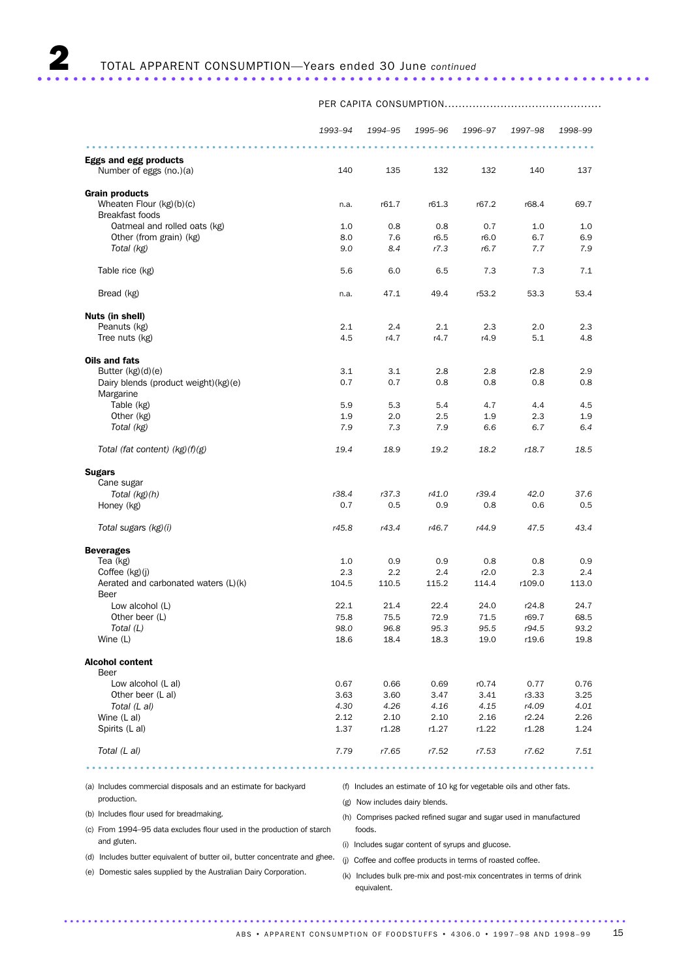|                                                         | 1993-94      | 1994-95      | 1995–96      | 1996-97      | 1997-98        | 1998-99      |
|---------------------------------------------------------|--------------|--------------|--------------|--------------|----------------|--------------|
|                                                         |              |              |              |              |                |              |
| <b>Eggs and egg products</b><br>Number of eggs (no.)(a) | 140          | 135          | 132          | 132          | 140            | 137          |
| <b>Grain products</b>                                   |              |              |              |              |                |              |
| Wheaten Flour (kg)(b)(c)<br><b>Breakfast foods</b>      | n.a.         | r61.7        | r61.3        | r67.2        | r68.4          | 69.7         |
| Oatmeal and rolled oats (kg)                            | 1.0          | 0.8          | 0.8          | 0.7          | 1.0            | 1.0          |
| Other (from grain) (kg)                                 | 8.0          | 7.6          | r6.5         | r6.0         | 6.7            | 6.9          |
| Total (kg)                                              | 9.0          | 8.4          | r7.3         | r6.7         | 7.7            | 7.9          |
| Table rice (kg)                                         | 5.6          | 6.0          | 6.5          | 7.3          | 7.3            | 7.1          |
| Bread (kg)                                              | n.a.         | 47.1         | 49.4         | r53.2        | 53.3           | 53.4         |
| Nuts (in shell)                                         |              |              |              |              |                |              |
| Peanuts (kg)                                            | 2.1          | 2.4          | 2.1          | 2.3          | 2.0            | 2.3          |
| Tree nuts (kg)                                          | 4.5          | r4.7         | r4.7         | r4.9         | 5.1            | 4.8          |
| Oils and fats                                           |              |              |              |              |                |              |
| Butter $(kg)(d)(e)$                                     | 3.1          | 3.1          | 2.8          | 2.8          | r2.8           | 2.9          |
| Dairy blends (product weight)(kg)(e)                    | 0.7          | 0.7          | 0.8          | 0.8          | 0.8            | 0.8          |
| Margarine                                               |              |              |              |              |                |              |
| Table (kg)                                              | 5.9          | 5.3          | 5.4          | 4.7          | 4.4            | 4.5          |
| Other (kg)                                              | 1.9          | 2.0          | 2.5          | 1.9          | 2.3            | 1.9          |
| Total (kg)                                              | 7.9          | 7.3          | 7.9          | 6.6          | 6.7            | 6.4          |
| Total (fat content) $(kg)(f)(g)$                        | 19.4         | 18.9         | 19.2         | 18.2         | r18.7          | 18.5         |
| <b>Sugars</b>                                           |              |              |              |              |                |              |
| Cane sugar                                              |              |              |              |              |                |              |
| Total (kg)(h)                                           | r38.4        | r37.3        | r41.0        | r39.4        | 42.0           | 37.6         |
| Honey (kg)                                              | 0.7          | 0.5          | 0.9          | 0.8          | 0.6            | 0.5          |
| Total sugars (kg)(i)                                    | r45.8        | r43.4        | r46.7        | r44.9        | 47.5           | 43.4         |
| <b>Beverages</b>                                        |              |              |              |              |                |              |
| Tea (kg)                                                | 1.0          | 0.9          | 0.9          | 0.8          | 0.8            | 0.9          |
| Coffee (kg)(j)                                          | 2.3          | 2.2          | 2.4          | r2.0         | 2.3            | 2.4          |
| Aerated and carbonated waters (L)(k)<br>Beer            | 104.5        | 110.5        | 115.2        | 114.4        | r109.0         | 113.0        |
| Low alcohol (L)                                         | 22.1         | 21.4         | 22.4         | 24.0         | r24.8          | 24.7         |
| Other beer (L)                                          | 75.8         | 75.5         | 72.9         | 71.5         | r69.7          | 68.5         |
| Total (L)                                               | 98.0         | 96.8         | 95.3         | 95.5         | r94.5          | 93.2         |
| Wine (L)                                                | 18.6         | 18.4         | 18.3         | 19.0         | r19.6          | 19.8         |
| <b>Alcohol content</b>                                  |              |              |              |              |                |              |
| Beer                                                    |              |              |              |              |                |              |
| Low alcohol (L al)                                      | 0.67         | 0.66         | 0.69         | r0.74        | 0.77           | 0.76         |
| Other beer (L al)<br>Total (L al)                       | 3.63<br>4.30 | 3.60<br>4.26 | 3.47         | 3.41<br>4.15 | r3.33<br>r4.09 | 3.25<br>4.01 |
| Wine (L al)                                             | 2.12         | 2.10         | 4.16<br>2.10 | 2.16         | r2.24          | 2.26         |
| Spirits (L al)                                          | 1.37         | r1.28        | r1.27        | r1.22        | r1.28          | 1.24         |
|                                                         |              |              |              |              |                |              |
| Total (L al)                                            | 7.79         | r7.65        | r7.52        | r7.53        | r7.62          | 7.51         |

.....................................................................................

PER CAPITA CONSUMPTION.............................................

(a) Includes commercial disposals and an estimate for backyard

(f) Includes an estimate of 10 kg for vegetable oils and other fats.

production. (b) Includes flour used for breadmaking.

(g) Now includes dairy blends.

(h) Comprises packed refined sugar and sugar used in manufactured foods.

(c) From 1994–95 data excludes flour used in the production of starch and gluten. (i) Includes sugar content of syrups and glucose.

(d) Includes butter equivalent of butter oil, butter concentrate and ghee.

(e) Domestic sales supplied by the Australian Dairy Corporation.

(j) Coffee and coffee products in terms of roasted coffee.

(k) Includes bulk pre-mix and post-mix concentrates in terms of drink equivalent.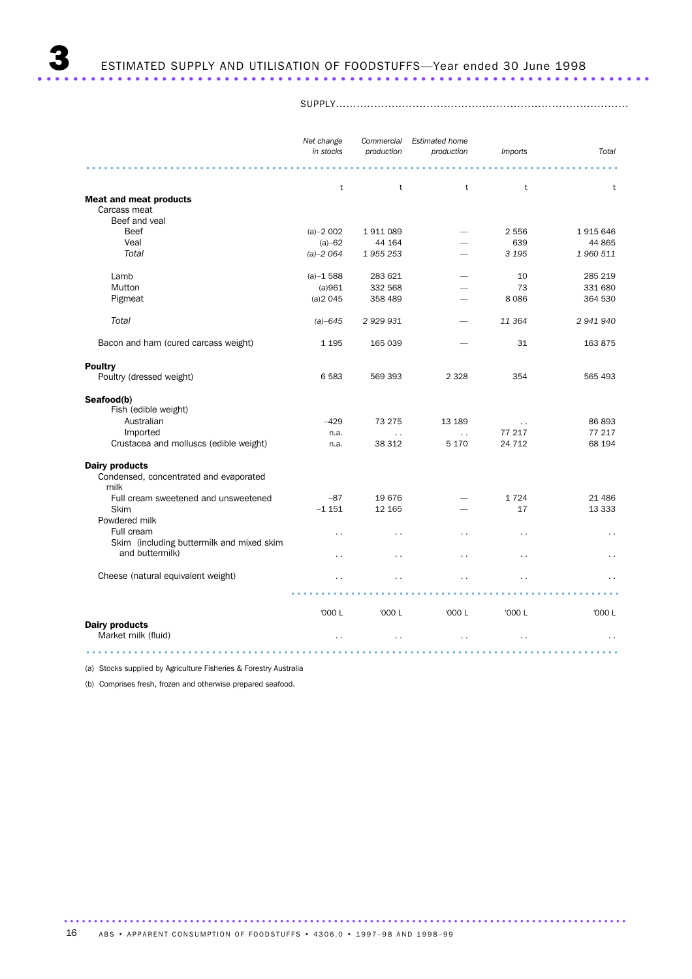SUPPLY....................................................................................

|                                                | Net change<br>in stocks | production           | Commercial Estimated home<br>production | <i>Imports</i>       | Total                |
|------------------------------------------------|-------------------------|----------------------|-----------------------------------------|----------------------|----------------------|
|                                                | t                       | $\mathsf{t}$         | $\mathsf{t}$                            | t                    | t                    |
| <b>Meat and meat products</b>                  |                         |                      |                                         |                      |                      |
| Carcass meat                                   |                         |                      |                                         |                      |                      |
| Beef and yeal                                  |                         |                      |                                         |                      |                      |
| <b>Beef</b>                                    | $(a)-2002$              | 1911089              |                                         | 2 5 5 6              | 1915646              |
| Veal                                           | $(a) - 62$              | 44 164               |                                         | 639                  | 44 865               |
| Total                                          | $(a) - 2064$            | 1955253              |                                         | 3 1 9 5              | 1960 511             |
| Lamb                                           | $(a)-1588$              | 283 621              |                                         | 10                   | 285 219              |
| Mutton                                         | (a)961                  | 332 568              |                                         | 73                   | 331 680              |
| Pigmeat                                        | (a)2045                 | 358 489              |                                         | 8086                 | 364 530              |
| Total                                          | $(a) - 645$             | 2 9 29 9 31          |                                         | 11 364               | 2 941 940            |
| Bacon and ham (cured carcass weight)           | 1 1 9 5                 | 165 039              |                                         | 31                   | 163 875              |
| <b>Poultry</b>                                 |                         |                      |                                         |                      |                      |
| Poultry (dressed weight)                       | 6 5 8 3                 | 569 393              | 2 3 2 8                                 | 354                  | 565 493              |
| Seafood(b)                                     |                         |                      |                                         |                      |                      |
| Fish (edible weight)                           |                         |                      |                                         |                      |                      |
| Australian                                     | $-429$                  | 73 275               | 13 189                                  | $\sim$ $\sim$        | 86 893               |
| Imported                                       | n.a.                    | $\ddot{\phantom{a}}$ | $\ddotsc$                               | 77 217               | 77 217               |
| Crustacea and molluscs (edible weight)         | n.a.                    | 38 312               | 5 1 7 0                                 | 24 7 1 2             | 68 194               |
| <b>Dairy products</b>                          |                         |                      |                                         |                      |                      |
| Condensed, concentrated and evaporated<br>milk |                         |                      |                                         |                      |                      |
| Full cream sweetened and unsweetened           | $-87$                   | 19 676               |                                         | 1724                 | 21 4 8 6             |
| <b>Skim</b>                                    | $-1151$                 | 12 165               |                                         | 17                   | 13 3 3 3             |
| Powdered milk                                  |                         |                      |                                         |                      |                      |
| Full cream                                     | $\ddot{\phantom{0}}$    | $\ddot{\phantom{0}}$ | $\ddot{\phantom{0}}$                    | $\ddot{\phantom{0}}$ | $\sim$               |
| Skim (including buttermilk and mixed skim      |                         |                      |                                         |                      |                      |
| and buttermilk)                                | $\ddot{\phantom{0}}$    | $\ddot{\phantom{0}}$ | $\ddot{\phantom{0}}$                    | $\ddot{\phantom{0}}$ | . .                  |
| Cheese (natural equivalent weight)             |                         | $\ddot{\phantom{0}}$ |                                         |                      | . .                  |
|                                                |                         |                      |                                         |                      |                      |
|                                                | '000 L                  | '000 L               | '000 L                                  | '000 L               | '000 L               |
| <b>Dairy products</b><br>Market milk (fluid)   | $\ddot{\phantom{0}}$    | $\ddot{\phantom{0}}$ | $\ddot{\phantom{0}}$                    | $\ddot{\phantom{0}}$ | $\ddot{\phantom{0}}$ |
|                                                |                         | 1.111                |                                         |                      |                      |

(a) Stocks supplied by Agriculture Fisheries & Forestry Australia

(b) Comprises fresh, frozen and otherwise prepared seafood.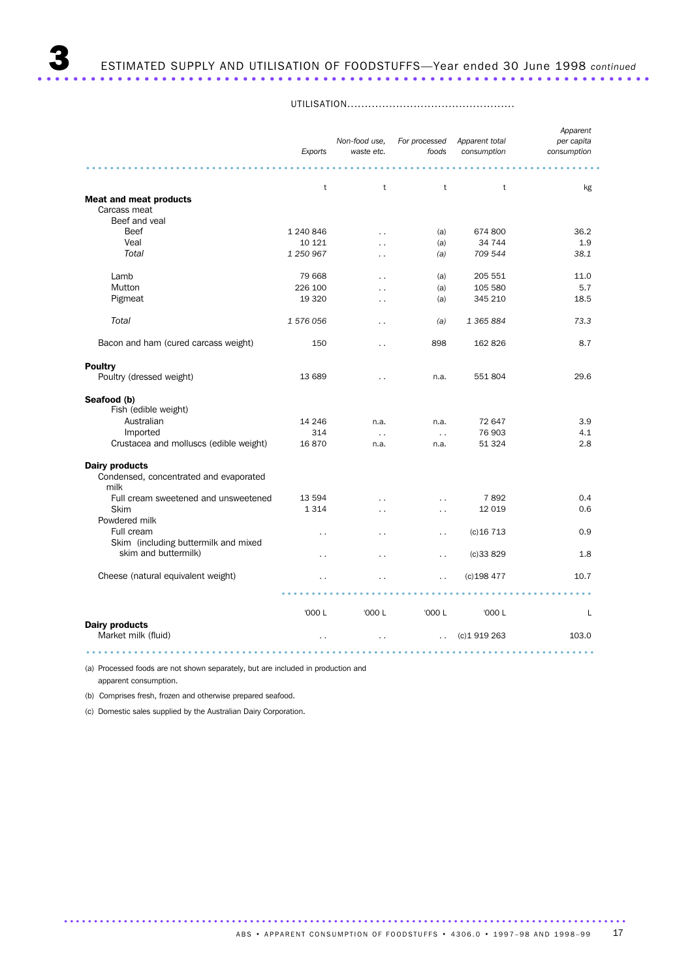UTILISATION................................................

|                                                | Exports              | Non-food use,<br>waste etc. | For processed<br>foods | Apparent total<br>consumption | Apparent<br>per capita<br>consumption |
|------------------------------------------------|----------------------|-----------------------------|------------------------|-------------------------------|---------------------------------------|
|                                                | t                    | t                           | t                      | t                             | kg                                    |
| <b>Meat and meat products</b>                  |                      |                             |                        |                               |                                       |
| Carcass meat                                   |                      |                             |                        |                               |                                       |
| Beef and veal                                  |                      |                             |                        |                               |                                       |
| <b>Beef</b>                                    | 1 240 846            | $\ddot{\phantom{a}}$        | (a)                    | 674 800                       | 36.2                                  |
| Veal                                           | 10 121               | $\ddot{\phantom{0}}$        | (a)                    | 34 744                        | 1.9                                   |
| Total                                          | 1 250 967            | $\ddot{\phantom{0}}$        | (a)                    | 709 544                       | 38.1                                  |
| Lamb                                           | 79 668               | $\ddot{\phantom{0}}$        | (a)                    | 205 551                       | 11.0                                  |
| Mutton                                         | 226 100              | $\ddot{\phantom{0}}$        | (a)                    | 105 580                       | 5.7                                   |
| Pigmeat                                        | 19 3 20              | $\ddot{\phantom{0}}$        | (a)                    | 345 210                       | 18.5                                  |
| Total                                          | 1 576 056            | $\ddot{\phantom{0}}$        | (a)                    | 1 365 884                     | 73.3                                  |
| Bacon and ham (cured carcass weight)           | 150                  | $\ddot{\phantom{0}}$        | 898                    | 162 826                       | 8.7                                   |
| <b>Poultry</b>                                 |                      |                             |                        |                               |                                       |
| Poultry (dressed weight)                       | 13 689               | $\ddot{\phantom{0}}$        | n.a.                   | 551 804                       | 29.6                                  |
| Seafood (b)                                    |                      |                             |                        |                               |                                       |
| Fish (edible weight)                           |                      |                             |                        |                               |                                       |
| Australian                                     | 14 24 6              | n.a.                        | n.a.                   | 72 647                        | 3.9                                   |
| Imported                                       | 314                  | $\ddotsc$                   | $\ddots$               | 76 903                        | 4.1                                   |
| Crustacea and molluscs (edible weight)         | 16870                | n.a.                        | n.a.                   | 51 324                        | 2.8                                   |
| <b>Dairy products</b>                          |                      |                             |                        |                               |                                       |
| Condensed, concentrated and evaporated<br>milk |                      |                             |                        |                               |                                       |
| Full cream sweetened and unsweetened           | 13 594               | $\ddot{\phantom{0}}$        | $\ddot{\phantom{0}}$   | 7892                          | 0.4                                   |
| Skim                                           | 1314                 | $\ddot{\phantom{0}}$        | $\ddot{\phantom{0}}$   | 12 0 19                       | 0.6                                   |
| Powdered milk                                  |                      |                             |                        |                               |                                       |
| Full cream                                     | $\ddot{\phantom{0}}$ | . .                         | . .                    | $(c)$ 16 713                  | 0.9                                   |
| Skim (including buttermilk and mixed           |                      |                             |                        |                               |                                       |
| skim and buttermilk)                           | $\ddot{\phantom{0}}$ | $\ddot{\phantom{0}}$        | $\ddot{\phantom{0}}$   | (c)33829                      | 1.8                                   |
| Cheese (natural equivalent weight)             |                      |                             | $\ddot{\phantom{0}}$   | $(c)$ 198 477                 | 10.7                                  |
|                                                |                      |                             |                        |                               |                                       |
|                                                | '000 L               | '000 L                      | '000 L                 | '000 L                        | L                                     |
| <b>Dairy products</b><br>Market milk (fluid)   | $\sim$ $\sim$        | $\ddot{\phantom{0}}$        | $\ddot{\phantom{a}}$   | (c) 1919 263                  | 103.0                                 |
|                                                |                      |                             |                        |                               |                                       |

(a) Processed foods are not shown separately, but are included in production and apparent consumption.

(b) Comprises fresh, frozen and otherwise prepared seafood.

(c) Domestic sales supplied by the Australian Dairy Corporation.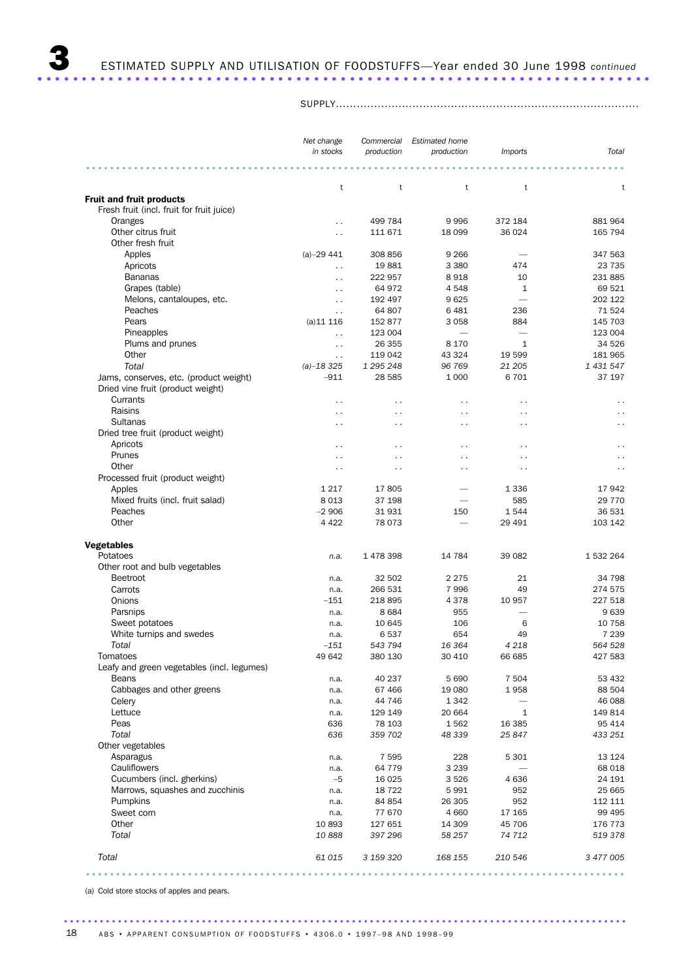SUPPLY.......................................................................................

|                                               | Net change             | Commercial           | <b>Estimated home</b>    |                          |                      |
|-----------------------------------------------|------------------------|----------------------|--------------------------|--------------------------|----------------------|
|                                               | in stocks              | production           | production               | <i>Imports</i>           | Total                |
|                                               |                        |                      |                          |                          |                      |
|                                               | t                      | t                    | t                        | t                        | t                    |
| <b>Fruit and fruit products</b>               |                        |                      |                          |                          |                      |
| Fresh fruit (incl. fruit for fruit juice)     |                        |                      |                          |                          |                      |
| Oranges                                       | $\ddot{\phantom{a}}$   | 499 784              | 9996                     | 372 184                  | 881 964              |
| Other citrus fruit                            | $\ddot{\phantom{0}}$   | 111 671              | 18 099                   | 36 0 24                  | 165 794              |
| Other fresh fruit                             |                        |                      |                          |                          |                      |
| Apples                                        | $(a) - 2941$           | 308 856              | 9 2 6 6                  |                          | 347 563              |
| Apricots                                      | $\ddot{\phantom{1}}$ . | 19881                | 3 3 8 0                  | 474                      | 23 7 35              |
| <b>Bananas</b>                                | $\ddot{\phantom{0}}$   | 222 957              | 8918                     | 10                       | 231 885              |
| Grapes (table)                                | $\ddot{\phantom{0}}$   | 64 972               | 4548                     | $\mathbf{1}$             | 69 521               |
| Melons, cantaloupes, etc.                     | $\ddot{\phantom{0}}$   | 192 497              | 9625                     |                          | 202 122              |
| Peaches                                       | $\ddotsc$              | 64 807               | 6481                     | 236                      | 71524                |
| Pears                                         | $(a)$ 11 116           | 152 877              | 3 0 5 8                  | 884                      | 145 703              |
| Pineapples                                    | $\ddotsc$              | 123 004              | $\overline{\phantom{0}}$ | -                        | 123 004              |
| Plums and prunes                              | $\ddotsc$              | 26 355               | 8 1 7 0                  | $\mathbf{1}$             | 34 526               |
| Other                                         | $\ddot{\phantom{a}}$   | 119 042              | 43 324                   | 19 599                   | 181 965              |
| Total                                         | $(a) - 18325$          | 1 295 248            | 96 769                   | 21 205                   | 1 431 547            |
| Jams, conserves, etc. (product weight)        | $-911$                 | 28 5 85              | 1 0 0 0                  | 6701                     | 37 197               |
| Dried vine fruit (product weight)             |                        |                      |                          |                          |                      |
| Currants<br>Raisins                           | $\ddot{\phantom{1}}$   | $\ddot{\phantom{1}}$ | $\ddot{\phantom{1}}$     | $\ddot{\phantom{1}}$     | $\sim$               |
|                                               | $\ddot{\phantom{0}}$   | $\ddot{\phantom{0}}$ | $\ddot{\phantom{0}}$     | . .                      | $\ddot{\phantom{0}}$ |
| Sultanas<br>Dried tree fruit (product weight) | $\ddot{\phantom{0}}$   | $\ddot{\phantom{0}}$ | $\ddot{\phantom{0}}$     | $\ddot{\phantom{0}}$     | $\ddot{\phantom{0}}$ |
|                                               |                        |                      |                          |                          |                      |
| Apricots<br>Prunes                            | $\ddot{\phantom{0}}$   | $\ddot{\phantom{0}}$ | $\ddot{\phantom{0}}$     | $\ddot{\phantom{0}}$     | $\ddot{\phantom{0}}$ |
| Other                                         | $\ddot{\phantom{0}}$   | $\ddot{\phantom{1}}$ | $\ddot{\phantom{1}}$     | .,                       | $\sim$               |
|                                               | $\ddot{\phantom{0}}$   | $\ddot{\phantom{0}}$ | $\ddot{\phantom{0}}$     | $\ddot{\phantom{0}}$     | $\ddot{\phantom{0}}$ |
| Processed fruit (product weight)<br>Apples    | 1 2 1 7                | 17805                |                          | 1 3 3 6                  | 17942                |
| Mixed fruits (incl. fruit salad)              | 8 0 1 3                | 37 198               |                          | 585                      | 29 7 7 0             |
| Peaches                                       | $-2906$                | 31931                | 150                      | 1544                     | 36 531               |
| Other                                         | 4 4 2 2                | 78 073               |                          | 29 491                   | 103 142              |
|                                               |                        |                      |                          |                          |                      |
| <b>Vegetables</b>                             |                        |                      |                          |                          |                      |
| Potatoes                                      | n.a.                   | 1 478 398            | 14 784                   | 39 082                   | 1 532 264            |
| Other root and bulb vegetables                |                        |                      |                          |                          |                      |
| <b>Beetroot</b>                               | n.a.                   | 32 502               | 2 2 7 5                  | 21                       | 34 798               |
| Carrots                                       | n.a.                   | 266 531              | 7996                     | 49                       | 274 575              |
| Onions                                        | $-151$                 | 218 895              | 4378                     | 10 957                   | 227 518              |
| Parsnips                                      | n.a.                   | 8 6 8 4              | 955                      | $\overline{\phantom{0}}$ | 9639                 |
| Sweet potatoes                                | n.a.                   | 10 645               | 106                      | 6                        | 10 758               |
| White turnips and swedes                      | n.a.                   | 6537                 | 654                      | 49                       | 7 2 3 9              |
| Total                                         | $-151$                 | 543 794              | 16 364                   | 4 2 1 8                  | 564 528              |
| Tomatoes                                      | 49 642                 | 380 130              | 30 410                   | 66 685                   | 427 583              |
| Leafy and green vegetables (incl. legumes)    |                        |                      |                          |                          |                      |
| Beans                                         | n.a.                   | 40 237               | 5 6 9 0                  | 7 5 0 4                  | 53 432               |
| Cabbages and other greens                     | n.a.                   | 67 466               | 19 080                   | 1958                     | 88 504               |
| Celery                                        | n.a.                   | 44 746               | 1 3 4 2                  |                          | 46 088               |
| Lettuce                                       | n.a.                   | 129 149              | 20 664                   | $\mathbf{1}$             | 149 814              |
| Peas                                          | 636                    | 78 103               | 1562                     | 16 385                   | 95 414               |
| Total                                         | 636                    | 359 702              | 48 339                   | 25 847                   | 433 251              |
| Other vegetables                              |                        |                      |                          |                          |                      |
| Asparagus                                     | n.a.                   | 7 5 9 5              | 228                      | 5 3 0 1                  | 13 1 24              |
| Cauliflowers                                  | n.a.                   | 64 779               | 3 2 3 9                  |                          | 68 018               |
| Cucumbers (incl. gherkins)                    | $-5$                   | 16 0 25              | 3526                     | 4636                     | 24 191               |
| Marrows, squashes and zucchinis               | n.a.                   | 18 7 22              | 5991                     | 952                      | 25 665               |
| Pumpkins                                      | n.a.                   | 84 854               | 26 305                   | 952                      | 112 111              |
| Sweet corn                                    | n.a.                   | 77 670               | 4 6 6 0                  | 17 165                   | 99 4 95              |
| Other                                         | 10 893                 | 127 651              | 14 309                   | 45 706                   | 176 773              |
| Total                                         | 10888                  | 397 296              | 58 257                   | 74 712                   | 519378               |
| Total                                         | 61 015                 | 3 159 320            | 168 155                  | 210 546                  | 3 477 005            |
|                                               |                        |                      |                          |                          |                      |
|                                               |                        |                      |                          |                          |                      |

(a) Cold store stocks of apples and pears.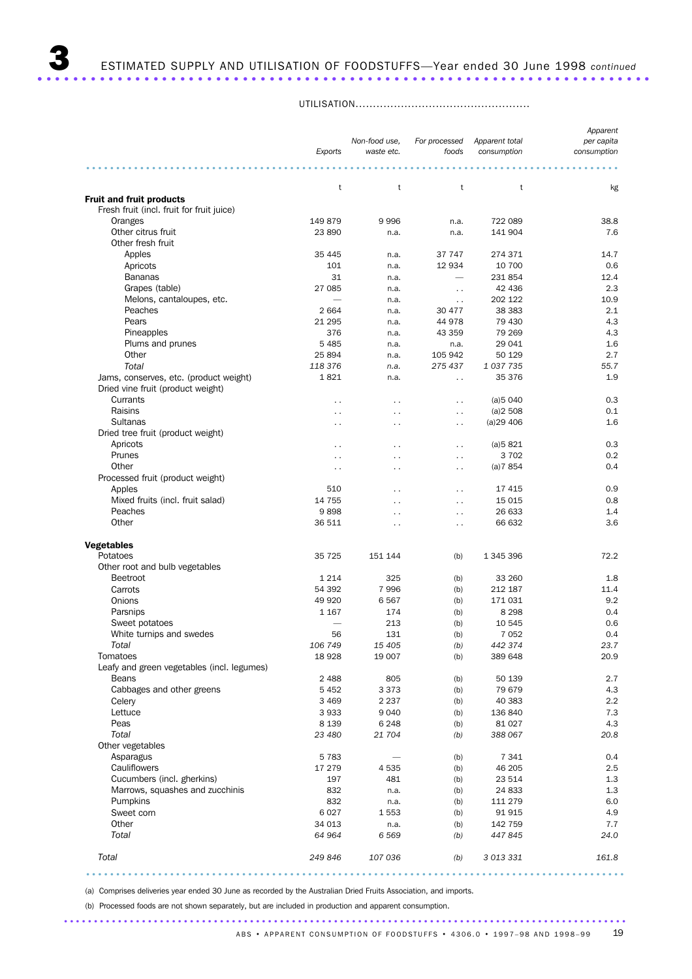## 3 ESTIMATED SUPPLY AND UTILISATION OF FOODSTUFFS—Year ended 30 June 1998 *continued* ..................................................................... .

UTILISATION..................................................

|                                                                              |                      |                      |                        |                | Apparent    |
|------------------------------------------------------------------------------|----------------------|----------------------|------------------------|----------------|-------------|
|                                                                              |                      | Non-food use.        | For processed          | Apparent total | per capita  |
|                                                                              | Exports              | waste etc.           | foods                  | consumption    | consumption |
|                                                                              |                      |                      |                        |                |             |
|                                                                              | t                    | t                    | t                      | t              | kg          |
| <b>Fruit and fruit products</b><br>Fresh fruit (incl. fruit for fruit juice) |                      |                      |                        |                |             |
| Oranges                                                                      | 149 879              | 9996                 | n.a.                   | 722 089        | 38.8        |
| Other citrus fruit                                                           | 23 890               | n.a.                 | n.a.                   | 141 904        | 7.6         |
| Other fresh fruit                                                            |                      |                      |                        |                |             |
| Apples                                                                       | 35 445               | n.a.                 | 37 747                 | 274 371        | 14.7        |
| Apricots                                                                     | 101                  | n.a.                 | 12 934                 | 10 700         | 0.6         |
| <b>Bananas</b>                                                               | 31                   | n.a.                 |                        | 231 854        | 12.4        |
| Grapes (table)                                                               | 27 085               | n.a.                 | $\ddot{\phantom{0}}$   | 42 436         | 2.3         |
| Melons, cantaloupes, etc.                                                    |                      | n.a.                 | $\ddot{\phantom{1}}$ . | 202 122        | 10.9        |
| Peaches                                                                      | 2664                 | n.a.                 | 30 477                 | 38 3 8 3       | 2.1         |
| Pears                                                                        | 21 295               | n.a.                 | 44 978                 | 79 430         | 4.3         |
| Pineapples                                                                   | 376                  | n.a.                 | 43 359                 | 79 269         | 4.3         |
| Plums and prunes                                                             | 5 4 8 5              | n.a.                 | n.a.                   | 29 041         | 1.6         |
| Other                                                                        | 25 894               | n.a.                 | 105 942                | 50 129         | 2.7         |
| Total                                                                        | 118 376              | n.a.                 | 275 437                | 1037735        | 55.7        |
| Jams, conserves, etc. (product weight)                                       | 1821                 | n.a.                 | $\ddot{\phantom{a}}$   | 35 376         | 1.9         |
| Dried vine fruit (product weight)                                            |                      |                      |                        |                |             |
| Currants                                                                     | $\ddot{\phantom{0}}$ | $\ddot{\phantom{0}}$ | $\ddot{\phantom{0}}$   | (a)5040        | 0.3         |
| Raisins                                                                      | $\ddot{\phantom{0}}$ | $\ddot{\phantom{0}}$ | $\sim$                 | (a)2508        | 0.1         |
| Sultanas                                                                     | $\ddot{\phantom{0}}$ | $\ddot{\phantom{0}}$ | $\ddot{\phantom{0}}$   | (a)29406       | 1.6         |
| Dried tree fruit (product weight)                                            |                      |                      |                        |                |             |
| Apricots                                                                     | $\ddot{\phantom{0}}$ | $\ddot{\phantom{0}}$ | $\ddot{\phantom{0}}$   | (a)5821        | 0.3         |
| Prunes                                                                       | $\ddot{\phantom{0}}$ | $\ddot{\phantom{0}}$ | $\ddot{\phantom{0}}$   | 3 7 0 2        | 0.2         |
| Other                                                                        | $\sim$ $\sim$        | $\sim$               | $\sim$                 | (a)7854        | 0.4         |
| Processed fruit (product weight)                                             |                      |                      |                        |                |             |
| Apples                                                                       | 510                  | $\ddot{\phantom{0}}$ | $\ddot{\phantom{0}}$   | 17 415         | 0.9         |
| Mixed fruits (incl. fruit salad)                                             | 14 755               | . .                  | $\ddot{\phantom{0}}$   | 15 0 15        | 0.8         |
| Peaches                                                                      | 9898                 | $\ddot{\phantom{0}}$ | $\ddot{\phantom{0}}$   | 26 633         | 1.4         |
| Other                                                                        | 36 511               | $\ddot{\phantom{0}}$ | $\ddot{\phantom{0}}$   | 66 632         | 3.6         |
|                                                                              |                      |                      |                        |                |             |
| <b>Vegetables</b><br>Potatoes                                                | 35 7 25              | 151 144              |                        | 1 345 396      | 72.2        |
| Other root and bulb vegetables                                               |                      |                      | (b)                    |                |             |
| <b>Beetroot</b>                                                              | 1 2 1 4              | 325                  | (b)                    | 33 260         | 1.8         |
| Carrots                                                                      | 54 392               | 7996                 | (b)                    | 212 187        | 11.4        |
| Onions                                                                       | 49 920               | 6567                 | (b)                    | 171031         | 9.2         |
| Parsnips                                                                     | 1 1 6 7              | 174                  | (b)                    | 8 2 9 8        | 0.4         |
| Sweet potatoes                                                               |                      | 213                  | (b)                    | 10 545         | 0.6         |
| White turnips and swedes                                                     | 56                   | 131                  | (b)                    | 7 0 5 2        | 0.4         |
| Total                                                                        | 106 749              | 15 405               | (b)                    | 442 374        | 23.7        |
| Tomatoes                                                                     | 18928                | 19 007               | (b)                    | 389 648        | 20.9        |
| Leafy and green vegetables (incl. legumes)                                   |                      |                      |                        |                |             |
| Beans                                                                        | 2488                 | 805                  | (b)                    | 50 139         | 2.7         |
| Cabbages and other greens                                                    | 5 4 5 2              | 3 3 7 3              | (b)                    | 79 679         | 4.3         |
| Celery                                                                       | 3 4 6 9              | 2 2 3 7              | (b)                    | 40 383         | 2.2         |
| Lettuce                                                                      | 3933                 | 9 0 4 0              | (b)                    | 136 840        | 7.3         |
| Peas                                                                         | 8 1 3 9              | 6 2 4 8              | (b)                    | 81 0 27        | 4.3         |
| Total                                                                        | 23 480               | 21 704               | (b)                    | 388 067        | 20.8        |
| Other vegetables                                                             |                      |                      |                        |                |             |
| Asparagus                                                                    | 5783                 |                      | (b)                    | 7 3 4 1        | 0.4         |
| Cauliflowers                                                                 | 17 279               | 4535                 | (b)                    | 46 205         | 2.5         |
| Cucumbers (incl. gherkins)                                                   | 197                  | 481                  | (b)                    | 23 514         | 1.3         |
| Marrows, squashes and zucchinis                                              | 832                  | n.a.                 | (b)                    | 24 833         | 1.3         |
| Pumpkins                                                                     | 832                  | n.a.                 | (b)                    | 111 279        | 6.0         |
| Sweet corn                                                                   | 6027                 | 1553                 | (b)                    | 91915          | 4.9         |
| Other                                                                        | 34 013               | n.a.                 | (b)                    | 142 759        | 7.7         |
| Total                                                                        | 64 964               | 6569                 | (b)                    | 447845         | 24.0        |
|                                                                              |                      |                      |                        |                |             |
| Total                                                                        | 249 846              | 107 036              | (b)                    | 3 013 331      | 161.8       |

(a) Comprises deliveries year ended 30 June as recorded by the Australian Dried Fruits Association, and imports.

(b) Processed foods are not shown separately, but are included in production and apparent consumption.

..........................................................................................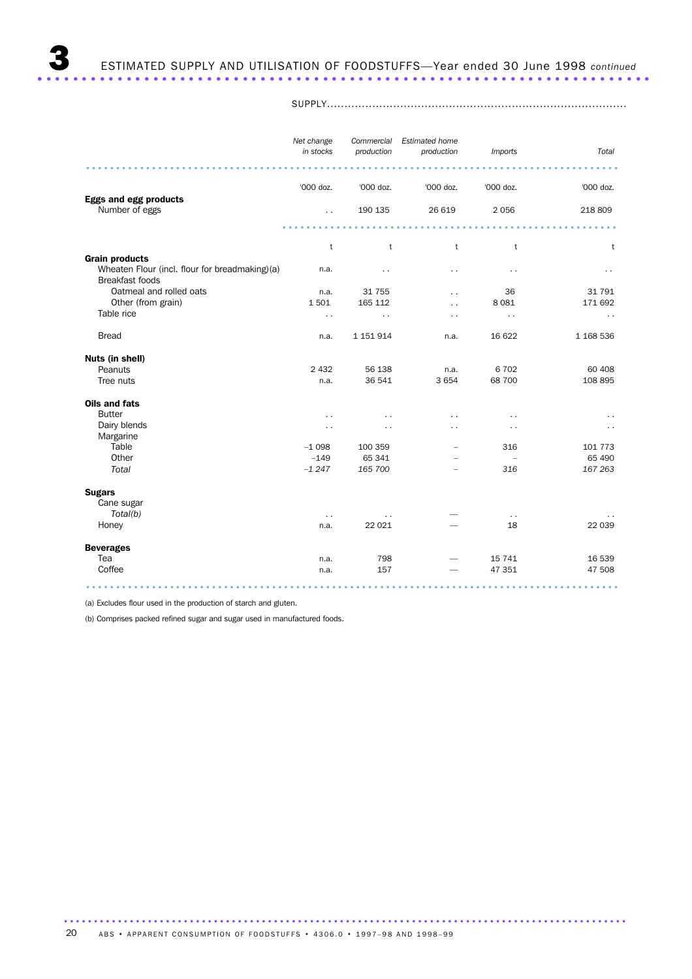SUPPLY......................................................................................

|                                                                          | Net change<br>in stocks | Commercial<br>production | <b>Estimated home</b><br>production | <b>Imports</b>       | Total         |
|--------------------------------------------------------------------------|-------------------------|--------------------------|-------------------------------------|----------------------|---------------|
|                                                                          |                         |                          |                                     |                      |               |
|                                                                          | '000 doz.               | '000 doz.                | '000 doz.                           | '000 doz.            | '000 doz.     |
| <b>Eggs and egg products</b><br>Number of eggs                           | $\ddot{\phantom{a}}$    | 190 135                  | 26 619                              | 2056                 | 218 809       |
|                                                                          |                         |                          |                                     |                      |               |
|                                                                          | t                       | t                        | t                                   | t                    | t             |
| <b>Grain products</b>                                                    |                         |                          |                                     |                      |               |
| Wheaten Flour (incl. flour for breadmaking)(a)<br><b>Breakfast foods</b> | n.a.                    |                          | $\ddot{\phantom{0}}$                |                      |               |
| Oatmeal and rolled oats                                                  | n.a.                    | 31 7 5 5                 | $\ddot{\phantom{0}}$                | 36                   | 31 791        |
| Other (from grain)                                                       | 1501                    | 165 112                  | $\ddot{\phantom{0}}$                | 8 0 8 1              | 171 692       |
| Table rice                                                               | $\ddot{\phantom{0}}$    | $\ddot{\phantom{1}}$ .   | $\ddot{\phantom{0}}$                | $\ddot{\phantom{1}}$ | $\sim$ $\sim$ |
| <b>Bread</b>                                                             | n.a.                    | 1 151 914                | n.a.                                | 16 622               | 1 168 536     |
| Nuts (in shell)                                                          |                         |                          |                                     |                      |               |
| Peanuts                                                                  | 2 4 3 2                 | 56 138                   | n.a.                                | 6702                 | 60 40 8       |
| Tree nuts                                                                | n.a.                    | 36 541                   | 3 6 5 4                             | 68 700               | 108 895       |
| Oils and fats                                                            |                         |                          |                                     |                      |               |
| <b>Butter</b>                                                            | . .                     |                          |                                     |                      |               |
| Dairy blends                                                             | . .                     |                          |                                     |                      |               |
| Margarine                                                                |                         |                          |                                     |                      |               |
| Table                                                                    | $-1098$                 | 100 359                  |                                     | 316                  | 101 773       |
| Other                                                                    | $-149$                  | 65 341                   |                                     | $\overline{a}$       | 65 490        |
| Total                                                                    | $-1247$                 | 165 700                  |                                     | 316                  | 167 263       |
| <b>Sugars</b>                                                            |                         |                          |                                     |                      |               |
| Cane sugar                                                               |                         |                          |                                     |                      |               |
| Total(b)                                                                 | $\sim$ $\sim$           | $\sim$ $\sim$            |                                     | $\sim$ $\sim$        |               |
| Honey                                                                    | n.a.                    | 22 0 21                  |                                     | 18                   | 22 039        |
| <b>Beverages</b>                                                         |                         |                          |                                     |                      |               |
| Tea                                                                      | n.a.                    | 798                      |                                     | 15 741               | 16 539        |
| Coffee                                                                   | n.a.                    | 157                      |                                     | 47 351               | 47 508        |
|                                                                          |                         |                          |                                     |                      |               |

(a) Excludes flour used in the production of starch and gluten.

(b) Comprises packed refined sugar and sugar used in manufactured foods.

.............................................................................................. ABS • APPARENT CONSUMPTION OF FOODSTUFFS • 4306.0 • 1997-98 AND 1998-99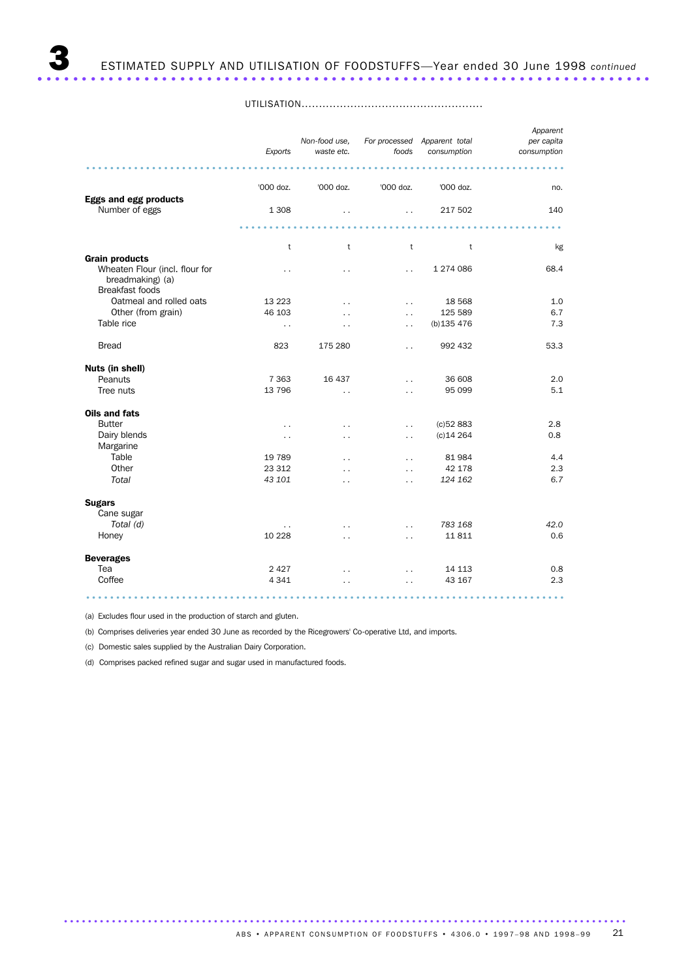UTILISATION....................................................

|                                                                                                       | Exports              | Non-food use,<br>waste etc. | foods                | For processed Apparent total<br>consumption | Apparent<br>per capita<br>consumption |
|-------------------------------------------------------------------------------------------------------|----------------------|-----------------------------|----------------------|---------------------------------------------|---------------------------------------|
|                                                                                                       |                      |                             |                      |                                             |                                       |
|                                                                                                       | '000 doz.            | '000 doz.                   | '000 doz.            | '000 doz.                                   | no.                                   |
| Eggs and egg products<br>Number of eggs                                                               | 1 3 0 8              | $\ddotsc$                   | $\ddot{\phantom{0}}$ | 217 502                                     | 140                                   |
|                                                                                                       |                      |                             |                      |                                             |                                       |
|                                                                                                       | t                    | t                           | t                    | t                                           | kg                                    |
| <b>Grain products</b><br>Wheaten Flour (incl. flour for<br>breadmaking) (a)<br><b>Breakfast foods</b> | $\ddot{\phantom{0}}$ | $\ddot{\phantom{0}}$        | $\ddot{\phantom{0}}$ | 1 274 086                                   | 68.4                                  |
| Oatmeal and rolled oats                                                                               | 13 2 23              | $\ddot{\phantom{0}}$        | $\ddot{\phantom{0}}$ | 18 5 68                                     | 1.0                                   |
| Other (from grain)                                                                                    | 46 103               | . .                         | $\ddot{\phantom{0}}$ | 125 589                                     | 6.7                                   |
| Table rice                                                                                            | $\ddot{\phantom{0}}$ | $\ddot{\phantom{0}}$        | $\ddot{\phantom{a}}$ | (b)135 476                                  | 7.3                                   |
| <b>Bread</b>                                                                                          | 823                  | 175 280                     | $\ddot{\phantom{0}}$ | 992 432                                     | 53.3                                  |
| Nuts (in shell)                                                                                       |                      |                             |                      |                                             |                                       |
| Peanuts                                                                                               | 7 3 6 3              | 16 437                      | $\ddot{\phantom{0}}$ | 36 608                                      | 2.0                                   |
| Tree nuts                                                                                             | 13 796               | $\ddot{\phantom{0}}$        |                      | 95 099                                      | 5.1                                   |
| Oils and fats                                                                                         |                      |                             |                      |                                             |                                       |
| <b>Butter</b>                                                                                         | $\ddot{\phantom{0}}$ | $\ddot{\phantom{0}}$        | . .                  | (c)52883                                    | 2.8                                   |
| Dairy blends                                                                                          | $\ddot{\phantom{0}}$ | $\ddot{\phantom{0}}$        | $\ddot{\phantom{0}}$ | $(c)$ 14 264                                | 0.8                                   |
| Margarine                                                                                             |                      |                             |                      |                                             |                                       |
| Table                                                                                                 | 19 789               | . .                         | $\ddot{\phantom{0}}$ | 81984                                       | 4.4                                   |
| Other                                                                                                 | 23 312               |                             | . .                  | 42 178                                      | 2.3                                   |
| Total                                                                                                 | 43 101               | $\ddot{\phantom{0}}$        | $\ddot{\phantom{0}}$ | 124 162                                     | 6.7                                   |
| <b>Sugars</b><br>Cane sugar                                                                           |                      |                             |                      |                                             |                                       |
| Total (d)                                                                                             | $\ddotsc$            | $\ddot{\phantom{0}}$        | $\ddot{\phantom{0}}$ | 783 168                                     | 42.0                                  |
| Honey                                                                                                 | 10 2 28              | $\ddot{\phantom{0}}$        | $\ddot{\phantom{0}}$ | 11 811                                      | 0.6                                   |
| <b>Beverages</b>                                                                                      |                      |                             |                      |                                             |                                       |
| Tea                                                                                                   | 2 4 2 7              | $\ddot{\phantom{0}}$        | $\ddot{\phantom{0}}$ | 14 113                                      | 0.8                                   |
| Coffee                                                                                                | 4 3 4 1              | . .                         | $\ddot{\phantom{1}}$ | 43 167                                      | 2.3                                   |
|                                                                                                       |                      |                             |                      |                                             |                                       |

(a) Excludes flour used in the production of starch and gluten.

(b) Comprises deliveries year ended 30 June as recorded by the Ricegrowers' Co-operative Ltd, and imports.

(c) Domestic sales supplied by the Australian Dairy Corporation.

(d) Comprises packed refined sugar and sugar used in manufactured foods.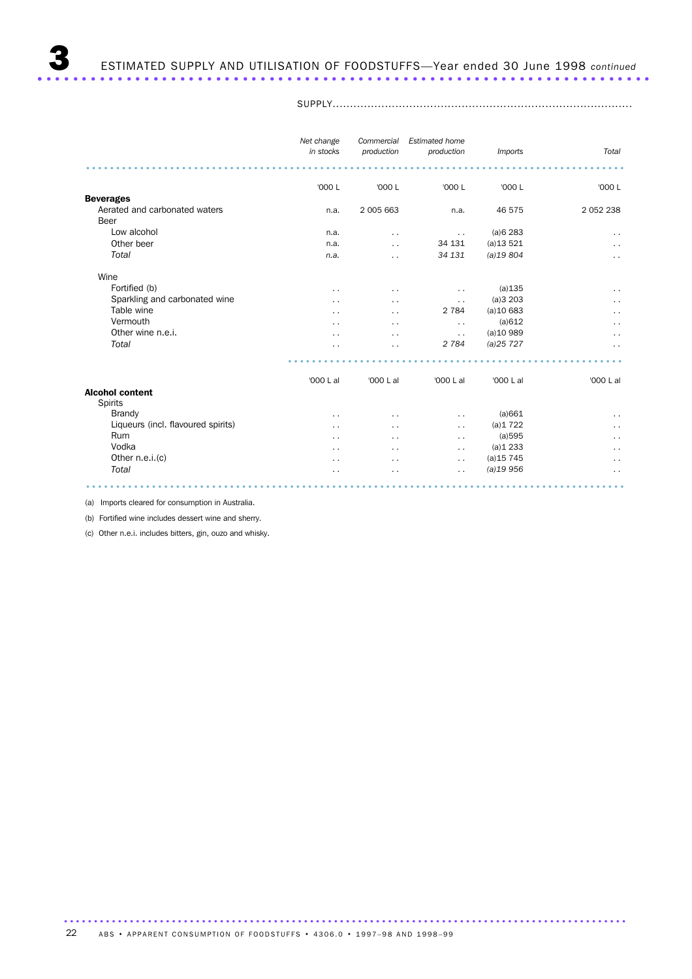SUPPLY......................................................................................

|                                    | Net change<br>in stocks | Commercial<br>production | <b>Estimated home</b><br>production | <b>Imports</b> | Total                |
|------------------------------------|-------------------------|--------------------------|-------------------------------------|----------------|----------------------|
|                                    |                         |                          |                                     |                |                      |
|                                    | '000 L                  | '000 L                   | '000 L                              | '000 L         | '000 L               |
| <b>Beverages</b>                   |                         |                          |                                     |                |                      |
| Aerated and carbonated waters      | n.a.                    | 2 005 663                | n.a.                                | 46 575         | 2 052 238            |
| <b>Beer</b>                        |                         |                          |                                     |                |                      |
| Low alcohol                        | n.a.                    | $\cdot$ .                | $\ddot{\phantom{0}}$                | (a)6283        | $\ddot{\phantom{1}}$ |
| Other beer                         | n.a.                    | . .                      | 34 131                              | (a)13521       | $\ddot{\phantom{a}}$ |
| Total                              | n.a.                    | . .                      | 34 131                              | (a)19804       | $\ddot{\phantom{0}}$ |
| Wine                               |                         |                          |                                     |                |                      |
| Fortified (b)                      | $\ddot{\phantom{0}}$    | $\cdot$ $\cdot$          | $\ddot{\phantom{0}}$                | (a)135         | $\ddot{\phantom{1}}$ |
| Sparkling and carbonated wine      |                         | . .                      | $\ddot{\phantom{0}}$                | (a)3203        | . .                  |
| Table wine                         | . .                     | . .                      | 2 7 8 4                             | $(a)$ 10 683   | $\ddot{\phantom{0}}$ |
| Vermouth                           | . .                     | $\cdot$ .                | $\ddot{\phantom{0}}$                | (a)612         | $\ddot{\phantom{0}}$ |
| Other wine n.e.i.                  |                         | . .                      | $\ddot{\phantom{1}}$                | (a)10989       | $\ddot{\phantom{1}}$ |
| Total                              |                         | . .                      | 2 7 8 4                             | (a)25727       | $\cdot$ .            |
|                                    |                         |                          |                                     |                |                      |
|                                    | '000 L al               | '000 L al                | '000 L al                           | '000 L al      | '000 L al            |
| <b>Alcohol content</b>             |                         |                          |                                     |                |                      |
| <b>Spirits</b>                     |                         |                          |                                     |                |                      |
| Brandy                             | . .                     | . .                      | $\ddot{\phantom{0}}$                | (a)661         | $\ddot{\phantom{0}}$ |
| Liqueurs (incl. flavoured spirits) | . .                     | . .                      | $\ddot{\phantom{0}}$                | (a)1722        | . .                  |
| Rum                                | . .                     | . .                      | $\ddot{\phantom{0}}$                | (a)595         | $\ddot{\phantom{0}}$ |
| Vodka                              | . .                     | $\ddot{\phantom{0}}$     | $\ddot{\phantom{0}}$                | (a)1233        | $\ddot{\phantom{0}}$ |
| Other n.e.i.(c)                    | . .                     | $\cdot$ .                | $\ddot{\phantom{1}}$                | $(a)$ 15 745   | . .                  |
| Total                              |                         |                          | . .                                 | (a)19956       | $\ddot{\phantom{0}}$ |
|                                    |                         |                          |                                     |                |                      |

(a) Imports cleared for consumption in Australia.

(b) Fortified wine includes dessert wine and sherry.

(c) Other n.e.i. includes bitters, gin, ouzo and whisky.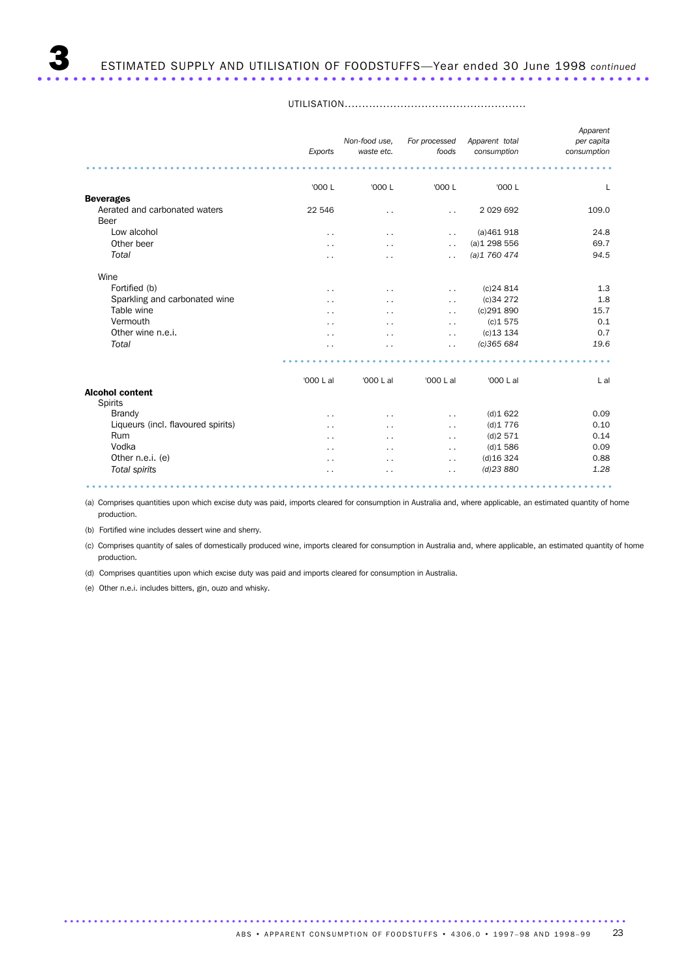3 ESTIMATED SUPPLY AND UTILISATION OF FOODSTUFFS—Year ended 30 June 1998 *continued* ..................................................................... .

|                                          | Exports              | Non-food use,<br>waste etc. | For processed<br>foods | Apparent total<br>consumption | Apparent<br>per capita<br>consumption |
|------------------------------------------|----------------------|-----------------------------|------------------------|-------------------------------|---------------------------------------|
|                                          |                      |                             |                        |                               |                                       |
|                                          | '000 L               | '000 L                      | '000 L                 | '000 L                        | L                                     |
| <b>Beverages</b>                         |                      |                             |                        |                               |                                       |
| Aerated and carbonated waters            | 22 546               | $\ddot{\phantom{0}}$        | $\ddot{\phantom{a}}$   | 2 0 29 6 9 2                  | 109.0                                 |
| Beer                                     |                      |                             |                        |                               |                                       |
| Low alcohol                              | $\ddot{\phantom{0}}$ | $\ddot{\phantom{0}}$        | . .                    | (a)461918                     | 24.8                                  |
| Other beer                               | . .                  | $\ddot{\phantom{0}}$        | $\ddot{\phantom{0}}$   | (a)1298556                    | 69.7                                  |
| Total                                    | $\cdot$ .            | . .                         | . .                    | (a)1760474                    | 94.5                                  |
| Wine                                     |                      |                             |                        |                               |                                       |
| Fortified (b)                            | . .                  | $\ddot{\phantom{0}}$        | . .                    | $(c)$ 24 814                  | 1.3                                   |
| Sparkling and carbonated wine            | . .                  | $\ddot{\phantom{0}}$        | $\ddot{\phantom{0}}$   | (c)34272                      | 1.8                                   |
| Table wine                               | . .                  | $\ddot{\phantom{0}}$        | $\ddot{\phantom{0}}$   | (c)291890                     | 15.7                                  |
| Vermouth                                 | . .                  | $\sim$                      | $\sim$                 | (c)1575                       | 0.1                                   |
| Other wine n.e.i.                        |                      | $\ddot{\phantom{0}}$        | $\ddot{\phantom{0}}$   | $(c)$ 13 134                  | 0.7                                   |
| Total                                    |                      |                             | $\cdot$ .              | (c)365684                     | 19.6                                  |
|                                          |                      |                             |                        |                               |                                       |
|                                          | '000 L al            | '000 L al                   | '000 L al              | '000 L al                     | L al                                  |
| <b>Alcohol content</b><br><b>Spirits</b> |                      |                             |                        |                               |                                       |
| Brandy                                   | $\ddot{\phantom{1}}$ | $\ddot{\phantom{0}}$        | . .                    | (d)1622                       | 0.09                                  |
| Liqueurs (incl. flavoured spirits)       | . .                  | $\ddot{\phantom{0}}$        | $\ddot{\phantom{a}}$   | (d)1776                       | 0.10                                  |
| Rum                                      | $\sim$               | $\sim$                      | $\sim$                 | (d)2571                       | 0.14                                  |
| Vodka                                    |                      | $\ddot{\phantom{a}}$        | . .                    | (d)1586                       | 0.09                                  |
| Other n.e.i. (e)                         | $\cdot$ .            | $\ddot{\phantom{0}}$        | . .                    | $(d)$ 16 324                  | 0.88                                  |
| Total spirits                            | . .                  | $\cdot$ .                   | $\cdot$ $\cdot$        | $(d)$ 23 880                  | 1.28                                  |

UTILISATION....................................................

(a) Comprises quantities upon which excise duty was paid, imports cleared for consumption in Australia and, where applicable, an estimated quantity of home production.

........................................................................................

(b) Fortified wine includes dessert wine and sherry.

(c) Comprises quantity of sales of domestically produced wine, imports cleared for consumption in Australia and, where applicable, an estimated quantity of home production.

(d) Comprises quantities upon which excise duty was paid and imports cleared for consumption in Australia.

(e) Other n.e.i. includes bitters, gin, ouzo and whisky.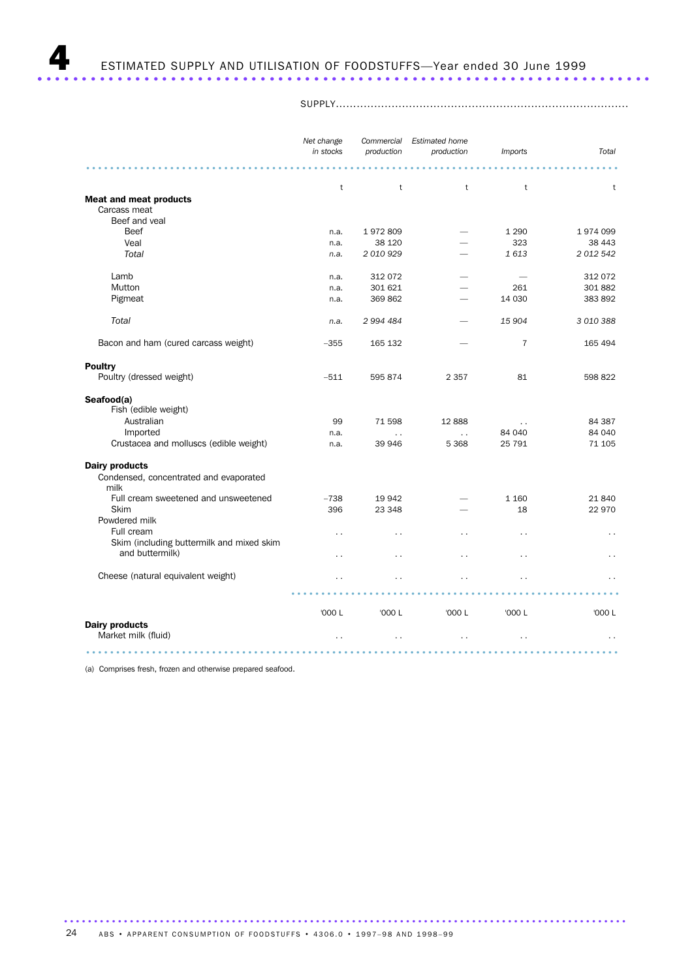SUPPLY....................................................................................

|                                           | Net change<br>in stocks | Commercial<br>production | <b>Estimated home</b><br>production | <b>Imports</b>       | Total                |
|-------------------------------------------|-------------------------|--------------------------|-------------------------------------|----------------------|----------------------|
|                                           |                         |                          |                                     |                      |                      |
|                                           | $\mathsf{t}$            | t                        | $^\mathrm{t}$                       | $^\mathrm{t}$        | t                    |
| <b>Meat and meat products</b>             |                         |                          |                                     |                      |                      |
| Carcass meat<br>Beef and yeal             |                         |                          |                                     |                      |                      |
| Beef                                      | n.a.                    | 1972809                  |                                     | 1 2 9 0              | 1974099              |
| Veal                                      | n.a.                    | 38 120                   |                                     | 323                  | 38 443               |
| Total                                     | n.a.                    | 2 010 929                |                                     | 1613                 | 2 012 542            |
|                                           |                         |                          |                                     |                      |                      |
| Lamb                                      | n.a.                    | 312 072                  |                                     |                      | 312 072              |
| Mutton                                    | n.a.                    | 301 621                  |                                     | 261                  | 301 882              |
| Pigmeat                                   | n.a.                    | 369 862                  |                                     | 14 030               | 383 892              |
|                                           |                         |                          |                                     |                      |                      |
| Total                                     | n.a.                    | 2 994 484                |                                     | 15 904               | 3 010 388            |
| Bacon and ham (cured carcass weight)      | $-355$                  | 165 132                  |                                     | $\overline{7}$       | 165 494              |
|                                           |                         |                          |                                     |                      |                      |
| <b>Poultry</b>                            |                         |                          |                                     |                      |                      |
| Poultry (dressed weight)                  | $-511$                  | 595 874                  | 2 3 5 7                             | 81                   | 598 822              |
| Seafood(a)                                |                         |                          |                                     |                      |                      |
| Fish (edible weight)                      |                         |                          |                                     |                      |                      |
| Australian                                | 99                      | 71 598                   | 12888                               | $\ddotsc$            | 84 387               |
| Imported                                  | n.a.                    | $\ddotsc$                | $\ddot{\phantom{a}}$                | 84 040               | 84 040               |
| Crustacea and molluscs (edible weight)    | n.a.                    | 39 946                   | 5 3 6 8                             | 25 791               | 71 105               |
| <b>Dairy products</b>                     |                         |                          |                                     |                      |                      |
| Condensed, concentrated and evaporated    |                         |                          |                                     |                      |                      |
| milk                                      |                         |                          |                                     |                      |                      |
| Full cream sweetened and unsweetened      | $-738$                  | 19 942                   |                                     | 1 1 6 0              | 21 840               |
| Skim                                      | 396                     | 23 348                   |                                     | 18                   | 22 970               |
| Powdered milk                             |                         |                          |                                     |                      |                      |
| Full cream                                | $\ddot{\phantom{0}}$    | $\ddot{\phantom{0}}$     | Ξ.                                  | $\ddotsc$            | $\ddot{\phantom{0}}$ |
| Skim (including buttermilk and mixed skim |                         |                          |                                     |                      |                      |
| and buttermilk)                           | $\ddot{\phantom{0}}$    | $\ddot{\phantom{0}}$     | . .                                 | $\ddot{\phantom{0}}$ | $\ddot{\phantom{0}}$ |
| Cheese (natural equivalent weight)        |                         |                          |                                     |                      |                      |
|                                           |                         |                          |                                     |                      |                      |
|                                           | '000 L                  | '000 L                   | '000 L                              | '000 L               | '000 L               |
| <b>Dairy products</b>                     |                         |                          |                                     |                      |                      |
| Market milk (fluid)                       | $\ddot{\phantom{0}}$    |                          | $\ddot{\phantom{0}}$                |                      | $\sim$ $\sim$        |
|                                           |                         |                          |                                     |                      |                      |

(a) Comprises fresh, frozen and otherwise prepared seafood.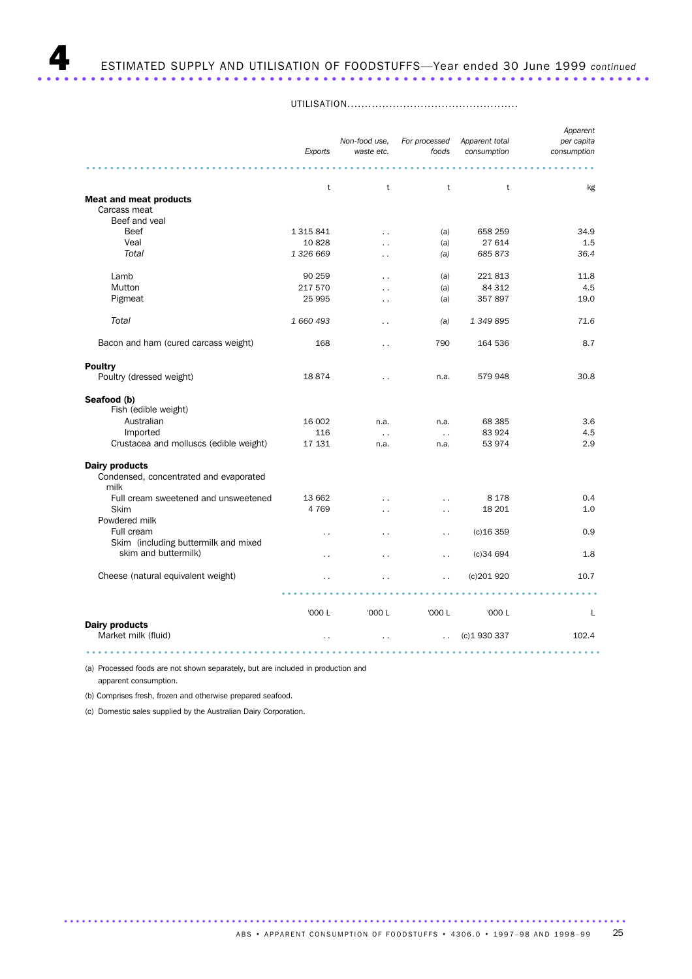UTILISATION.................................................

|                                                                            | Exports                             | Non-food use,<br>waste etc.                  | For processed<br>foods                       | Apparent total<br>consumption | Apparent<br>per capita<br>consumption |
|----------------------------------------------------------------------------|-------------------------------------|----------------------------------------------|----------------------------------------------|-------------------------------|---------------------------------------|
| <b>Meat and meat products</b><br>Carcass meat                              | t                                   | t                                            | t                                            | t                             | kg                                    |
| Beef and yeal<br>Beef<br>Veal<br>Total                                     | 1 3 1 5 8 4 1<br>10828<br>1 326 669 | $\ddot{\phantom{0}}$<br>$\cdot$ .            | (a)<br>(a)<br>(a)                            | 658 259<br>27 614<br>685 873  | 34.9<br>1.5<br>36.4                   |
| Lamb<br>Mutton<br>Pigmeat                                                  | 90 259<br>217 570<br>25 995         | $\ddot{\phantom{0}}$<br>$\ddot{\phantom{0}}$ | (a)<br>(a)<br>(a)                            | 221813<br>84 312<br>357897    | 11.8<br>4.5<br>19.0                   |
| Total<br>Bacon and ham (cured carcass weight)                              | 1 660 493<br>168                    | $\cdot$ $\cdot$<br>$\ddot{\phantom{0}}$      | (a)<br>790                                   | 1 349 895<br>164 536          | 71.6<br>8.7                           |
| <b>Poultry</b><br>Poultry (dressed weight)                                 | 18874                               | $\ddot{\phantom{0}}$                         | n.a.                                         | 579 948                       | 30.8                                  |
| Seafood (b)<br>Fish (edible weight)<br>Australian                          | 16 002                              |                                              |                                              |                               |                                       |
| Imported<br>Crustacea and molluscs (edible weight)                         | 116<br>17 131                       | n.a.<br>$\ddotsc$<br>n.a.                    | n.a.<br>$\ddots$<br>n.a.                     | 68 385<br>83 924<br>53 974    | 3.6<br>4.5<br>2.9                     |
| <b>Dairy products</b><br>Condensed, concentrated and evaporated<br>milk    |                                     |                                              |                                              |                               |                                       |
| Full cream sweetened and unsweetened<br>Skim<br>Powdered milk              | 13 662<br>4769                      | $\ddot{\phantom{0}}$<br>$\ddot{\phantom{0}}$ | $\ddot{\phantom{a}}$<br>$\ddot{\phantom{0}}$ | 8 1 7 8<br>18 201             | 0.4<br>1.0                            |
| Full cream<br>Skim (including buttermilk and mixed<br>skim and buttermilk) | . .<br>. .                          | $\ddot{\phantom{0}}$<br>$\ddot{\phantom{0}}$ | $\ddot{\phantom{0}}$<br>$\ddot{\phantom{0}}$ | $(c)$ 16 359<br>(c)34694      | 0.9<br>1.8                            |
| Cheese (natural equivalent weight)                                         |                                     |                                              | $\ddot{\phantom{0}}$                         | (c)201920                     | 10.7                                  |
| <b>Dairy products</b><br>Market milk (fluid)                               | '000 L<br>$\ddot{\phantom{0}}$      | '000 L<br>$\ddot{\phantom{0}}$               | '000 L<br>$\ddot{\phantom{a}}$               | '000 L<br>(c) 1930 337        | L<br>102.4                            |
|                                                                            |                                     |                                              |                                              |                               |                                       |

(a) Processed foods are not shown separately, but are included in production and apparent consumption.

(b) Comprises fresh, frozen and otherwise prepared seafood.

(c) Domestic sales supplied by the Australian Dairy Corporation.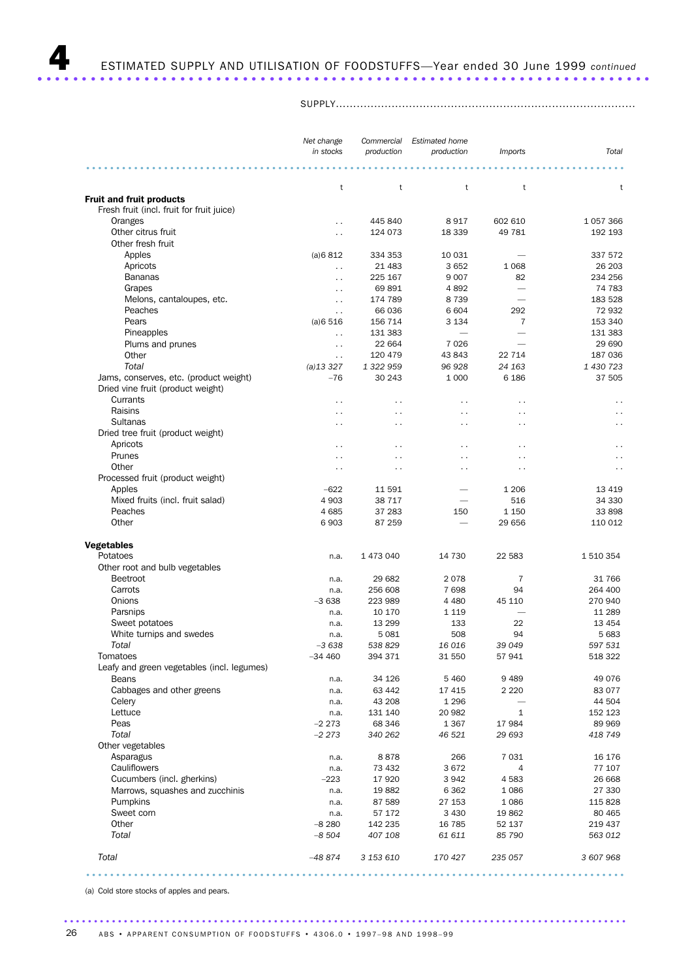SUPPLY......................................................................................

|                                            | Net change                                   | Commercial             | <b>Estimated home</b>    |                          |                        |
|--------------------------------------------|----------------------------------------------|------------------------|--------------------------|--------------------------|------------------------|
|                                            | in stocks                                    | production             | production               | <i>Imports</i>           | Total                  |
|                                            |                                              |                        |                          |                          |                        |
|                                            | t                                            | t                      | t                        | t                        | t                      |
| <b>Fruit and fruit products</b>            |                                              |                        |                          |                          |                        |
| Fresh fruit (incl. fruit for fruit juice)  |                                              |                        |                          |                          |                        |
| Oranges                                    | $\ddot{\phantom{0}}$                         | 445 840                | 8917                     | 602 610                  | 1 0 5 7 3 6 6          |
| Other citrus fruit                         | $\ddot{\phantom{0}}$                         | 124 073                | 18 339                   | 49 781                   | 192 193                |
| Other fresh fruit                          |                                              |                        |                          |                          |                        |
| Apples                                     | (a)6812                                      | 334 353                | 10 0 31                  |                          | 337 572                |
| Apricots                                   | $\ddot{\phantom{0}}$                         | 21 483                 | 3652                     | 1 0 6 8                  | 26 203                 |
| <b>Bananas</b>                             |                                              | 225 167                | 9 0 0 7                  | 82                       | 234 256                |
| Grapes                                     | $\ddot{\phantom{0}}$<br>$\ddot{\phantom{0}}$ | 69891                  | 4892                     |                          | 74 783                 |
| Melons, cantaloupes, etc.                  | $\ddot{\phantom{0}}$                         | 174 789                | 8739                     | $\overline{\phantom{0}}$ | 183 528                |
| Peaches                                    |                                              | 66 036                 | 6 604                    | 292                      | 72 932                 |
| Pears                                      | $\ddot{\phantom{0}}$<br>(a)6516              | 156 714                | 3 1 3 4                  | 7                        | 153 340                |
| Pineapples                                 |                                              | 131 383                | $\overline{\phantom{0}}$ |                          | 131 383                |
|                                            | $\ddot{\phantom{0}}$                         |                        | 7026                     |                          | 29 690                 |
| Plums and prunes                           | $\ddot{\phantom{0}}$                         | 22 664                 |                          |                          |                        |
| Other                                      | $\ddot{\phantom{0}}$                         | 120 479                | 43 843                   | 22 714                   | 187 036                |
| Total                                      | $(a)$ 13 327                                 | 1 322 959              | 96 928                   | 24 163                   | 1 430 723              |
| Jams, conserves, etc. (product weight)     | $-76$                                        | 30 243                 | 1 0 0 0                  | 6 1 8 6                  | 37 505                 |
| Dried vine fruit (product weight)          |                                              |                        |                          |                          |                        |
| Currants                                   | $\ddot{\phantom{0}}$                         | $\ddot{\phantom{0}}$   | $\ddot{\phantom{0}}$     | $\ddot{\phantom{0}}$     | $\ddot{\phantom{0}}$   |
| Raisins                                    | $\ddot{\phantom{1}}$                         | $\ddot{\phantom{1}}$ . | $\ddot{\phantom{1}}$     | $\ddot{\phantom{1}}$     | $\ddot{\phantom{1}}$ . |
| Sultanas                                   | $\ddot{\phantom{0}}$                         | $\ddot{\phantom{0}}$   | $\ddot{\phantom{0}}$     | $\ddot{\phantom{0}}$     | $\ddotsc$              |
| Dried tree fruit (product weight)          |                                              |                        |                          |                          |                        |
| Apricots                                   | $\ddotsc$                                    | $\ddotsc$              | $\ddot{\phantom{0}}$     | $\ddot{\phantom{1}}$     | $\ddot{\phantom{0}}$   |
| Prunes                                     | $\ddot{\phantom{0}}$                         | $\ddot{\phantom{0}}$   | $\ddot{\phantom{0}}$     | . .                      | $\ddot{\phantom{0}}$   |
| Other                                      | $\ddot{\phantom{0}}$                         | $\ddot{\phantom{0}}$   | $\ddot{\phantom{1}}$     | $\ddot{\phantom{0}}$     | $\ddot{\phantom{0}}$   |
| Processed fruit (product weight)           |                                              |                        |                          |                          |                        |
| Apples                                     | $-622$                                       | 11 591                 |                          | 1 2 0 6                  | 13 4 19                |
| Mixed fruits (incl. fruit salad)           | 4 9 0 3                                      | 38 717                 |                          | 516                      | 34 330                 |
| Peaches                                    | 4685                                         | 37 283                 | 150                      | 1 1 5 0                  | 33 898                 |
| Other                                      | 6903                                         | 87 259                 | $\overline{\phantom{0}}$ | 29 656                   | 110 012                |
| <b>Vegetables</b>                          |                                              |                        |                          |                          |                        |
| Potatoes                                   | n.a.                                         | 1 473 040              | 14 730                   | 22 583                   | 1 510 354              |
| Other root and bulb vegetables             |                                              |                        |                          |                          |                        |
| Beetroot                                   |                                              | 29 682                 | 2078                     | 7                        | 31 766                 |
| Carrots                                    | n.a.                                         |                        |                          |                          | 264 400                |
|                                            | n.a.<br>$-3638$                              | 256 608                | 7698                     | 94                       |                        |
| Onions                                     |                                              | 223 989                | 4 4 8 0                  | 45 110                   | 270 940                |
| Parsnips                                   | n.a.                                         | 10 170                 | 1 1 1 9                  |                          | 11 289                 |
| Sweet potatoes                             | n.a.                                         | 13 299                 | 133                      | 22                       | 13 4 54                |
| White turnips and swedes                   | n.a.                                         | 5 0 8 1                | 508                      | 94                       | 5 6 8 3                |
| Total                                      | $-3638$                                      | 538 829                | 16 016                   | 39 049                   | 597 531                |
| Tomatoes                                   | 34 460                                       | 394 371                | 31 550                   | 57 941                   | 518 322                |
| Leafy and green vegetables (incl. legumes) |                                              |                        |                          |                          |                        |
| <b>Beans</b>                               | n.a.                                         | 34 1 26                | 5 4 6 0                  | 9489                     | 49 0 76                |
| Cabbages and other greens                  | n.a.                                         | 63 442                 | 17 4 15                  | 2 2 2 0                  | 83 077                 |
| Celery                                     | n.a.                                         | 43 208                 | 1 2 9 6                  |                          | 44 504                 |
| Lettuce                                    | n.a.                                         | 131 140                | 20 982                   | $\mathbf{1}$             | 152 123                |
| Peas                                       | $-2273$                                      | 68 34 6                | 1 3 6 7                  | 17984                    | 89 969                 |
| Total                                      | $-2273$                                      | 340 262                | 46 521                   | 29 693                   | 418 749                |
| Other vegetables                           |                                              |                        |                          |                          |                        |
| Asparagus                                  | n.a.                                         | 8878                   | 266                      | 7 0 3 1                  | 16 176                 |
| Cauliflowers                               | n.a.                                         | 73 432                 | 3672                     | 4                        | 77 107                 |
| Cucumbers (incl. gherkins)                 | $-223$                                       | 17 9 20                | 3942                     | 4583                     | 26 668                 |
| Marrows, squashes and zucchinis            | n.a.                                         | 19882                  | 6 3 6 2                  | 1086                     | 27 330                 |
| Pumpkins                                   | n.a.                                         | 87 589                 | 27 153                   | 1 0 8 6                  | 115 828                |
| Sweet corn                                 | n.a.                                         | 57 172                 | 3 4 3 0                  | 19862                    | 80 465                 |
| Other                                      | $-8280$                                      | 142 235                | 16 785                   | 52 137                   | 219 437                |
| Total                                      | $-8504$                                      | 407 108                | 61 611                   | 85 790                   | 563 012                |
|                                            |                                              |                        |                          |                          |                        |
| Total                                      | $-48874$                                     | 3 153 610              | 170 427                  | 235 057                  | 3 607 968              |
|                                            |                                              |                        |                          |                          |                        |

(a) Cold store stocks of apples and pears.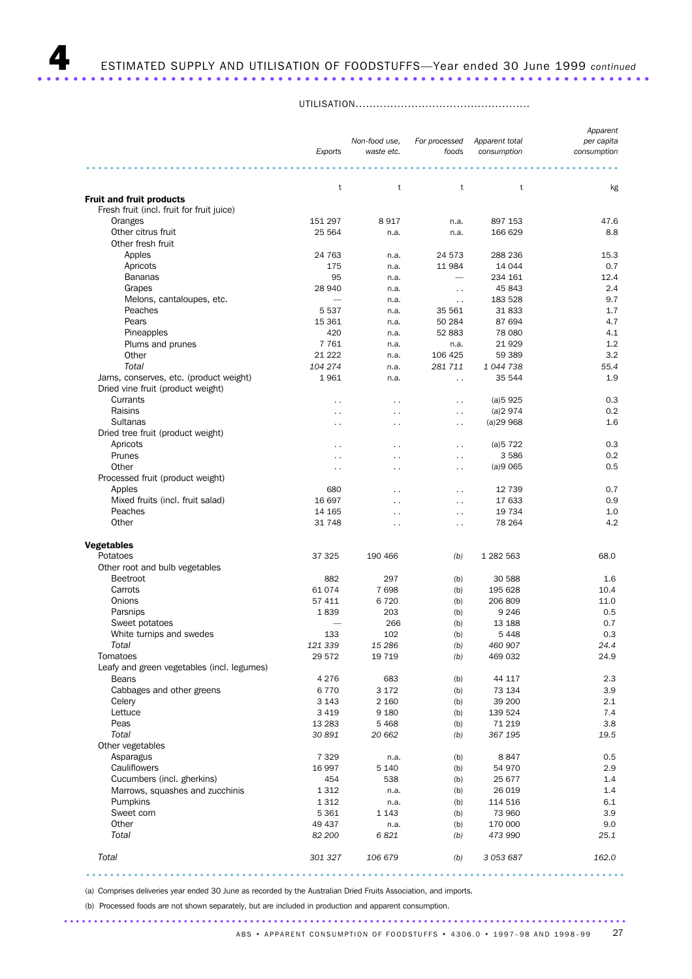## 4 ESTIMATED SUPPLY AND UTILISATION OF FOODSTUFFS—Year ended 30 June 1999 *continued* ..................................................................... .

UTILISATION..................................................

|                                                                              | Exports              | Non-food use,<br>waste etc. | For processed<br>foods | Apparent total<br>consumption | Apparent<br>per capita<br>consumption |
|------------------------------------------------------------------------------|----------------------|-----------------------------|------------------------|-------------------------------|---------------------------------------|
|                                                                              |                      |                             |                        |                               |                                       |
|                                                                              | t                    | t                           | t                      | t                             | kg                                    |
| <b>Fruit and fruit products</b><br>Fresh fruit (incl. fruit for fruit juice) |                      |                             |                        |                               |                                       |
| Oranges                                                                      | 151 297              | 8917                        |                        | 897 153                       | 47.6                                  |
|                                                                              | 25 5 64              |                             | n.a.                   | 166 629                       | 8.8                                   |
| Other citrus fruit                                                           |                      | n.a.                        | n.a.                   |                               |                                       |
| Other fresh fruit                                                            |                      |                             |                        |                               |                                       |
| Apples                                                                       | 24 763               | n.a.                        | 24 573                 | 288 236                       | 15.3                                  |
| Apricots                                                                     | 175                  | n.a.                        | 11 984                 | 14 044                        | 0.7                                   |
| <b>Bananas</b>                                                               | 95                   | n.a.                        |                        | 234 161                       | 12.4                                  |
| Grapes                                                                       | 28 940               | n.a.                        | $\ddot{\phantom{0}}$   | 45 843                        | 2.4                                   |
| Melons, cantaloupes, etc.                                                    |                      | n.a.                        | $\ddot{\phantom{0}}$   | 183 528                       | 9.7                                   |
| Peaches                                                                      | 5 5 3 7              | n.a.                        | 35 561                 | 31833                         | 1.7                                   |
| Pears                                                                        | 15 3 61              | n.a.                        | 50 284                 | 87 694                        | 4.7                                   |
| Pineapples                                                                   | 420                  | n.a.                        | 52 883                 | 78 080                        | 4.1                                   |
| Plums and prunes                                                             | 7761                 | n.a.                        | n.a.                   | 21929                         | 1.2                                   |
| Other                                                                        | 21 222               | n.a.                        | 106 425                | 59 389                        | 3.2                                   |
| Total                                                                        | 104 274              | n.a.                        | 281 711                | 1 044 738                     | 55.4                                  |
| Jams, conserves, etc. (product weight)                                       | 1961                 | n.a.                        | $\sim$                 | 35 544                        | 1.9                                   |
| Dried vine fruit (product weight)                                            |                      |                             |                        |                               |                                       |
| Currants                                                                     | $\ddot{\phantom{0}}$ | $\ddot{\phantom{0}}$        | . .                    | (a)5925                       | 0.3                                   |
| Raisins                                                                      | $\ddot{\phantom{0}}$ | . .                         | $\sim$                 | (a)2974                       | 0.2                                   |
| Sultanas                                                                     | $\ddot{\phantom{0}}$ | $\ddot{\phantom{0}}$        | . .                    | (a)29968                      | 1.6                                   |
| Dried tree fruit (product weight)                                            |                      |                             |                        |                               |                                       |
| Apricots                                                                     | . .                  | . .                         | . .                    | (a)5722                       | 0.3                                   |
| Prunes                                                                       | $\ddot{\phantom{0}}$ | $\ddot{\phantom{0}}$        | $\ddot{\phantom{0}}$   | 3586                          | 0.2                                   |
| Other                                                                        | $\ddot{\phantom{1}}$ | .,                          | $\sim$ $\sim$          | (a)9065                       | 0.5                                   |
| Processed fruit (product weight)                                             |                      |                             |                        |                               |                                       |
| Apples                                                                       | 680                  | . .                         | $\ddot{\phantom{1}}$   | 12 739                        | 0.7                                   |
| Mixed fruits (incl. fruit salad)                                             | 16 697               | . .                         | $\ddot{\phantom{0}}$   | 17 633                        | 0.9                                   |
| Peaches                                                                      | 14 165               | $\ddot{\phantom{0}}$        | $\ddot{\phantom{0}}$   | 19 7 34                       | 1.0                                   |
| Other                                                                        | 31 748               | $\ddot{\phantom{0}}$        | $\sim$ $\sim$          | 78 264                        | 4.2                                   |
| <b>Vegetables</b>                                                            |                      |                             |                        |                               |                                       |
| Potatoes                                                                     | 37 325               | 190 466                     | (b)                    | 1 282 563                     | 68.0                                  |
| Other root and bulb vegetables                                               |                      |                             |                        |                               |                                       |
| <b>Beetroot</b>                                                              | 882                  | 297                         | (b)                    | 30 588                        | 1.6                                   |
| Carrots                                                                      | 61 074               | 7698                        | (b)                    | 195 628                       | 10.4                                  |
| Onions                                                                       | 57 411               | 6720                        | (b)                    | 206 809                       | 11.0                                  |
| Parsnips                                                                     | 1839                 | 203                         | (b)                    | 9 2 4 6                       | 0.5                                   |
| Sweet potatoes                                                               |                      | 266                         | (b)                    | 13 188                        | 0.7                                   |
| White turnips and swedes                                                     | 133                  | 102                         | (b)                    | 5 4 4 8                       | 0.3                                   |
| Total                                                                        | 121 339              | 15 28 6                     | (b)                    | 460 907                       | 24.4                                  |
| Tomatoes                                                                     | 29 572               | 19 7 19                     | (b)                    | 469 032                       | 24.9                                  |
| Leafy and green vegetables (incl. legumes)                                   |                      |                             |                        |                               |                                       |
| <b>Beans</b>                                                                 | 4 2 7 6              | 683                         | (b)                    | 44 117                        | 2.3                                   |
| Cabbages and other greens                                                    | 6770                 | 3 1 7 2                     | (b)                    | 73 134                        | 3.9                                   |
| Celery                                                                       | 3 1 4 3              | 2 1 6 0                     | (b)                    | 39 200                        | 2.1                                   |
| Lettuce                                                                      | 3 4 1 9              | 9 1 8 0                     | (b)                    | 139 524                       | 7.4                                   |
| Peas                                                                         | 13 28 3              | 5468                        | (b)                    | 71 219                        | 3.8                                   |
| Total                                                                        | 30 891               | 20 662                      | (b)                    | 367 195                       | 19.5                                  |
| Other vegetables                                                             |                      |                             |                        |                               |                                       |
| Asparagus                                                                    | 7 3 2 9              | n.a.                        | (b)                    | 8847                          | 0.5                                   |
| Cauliflowers                                                                 | 16 997               | 5 1 4 0                     | (b)                    | 54 970                        | 2.9                                   |
| Cucumbers (incl. gherkins)                                                   | 454                  | 538                         | (b)                    | 25 677                        | 1.4                                   |
| Marrows, squashes and zucchinis                                              | 1 3 1 2              | n.a.                        | (b)                    | 26 019                        | 1.4                                   |
| Pumpkins                                                                     | 1 3 1 2              | n.a.                        | (b)                    | 114 516                       | 6.1                                   |
| Sweet corn                                                                   | 5 3 6 1              | 1 1 4 3                     | (b)                    | 73 960                        | 3.9                                   |
| Other                                                                        | 49 437               | n.a.                        | (b)                    | 170 000                       | 9.0                                   |
| Total                                                                        | 82 200               | 6821                        | (b)                    | 473 990                       | 25.1                                  |
| Total                                                                        | 301 327              | 106 679                     | (b)                    | 3 053 687                     | 162.0                                 |

..........................................................................................

(a) Comprises deliveries year ended 30 June as recorded by the Australian Dried Fruits Association, and imports.

..............................................................................................

(b) Processed foods are not shown separately, but are included in production and apparent consumption.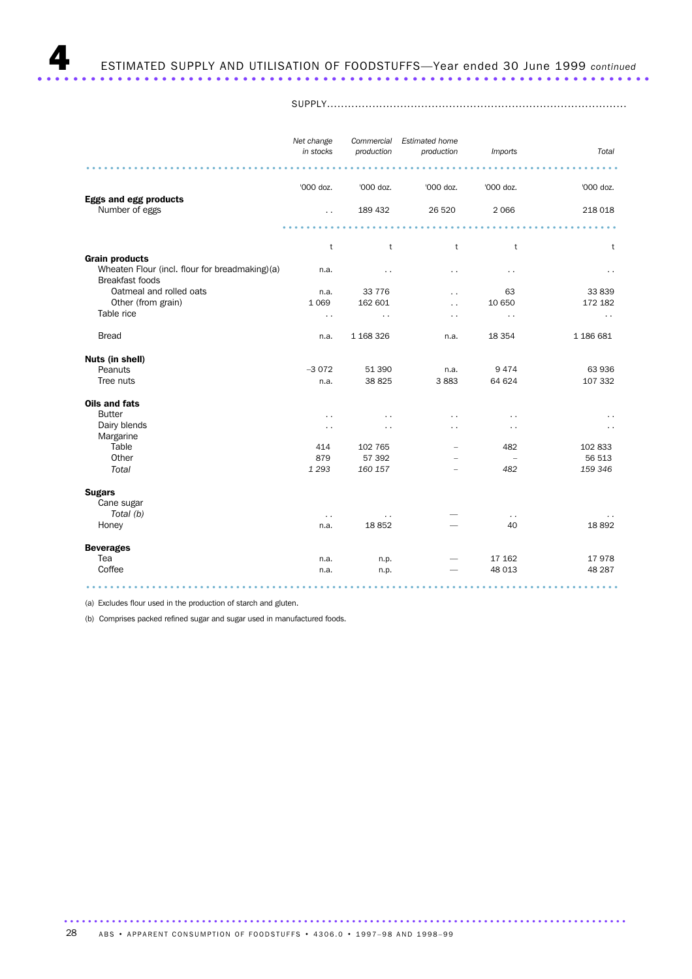SUPPLY......................................................................................

|                                                                          | Net change<br>in stocks | Commercial<br>production | <b>Estimated home</b><br>production | <b>Imports</b>                  | Total                |
|--------------------------------------------------------------------------|-------------------------|--------------------------|-------------------------------------|---------------------------------|----------------------|
|                                                                          |                         |                          |                                     |                                 |                      |
|                                                                          | '000 doz.               | '000 doz.                | '000 doz.                           | '000 doz.                       | '000 doz.            |
| <b>Eggs and egg products</b><br>Number of eggs                           | $\ddot{\phantom{0}}$    | 189 432                  | 26 5 20                             | 2 0 6 6                         | 218 018              |
|                                                                          |                         |                          |                                     |                                 |                      |
|                                                                          | t                       | t                        | t                                   | t                               | t                    |
| <b>Grain products</b>                                                    |                         |                          |                                     |                                 |                      |
| Wheaten Flour (incl. flour for breadmaking)(a)<br><b>Breakfast foods</b> | n.a.                    | $\cdot$ .                | . .                                 | $\sim$ $\sim$                   |                      |
| Oatmeal and rolled oats                                                  | n.a.                    | 33 7 7 6                 | $\ddot{\phantom{0}}$                | 63                              | 33839                |
| Other (from grain)                                                       | 1 0 6 9                 | 162 601                  | $\ddot{\phantom{a}}$                | 10 650                          | 172 182              |
| Table rice                                                               | $\ddot{\phantom{0}}$    | $\ddot{\phantom{0}}$     | . .                                 | $\sim$ $\sim$                   | $\sim$ $\sim$        |
| <b>Bread</b>                                                             | n.a.                    | 1 168 326                | n.a.                                | 18 3 54                         | 1 186 681            |
| Nuts (in shell)                                                          |                         |                          |                                     |                                 |                      |
| Peanuts                                                                  | $-3072$                 | 51 390                   | n.a.                                | 9474                            | 63 936               |
| Tree nuts                                                                | n.a.                    | 38 825                   | 3883                                | 64 624                          | 107 332              |
| <b>Oils and fats</b>                                                     |                         |                          |                                     |                                 |                      |
| <b>Butter</b>                                                            | $\ddotsc$               |                          |                                     |                                 |                      |
| Dairy blends                                                             | $\ddot{\phantom{0}}$    |                          | . .                                 | . .                             | $\ddot{\phantom{1}}$ |
| Margarine                                                                |                         |                          |                                     |                                 |                      |
| Table                                                                    | 414                     | 102 765                  |                                     | 482                             | 102 833              |
| Other<br>Total                                                           | 879<br>1 2 9 3          | 57 392<br>160 157        |                                     | $\overline{\phantom{a}}$<br>482 | 56 513<br>159 346    |
|                                                                          |                         |                          |                                     |                                 |                      |
| <b>Sugars</b>                                                            |                         |                          |                                     |                                 |                      |
| Cane sugar<br>Total (b)                                                  |                         |                          |                                     |                                 |                      |
| Honey                                                                    | $\sim$ $\sim$<br>n.a.   | $\sim$ $\sim$<br>18852   |                                     | $\sim$ $\sim$<br>40             | 18892                |
|                                                                          |                         |                          |                                     |                                 |                      |
| <b>Beverages</b>                                                         |                         |                          |                                     |                                 |                      |
| Tea                                                                      | n.a.                    | n.p.                     |                                     | 17 162                          | 17978                |
| Coffee                                                                   | n.a.                    | n.p.                     |                                     | 48 013                          | 48 287               |
|                                                                          |                         |                          |                                     |                                 |                      |

(a) Excludes flour used in the production of starch and gluten.

(b) Comprises packed refined sugar and sugar used in manufactured foods.

.............................................................................................. ABS • APPARENT CONSUMPTION OF FOODSTUFFS • 4306.0 • 1997-98 AND 1998-99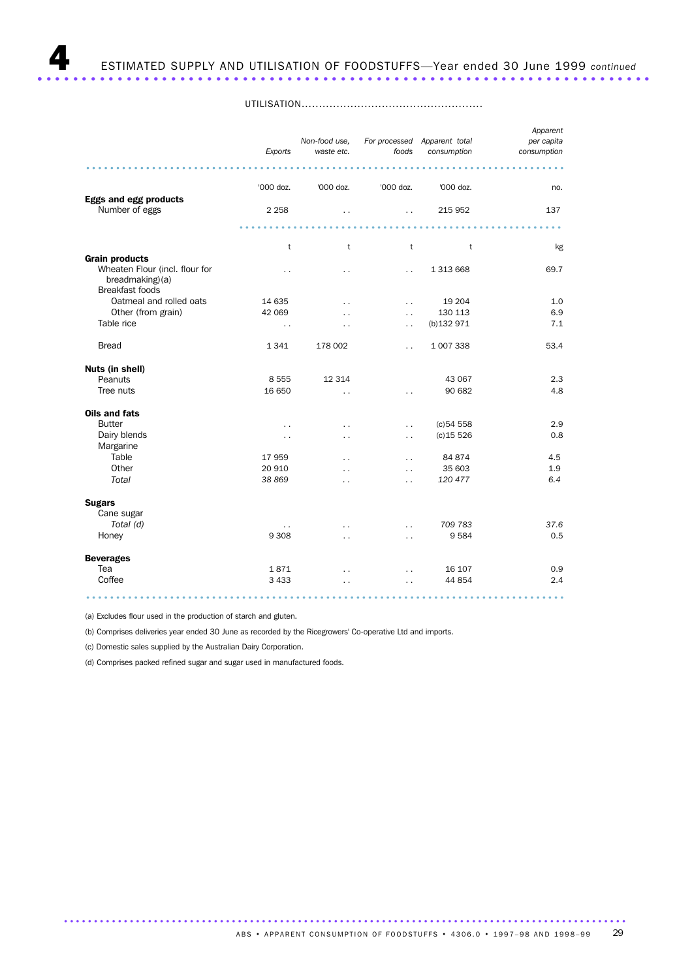UTILISATION....................................................

|                                                                                                      | Exports                  | Non-food use,<br>waste etc. | foods                | For processed Apparent total<br>consumption | Apparent<br>per capita<br>consumption |
|------------------------------------------------------------------------------------------------------|--------------------------|-----------------------------|----------------------|---------------------------------------------|---------------------------------------|
|                                                                                                      |                          |                             |                      |                                             |                                       |
|                                                                                                      | '000 doz.                | '000 doz.                   | '000 doz.            | '000 doz.                                   | no.                                   |
| <b>Eggs and egg products</b><br>Number of eggs                                                       | 2 2 5 8                  | $\ddot{\phantom{0}}$        | $\ddot{\phantom{a}}$ | 215 952                                     | 137                                   |
|                                                                                                      |                          |                             |                      |                                             |                                       |
|                                                                                                      | t                        | t                           | t                    | t                                           | kg                                    |
| <b>Grain products</b><br>Wheaten Flour (incl. flour for<br>breadmaking)(a)<br><b>Breakfast foods</b> | $\ddot{\phantom{0}}$     | $\ddot{\phantom{0}}$        | $\ddot{\phantom{0}}$ | 1 313 668                                   | 69.7                                  |
| Oatmeal and rolled oats                                                                              | 14 635                   | $\ddot{\phantom{0}}$        | $\ddot{\phantom{0}}$ | 19 204                                      | 1.0                                   |
| Other (from grain)                                                                                   | 42 069                   | . .                         | $\ddot{\phantom{0}}$ | 130 113                                     | 6.9                                   |
| Table rice                                                                                           | $\ddot{\phantom{1}}$ .   | $\ddot{\phantom{0}}$        | $\ddot{\phantom{0}}$ | (b)132 971                                  | 7.1                                   |
| <b>Bread</b>                                                                                         | 1341                     | 178 002                     | $\ddot{\phantom{0}}$ | 1 007 338                                   | 53.4                                  |
| Nuts (in shell)                                                                                      |                          |                             |                      |                                             |                                       |
| Peanuts                                                                                              | 8 5 5 5                  | 12 3 14                     |                      | 43 067                                      | 2.3                                   |
| Tree nuts                                                                                            | 16 650                   | $\ddot{\phantom{0}}$        |                      | 90 682                                      | 4.8                                   |
| <b>Oils and fats</b>                                                                                 |                          |                             |                      |                                             |                                       |
| <b>Butter</b>                                                                                        | $\ddot{\phantom{0}}$     | $\ddot{\phantom{0}}$        | $\ddot{\phantom{0}}$ | (c)54558                                    | 2.9                                   |
| Dairy blends                                                                                         | $\overline{\phantom{a}}$ | $\ddot{\phantom{0}}$        | $\ddot{\phantom{0}}$ | $(c)$ 15 526                                | 0.8                                   |
| Margarine                                                                                            |                          |                             |                      |                                             |                                       |
| Table                                                                                                | 17 959                   | $\ddot{\phantom{0}}$        | $\ddot{\phantom{0}}$ | 84 874                                      | 4.5                                   |
| Other                                                                                                | 20 910                   | $\ddot{\phantom{0}}$        | $\ddot{\phantom{0}}$ | 35 603                                      | 1.9                                   |
| Total                                                                                                | 38 869                   | $\cdot$ $\cdot$             | $\cdot$ .            | 120 477                                     | 6.4                                   |
| <b>Sugars</b><br>Cane sugar                                                                          |                          |                             |                      |                                             |                                       |
| Total (d)                                                                                            | $\ddot{\phantom{0}}$     |                             | $\ddot{\phantom{0}}$ | 709 783                                     | 37.6                                  |
| Honey                                                                                                | 9 3 0 8                  | $\ddot{\phantom{0}}$        | $\ddot{\phantom{0}}$ | 9 5 8 4                                     | 0.5                                   |
| <b>Beverages</b>                                                                                     |                          |                             |                      |                                             |                                       |
| Tea                                                                                                  | 1871                     | $\ddot{\phantom{0}}$        | $\ddot{\phantom{0}}$ | 16 107                                      | 0.9                                   |
| Coffee                                                                                               | 3 4 3 3                  | $\ddot{\phantom{0}}$        | $\ddot{\phantom{0}}$ | 44 854                                      | 2.4                                   |
|                                                                                                      |                          |                             |                      |                                             |                                       |

(a) Excludes flour used in the production of starch and gluten.

(b) Comprises deliveries year ended 30 June as recorded by the Ricegrowers' Co-operative Ltd and imports.

(c) Domestic sales supplied by the Australian Dairy Corporation.

(d) Comprises packed refined sugar and sugar used in manufactured foods.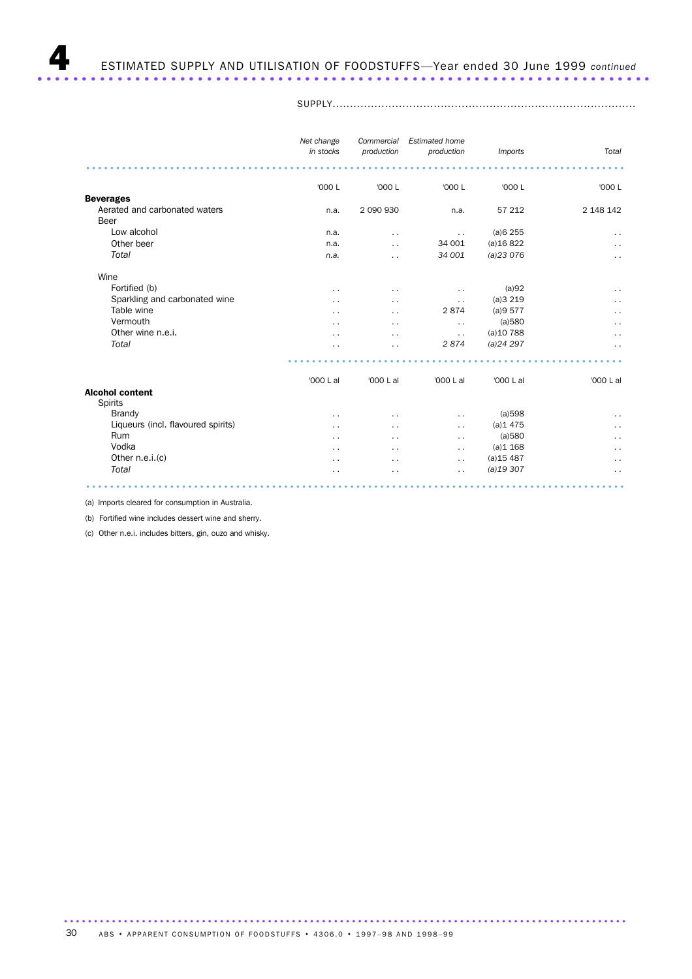SUPPLY.......................................................................................

|                                    | Net change<br>in stocks | Commercial<br>production | <b>Estimated home</b><br>production | Imports      | Total                |
|------------------------------------|-------------------------|--------------------------|-------------------------------------|--------------|----------------------|
|                                    |                         |                          |                                     |              |                      |
|                                    | '000 L                  | '000 L                   | '000 L                              | '000 L       | '000 L               |
| <b>Beverages</b>                   |                         |                          |                                     |              |                      |
| Aerated and carbonated waters      | n.a.                    | 2 090 930                | n.a.                                | 57 212       | 2 148 142            |
| Beer                               |                         |                          |                                     |              |                      |
| Low alcohol                        | n.a.                    | $\ddot{\phantom{a}}$     | $\sim$ $\sim$                       | (a)6255      | $\sim$ $\sim$        |
| Other beer                         | n.a.                    | . .                      | 34 001                              | (a)16822     | $\ddot{\phantom{0}}$ |
| Total                              | n.a.                    | . .                      | 34 001                              | (a)23076     | $\ddot{\phantom{0}}$ |
| Wine                               |                         |                          |                                     |              |                      |
| Fortified (b)                      | $\cdot$ .               | $\cdot$ .                | $\overline{\phantom{a}}$            | (a)92        | $\ddot{\phantom{a}}$ |
| Sparkling and carbonated wine      |                         | . .                      | . .                                 | (a)3219      | $\ddot{\phantom{1}}$ |
| Table wine                         | . .                     | $\cdot$ .                | 2874                                | (a)9577      | $\ddot{\phantom{0}}$ |
| Vermouth                           | $\cdot$ $\cdot$         | $\cdot$ .                | . .                                 | (a)580       | $\ddot{\phantom{0}}$ |
| Other wine n.e.i.                  | $\cdot$ .               | $\sim$                   | $\ddot{\phantom{0}}$                | $(a)$ 10 788 | $\ddot{\phantom{1}}$ |
| Total                              |                         | . .                      | 2874                                | (a)24297     | $\cdot$ .            |
|                                    |                         |                          |                                     |              |                      |
|                                    | '000 L al               | '000 L al                | '000 L al                           | '000 L al    | '000 L al            |
| <b>Alcohol content</b>             |                         |                          |                                     |              |                      |
| <b>Spirits</b>                     |                         |                          |                                     |              |                      |
| Brandy                             | $\cdot$ .               | . .                      | . .                                 | (a)598       | $\ddot{\phantom{0}}$ |
| Liqueurs (incl. flavoured spirits) |                         | . .                      | $\ddot{\phantom{1}}$                | (a)1475      | $\ddot{\phantom{1}}$ |
| <b>Rum</b>                         | . .                     | $\ddot{\phantom{0}}$     | $\ddot{\phantom{0}}$                | (a)580       | $\ddot{\phantom{0}}$ |
| Vodka                              | $\cdot$ .               | $\ddot{\phantom{0}}$     | $\ddot{\phantom{0}}$                | (a)1 168     | $\ddot{\phantom{0}}$ |
| Other n.e.i.(c)                    | $\cdot$ .               | $\cdot$ .                | $\ddot{\phantom{0}}$                | $(a)$ 15 487 | $\ddot{\phantom{a}}$ |
| Total                              |                         |                          | . .                                 | (a)19307     | $\ddot{\phantom{0}}$ |
|                                    |                         |                          |                                     |              |                      |

(a) Imports cleared for consumption in Australia.

(b) Fortified wine includes dessert wine and sherry.

(c) Other n.e.i. includes bitters, gin, ouzo and whisky.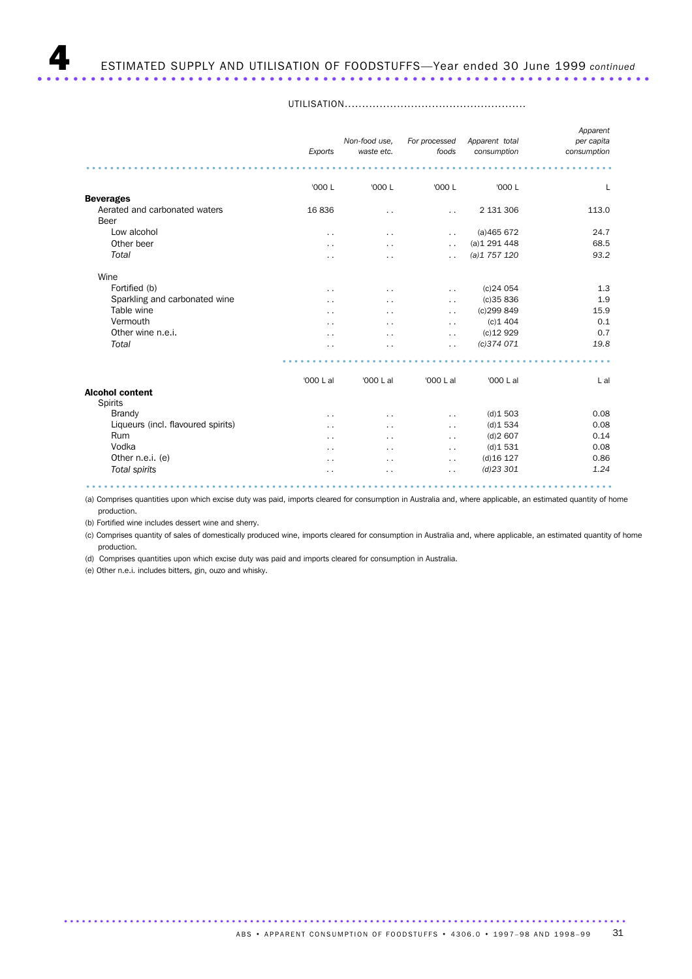|                                    | Exports              | Non-food use,<br>waste etc. | For processed<br>foods | Apparent total<br>consumption | Apparent<br>per capita<br>consumption |
|------------------------------------|----------------------|-----------------------------|------------------------|-------------------------------|---------------------------------------|
|                                    |                      |                             |                        |                               |                                       |
| <b>Beverages</b>                   | '000 L               | '000 L                      | '000 L                 | '000 L                        | L                                     |
| Aerated and carbonated waters      | 16836                |                             |                        | 2 131 306                     | 113.0                                 |
| <b>Beer</b>                        |                      | . .                         | $\ddot{\phantom{0}}$   |                               |                                       |
| Low alcohol                        | $\ddot{\phantom{0}}$ | . .                         | $\ddot{\phantom{0}}$   | (a)465672                     | 24.7                                  |
| Other beer                         | . .                  | . .                         | $\ddot{\phantom{0}}$   | (a)1291448                    | 68.5                                  |
| Total                              | $\cdot$ .            | . .                         | $\ddot{\phantom{0}}$   | (a)1757120                    | 93.2                                  |
| Wine                               |                      |                             |                        |                               |                                       |
| Fortified (b)                      | $\sim$ $\sim$        | . .                         | $\sim$                 | $(c)$ 24 054                  | 1.3                                   |
| Sparkling and carbonated wine      | . .                  | . .                         | $\sim$ $\sim$          | (c)35836                      | 1.9                                   |
| Table wine                         | . .                  | . .                         | $\sim$                 | (c)299 849                    | 15.9                                  |
| Vermouth                           | . .                  | . .                         | $\ddot{\phantom{0}}$   | (c)1404                       | 0.1                                   |
| Other wine n.e.i.                  |                      | . .                         | $\ddot{\phantom{0}}$   | $(c)$ 12 929                  | 0.7                                   |
| Total                              |                      | . .                         | $\ddot{\phantom{0}}$   | (c)374 071                    | 19.8                                  |
|                                    |                      |                             |                        |                               |                                       |
|                                    | '000 L al            | '000 L al                   | '000 L al              | '000 L al                     | L al                                  |
| <b>Alcohol content</b>             |                      |                             |                        |                               |                                       |
| Spirits                            |                      |                             |                        |                               |                                       |
| <b>Brandy</b>                      | . .                  | . .                         | $\ddot{\phantom{0}}$   | (d)1503                       | 0.08                                  |
| Liqueurs (incl. flavoured spirits) | . .                  | . .                         | $\sim$                 | (d)1534                       | 0.08                                  |
| Rum                                | . .                  | . .                         | $\ddot{\phantom{0}}$   | (d)2607                       | 0.14                                  |
| Vodka                              |                      | . .                         | $\ddot{\phantom{0}}$   | (d)1531                       | 0.08                                  |
| Other n.e.i. (e)                   |                      | . .                         | $\ddot{\phantom{0}}$   | $(d)$ 16 127                  | 0.86                                  |
| Total spirits                      | . .                  | . .                         | $\cdot$ .              | $(d)$ 23 301                  | 1.24                                  |

UTILISATION....................................................

........................................................................................ (a) Comprises quantities upon which excise duty was paid, imports cleared for consumption in Australia and, where applicable, an estimated quantity of home production.

(b) Fortified wine includes dessert wine and sherry.

(c) Comprises quantity of sales of domestically produced wine, imports cleared for consumption in Australia and, where applicable, an estimated quantity of home production.

(d) Comprises quantities upon which excise duty was paid and imports cleared for consumption in Australia.

(e) Other n.e.i. includes bitters, gin, ouzo and whisky.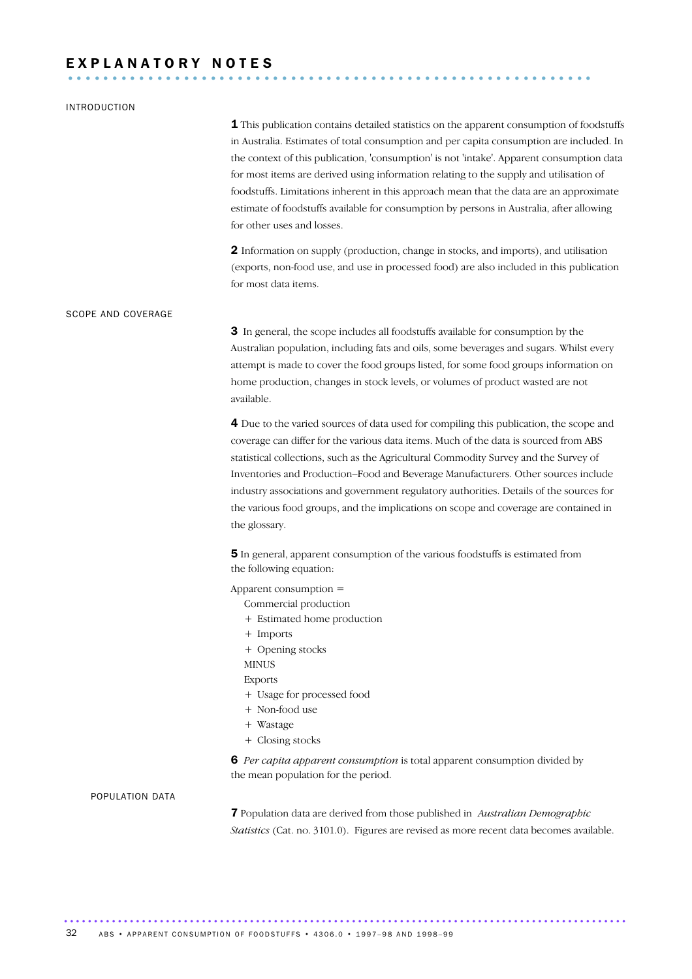# E X P L A N A T O R Y N O T E S ...........................................................

### INTRODUCTION

**1** This publication contains detailed statistics on the apparent consumption of foodstuffs in Australia. Estimates of total consumption and per capita consumption are included. In the context of this publication, 'consumption' is not 'intake'. Apparent consumption data for most items are derived using information relating to the supply and utilisation of foodstuffs. Limitations inherent in this approach mean that the data are an approximate estimate of foodstuffs available for consumption by persons in Australia, after allowing for other uses and losses.

2 Information on supply (production, change in stocks, and imports), and utilisation (exports, non-food use, and use in processed food) are also included in this publication for most data items.

### SCOPE AND COVERAGE

3 In general, the scope includes all foodstuffs available for consumption by the Australian population, including fats and oils, some beverages and sugars. Whilst every attempt is made to cover the food groups listed, for some food groups information on home production, changes in stock levels, or volumes of product wasted are not available.

4 Due to the varied sources of data used for compiling this publication, the scope and coverage can differ for the various data items. Much of the data is sourced from ABS statistical collections, such as the Agricultural Commodity Survey and the Survey of Inventories and Production–Food and Beverage Manufacturers. Other sources include industry associations and government regulatory authorities. Details of the sources for the various food groups, and the implications on scope and coverage are contained in the glossary.

5 In general, apparent consumption of the various foodstuffs is estimated from the following equation:

Apparent consumption =

- Commercial production
- + Estimated home production
- + Imports
- + Opening stocks
- MINUS
	- Exports
	- + Usage for processed food

..............................................................................................

- + Non-food use
- + Wastage
- + Closing stocks

6 *Per capita apparent consumption* is total apparent consumption divided by the mean population for the period.

### POPULATION DATA

7 Population data are derived from those published in *Australian Demographic Statistics* (Cat. no. 3101.0). Figures are revised as more recent data becomes available.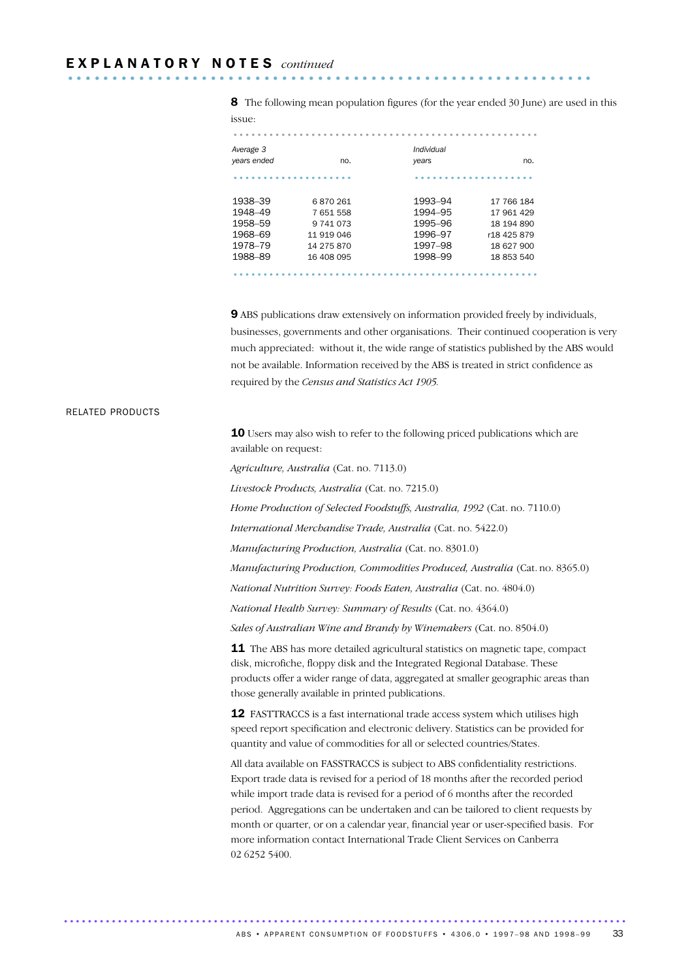8 The following mean population figures (for the year ended 30 June) are used in this issue:

| 155.UC.     |            |            |             |
|-------------|------------|------------|-------------|
|             |            |            |             |
| Average 3   |            | Individual |             |
| years ended | no.        | years      | no.         |
|             |            |            |             |
| 1938-39     | 6870261    | 1993-94    | 17 766 184  |
| 1948-49     | 7 651 558  | 1994-95    | 17 961 429  |
| 1958-59     | 9 741 073  | 1995-96    | 18 194 890  |
| 1968-69     | 11 919 046 | 1996-97    | r18 425 879 |
| 1978-79     | 14 275 870 | 1997-98    | 18 627 900  |
| 1988-89     | 16 408 095 | 1998-99    | 18 853 540  |
|             |            |            |             |

9 ABS publications draw extensively on information provided freely by individuals, businesses, governments and other organisations. Their continued cooperation is very much appreciated: without it, the wide range of statistics published by the ABS would not be available. Information received by the ABS is treated in strict confidence as required by the *Census and Statistics Act 1905.*

### RELATED PRODUCTS

10 Users may also wish to refer to the following priced publications which are available on request:

*Agriculture, Australia* (Cat. no. 7113.0)

*Livestock Products, Australia* (Cat. no. 7215.0)

*Home Production of Selected Foodstuffs, Australia, 1992* (Cat. no. 7110.0)

*International Merchandise Trade, Australia* (Cat. no. 5422.0)

*Manufacturing Production, Australia* (Cat. no. 8301.0)

*Manufacturing Production, Commodities Produced, Australia* (Cat. no. 8365.0)

*National Nutrition Survey: Foods Eaten, Australia* (Cat. no. 4804.0)

*National Health Survey: Summary of Results* (Cat. no. 4364.0)

*Sales of Australian Wine and Brandy by Winemakers* (Cat. no. 8504.0)

**11** The ABS has more detailed agricultural statistics on magnetic tape, compact disk, microfiche, floppy disk and the Integrated Regional Database. These products offer a wider range of data, aggregated at smaller geographic areas than those generally available in printed publications.

**12** FASTTRACCS is a fast international trade access system which utilises high speed report specification and electronic delivery. Statistics can be provided for quantity and value of commodities for all or selected countries/States.

All data available on FASSTRACCS is subject to ABS confidentiality restrictions. Export trade data is revised for a period of 18 months after the recorded period while import trade data is revised for a period of 6 months after the recorded period. Aggregations can be undertaken and can be tailored to client requests by month or quarter, or on a calendar year, financial year or user-specified basis. For more information contact International Trade Client Services on Canberra 02 6252 5400.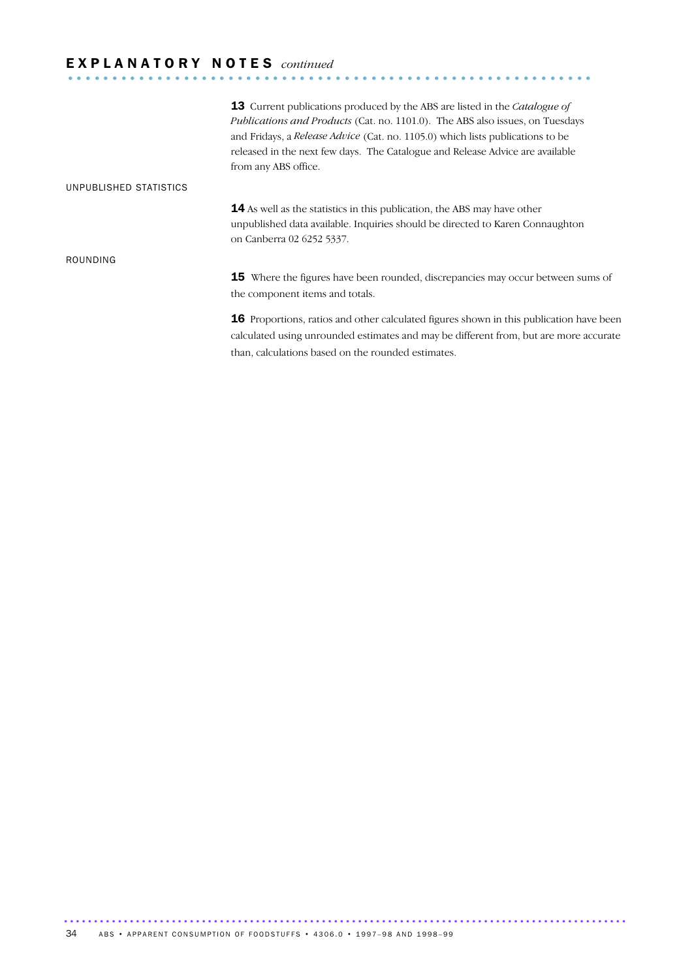# E X P L A N A T O R Y N O T E S *continued* ...........................................................

|                        | <b>13</b> Current publications produced by the ABS are listed in the <i>Catalogue of</i><br>Publications and Products (Cat. no. 1101.0). The ABS also issues, on Tuesdays<br>and Fridays, a <i>Release Advice</i> (Cat. no. 1105.0) which lists publications to be<br>released in the next few days. The Catalogue and Release Advice are available<br>from any ABS office. |
|------------------------|-----------------------------------------------------------------------------------------------------------------------------------------------------------------------------------------------------------------------------------------------------------------------------------------------------------------------------------------------------------------------------|
| UNPUBLISHED STATISTICS |                                                                                                                                                                                                                                                                                                                                                                             |
|                        | <b>14</b> As well as the statistics in this publication, the ABS may have other<br>unpublished data available. Inquiries should be directed to Karen Connaughton<br>on Canberra 02 6252 5337.                                                                                                                                                                               |
| ROUNDING               |                                                                                                                                                                                                                                                                                                                                                                             |
|                        | <b>15</b> Where the figures have been rounded, discrepancies may occur between sums of<br>the component items and totals.                                                                                                                                                                                                                                                   |
|                        | $\bm{4}\bm{E}$ . There is a contracted with the substituted $\bm{e}$ and the set of the substantial decomposition.                                                                                                                                                                                                                                                          |

16 Proportions, ratios and other calculated figures shown in this publication have been calculated using unrounded estimates and may be different from, but are more accurate than, calculations based on the rounded estimates.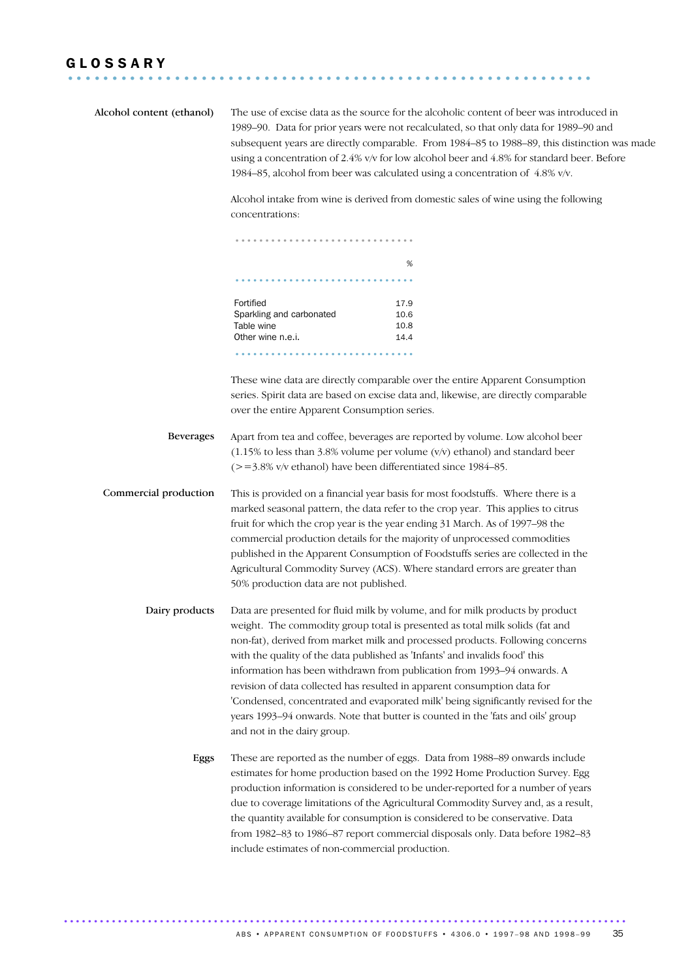### G L O S S A R Y ...........................................................

| Alcohol content (ethanol) | concentrations:                                                                                            | The use of excise data as the source for the alcoholic content of beer was introduced in<br>1989–90. Data for prior years were not recalculated, so that only data for 1989–90 and<br>subsequent years are directly comparable. From 1984-85 to 1988-89, this distinction was made<br>using a concentration of 2.4% v/v for low alcohol beer and 4.8% for standard beer. Before<br>1984-85, alcohol from beer was calculated using a concentration of 4.8% v/v.<br>Alcohol intake from wine is derived from domestic sales of wine using the following                        |
|---------------------------|------------------------------------------------------------------------------------------------------------|-------------------------------------------------------------------------------------------------------------------------------------------------------------------------------------------------------------------------------------------------------------------------------------------------------------------------------------------------------------------------------------------------------------------------------------------------------------------------------------------------------------------------------------------------------------------------------|
|                           |                                                                                                            |                                                                                                                                                                                                                                                                                                                                                                                                                                                                                                                                                                               |
|                           |                                                                                                            | %                                                                                                                                                                                                                                                                                                                                                                                                                                                                                                                                                                             |
|                           |                                                                                                            |                                                                                                                                                                                                                                                                                                                                                                                                                                                                                                                                                                               |
|                           | Fortified<br>Sparkling and carbonated<br>Table wine<br>Other wine n.e.i.                                   | 17.9<br>10.6<br>10.8<br>14.4                                                                                                                                                                                                                                                                                                                                                                                                                                                                                                                                                  |
|                           | over the entire Apparent Consumption series.                                                               | These wine data are directly comparable over the entire Apparent Consumption<br>series. Spirit data are based on excise data and, likewise, are directly comparable                                                                                                                                                                                                                                                                                                                                                                                                           |
| <b>Beverages</b>          | $(>=3.8\%$ v/v ethanol) have been differentiated since 1984–85.                                            | Apart from tea and coffee, beverages are reported by volume. Low alcohol beer<br>$(1.15\%$ to less than 3.8% volume per volume $(v/v)$ ethanol) and standard beer                                                                                                                                                                                                                                                                                                                                                                                                             |
| Commercial production     | 50% production data are not published.                                                                     | This is provided on a financial year basis for most foodstuffs. Where there is a<br>marked seasonal pattern, the data refer to the crop year. This applies to citrus<br>fruit for which the crop year is the year ending 31 March. As of 1997-98 the<br>commercial production details for the majority of unprocessed commodities<br>published in the Apparent Consumption of Foodstuffs series are collected in the<br>Agricultural Commodity Survey (ACS). Where standard errors are greater than                                                                           |
| Dairy products            | with the quality of the data published as 'Infants' and invalids food' this<br>and not in the dairy group. | Data are presented for fluid milk by volume, and for milk products by product<br>weight. The commodity group total is presented as total milk solids (fat and<br>non-fat), derived from market milk and processed products. Following concerns<br>information has been withdrawn from publication from 1993-94 onwards. A<br>revision of data collected has resulted in apparent consumption data for<br>'Condensed, concentrated and evaporated milk' being significantly revised for the<br>years 1993-94 onwards. Note that butter is counted in the 'fats and oils' group |
| Eggs                      | include estimates of non-commercial production.                                                            | These are reported as the number of eggs. Data from 1988-89 onwards include<br>estimates for home production based on the 1992 Home Production Survey. Egg<br>production information is considered to be under-reported for a number of years<br>due to coverage limitations of the Agricultural Commodity Survey and, as a result,<br>the quantity available for consumption is considered to be conservative. Data<br>from 1982-83 to 1986-87 report commercial disposals only. Data before 1982-83                                                                         |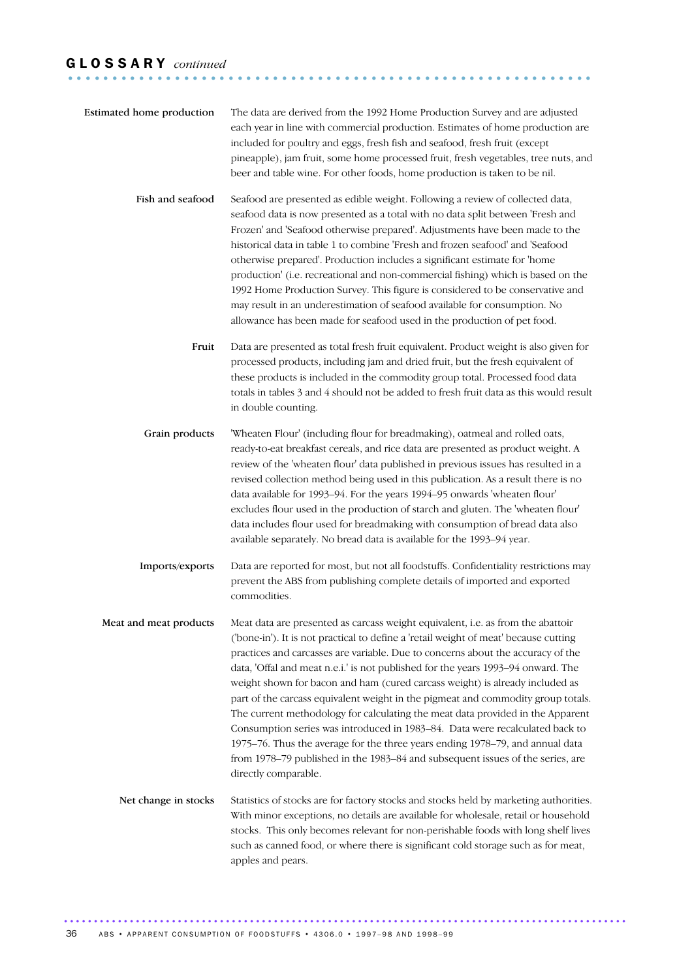### G L O S S A R Y *continued* ...........................................................

| Estimated home production | The data are derived from the 1992 Home Production Survey and are adjusted<br>each year in line with commercial production. Estimates of home production are<br>included for poultry and eggs, fresh fish and seafood, fresh fruit (except<br>pineapple), jam fruit, some home processed fruit, fresh vegetables, tree nuts, and<br>beer and table wine. For other foods, home production is taken to be nil.                                                                                                                                                                                                                                                                                                                                                                                                                                                                   |
|---------------------------|---------------------------------------------------------------------------------------------------------------------------------------------------------------------------------------------------------------------------------------------------------------------------------------------------------------------------------------------------------------------------------------------------------------------------------------------------------------------------------------------------------------------------------------------------------------------------------------------------------------------------------------------------------------------------------------------------------------------------------------------------------------------------------------------------------------------------------------------------------------------------------|
| Fish and seafood          | Seafood are presented as edible weight. Following a review of collected data,<br>seafood data is now presented as a total with no data split between 'Fresh and<br>Frozen' and 'Seafood otherwise prepared'. Adjustments have been made to the<br>historical data in table 1 to combine 'Fresh and frozen seafood' and 'Seafood<br>otherwise prepared'. Production includes a significant estimate for 'home<br>production' (i.e. recreational and non-commercial fishing) which is based on the<br>1992 Home Production Survey. This figure is considered to be conservative and<br>may result in an underestimation of seafood available for consumption. No<br>allowance has been made for seafood used in the production of pet food.                                                                                                                                       |
| Fruit                     | Data are presented as total fresh fruit equivalent. Product weight is also given for<br>processed products, including jam and dried fruit, but the fresh equivalent of<br>these products is included in the commodity group total. Processed food data<br>totals in tables 3 and 4 should not be added to fresh fruit data as this would result<br>in double counting.                                                                                                                                                                                                                                                                                                                                                                                                                                                                                                          |
| Grain products            | 'Wheaten Flour' (including flour for breadmaking), oatmeal and rolled oats,<br>ready-to-eat breakfast cereals, and rice data are presented as product weight. A<br>review of the 'wheaten flour' data published in previous issues has resulted in a<br>revised collection method being used in this publication. As a result there is no<br>data available for 1993-94. For the years 1994-95 onwards 'wheaten flour'<br>excludes flour used in the production of starch and gluten. The 'wheaten flour'<br>data includes flour used for breadmaking with consumption of bread data also<br>available separately. No bread data is available for the 1993-94 year.                                                                                                                                                                                                             |
| Imports/exports           | Data are reported for most, but not all foodstuffs. Confidentiality restrictions may<br>prevent the ABS from publishing complete details of imported and exported<br>commodities.                                                                                                                                                                                                                                                                                                                                                                                                                                                                                                                                                                                                                                                                                               |
| Meat and meat products    | Meat data are presented as carcass weight equivalent, i.e. as from the abattoir<br>('bone-in'). It is not practical to define a 'retail weight of meat' because cutting<br>practices and carcasses are variable. Due to concerns about the accuracy of the<br>data, 'Offal and meat n.e.i.' is not published for the years 1993-94 onward. The<br>weight shown for bacon and ham (cured carcass weight) is already included as<br>part of the carcass equivalent weight in the pigmeat and commodity group totals.<br>The current methodology for calculating the meat data provided in the Apparent<br>Consumption series was introduced in 1983-84. Data were recalculated back to<br>1975-76. Thus the average for the three years ending 1978-79, and annual data<br>from 1978-79 published in the 1983-84 and subsequent issues of the series, are<br>directly comparable. |
| Net change in stocks      | Statistics of stocks are for factory stocks and stocks held by marketing authorities.<br>With minor exceptions, no details are available for wholesale, retail or household<br>stocks. This only becomes relevant for non-perishable foods with long shelf lives<br>such as canned food, or where there is significant cold storage such as for meat,<br>apples and pears.                                                                                                                                                                                                                                                                                                                                                                                                                                                                                                      |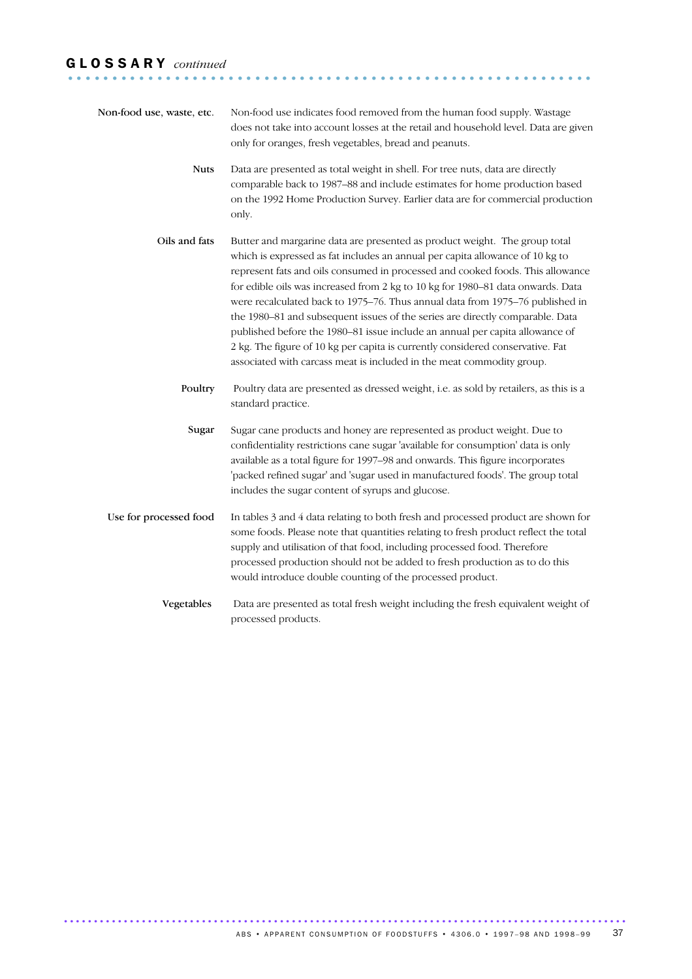### G L O S S A R Y *continued* ...........................................................

| Non-food use, waste, etc. | Non-food use indicates food removed from the human food supply. Wastage<br>does not take into account losses at the retail and household level. Data are given<br>only for oranges, fresh vegetables, bread and peanuts.                                                                                                                                                                                                                                                                                                                                                                                                                                                                                                                      |
|---------------------------|-----------------------------------------------------------------------------------------------------------------------------------------------------------------------------------------------------------------------------------------------------------------------------------------------------------------------------------------------------------------------------------------------------------------------------------------------------------------------------------------------------------------------------------------------------------------------------------------------------------------------------------------------------------------------------------------------------------------------------------------------|
| <b>Nuts</b>               | Data are presented as total weight in shell. For tree nuts, data are directly<br>comparable back to 1987-88 and include estimates for home production based<br>on the 1992 Home Production Survey. Earlier data are for commercial production<br>only.                                                                                                                                                                                                                                                                                                                                                                                                                                                                                        |
| Oils and fats             | Butter and margarine data are presented as product weight. The group total<br>which is expressed as fat includes an annual per capita allowance of 10 kg to<br>represent fats and oils consumed in processed and cooked foods. This allowance<br>for edible oils was increased from 2 kg to 10 kg for 1980-81 data onwards. Data<br>were recalculated back to 1975-76. Thus annual data from 1975-76 published in<br>the 1980-81 and subsequent issues of the series are directly comparable. Data<br>published before the 1980-81 issue include an annual per capita allowance of<br>2 kg. The figure of 10 kg per capita is currently considered conservative. Fat<br>associated with carcass meat is included in the meat commodity group. |
| Poultry                   | Poultry data are presented as dressed weight, i.e. as sold by retailers, as this is a<br>standard practice.                                                                                                                                                                                                                                                                                                                                                                                                                                                                                                                                                                                                                                   |
| Sugar                     | Sugar cane products and honey are represented as product weight. Due to<br>confidentiality restrictions cane sugar 'available for consumption' data is only<br>available as a total figure for 1997-98 and onwards. This figure incorporates<br>'packed refined sugar' and 'sugar used in manufactured foods'. The group total<br>includes the sugar content of syrups and glucose.                                                                                                                                                                                                                                                                                                                                                           |
| Use for processed food    | In tables 3 and 4 data relating to both fresh and processed product are shown for<br>some foods. Please note that quantities relating to fresh product reflect the total<br>supply and utilisation of that food, including processed food. Therefore<br>processed production should not be added to fresh production as to do this<br>would introduce double counting of the processed product.                                                                                                                                                                                                                                                                                                                                               |
| Vegetables                | Data are presented as total fresh weight including the fresh equivalent weight of<br>processed products.                                                                                                                                                                                                                                                                                                                                                                                                                                                                                                                                                                                                                                      |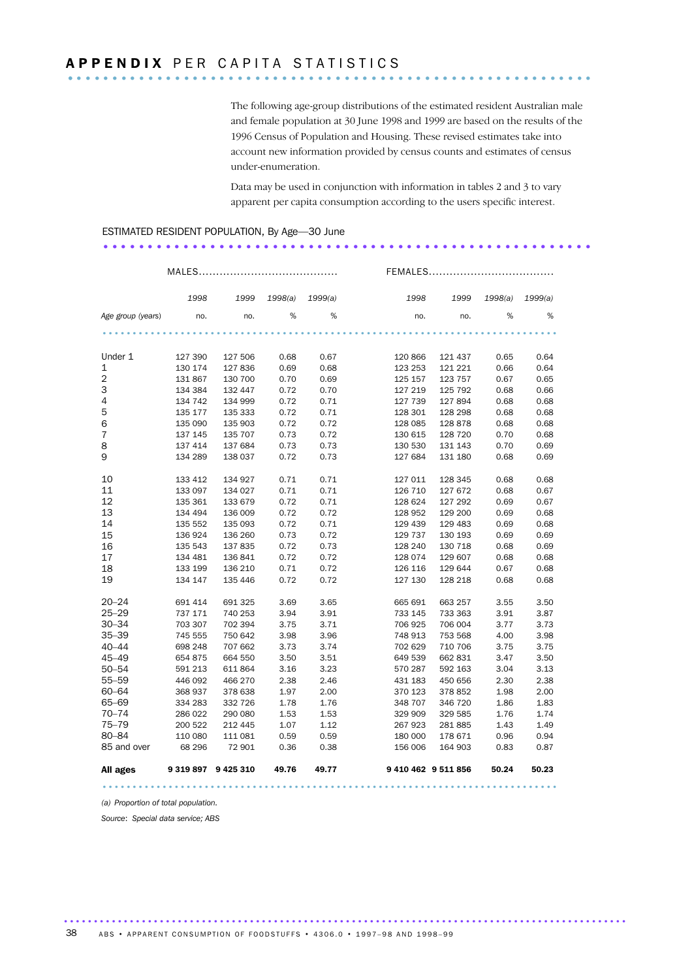The following age-group distributions of the estimated resident Australian male and female population at 30 June 1998 and 1999 are based on the results of the 1996 Census of Population and Housing. These revised estimates take into account new information provided by census counts and estimates of census under-enumeration.

Data may be used in conjunction with information in tables 2 and 3 to vary apparent per capita consumption according to the users specific interest.

.......................................................

### ESTIMATED RESIDENT POPULATION, By Age—30 June

|                   |                     |         |       |                 |         | FEMALES             |         |         |
|-------------------|---------------------|---------|-------|-----------------|---------|---------------------|---------|---------|
|                   | 1998                | 1999    |       | 1998(a) 1999(a) | 1998    | 1999                | 1998(a) | 1999(a) |
| Age group (years) | no.                 | no.     | %     | %               | no.     | no.                 | %       | %       |
|                   |                     |         |       |                 |         |                     |         |         |
| Under 1           | 127 390             | 127 506 | 0.68  | 0.67            | 120 866 | 121 437             | 0.65    | 0.64    |
| $\mathbf 1$       | 130 174             | 127 836 | 0.69  | 0.68            | 123 253 | 121 221             | 0.66    | 0.64    |
| $\mathbf 2$       | 131 867             | 130 700 | 0.70  | 0.69            | 125 157 | 123 757             | 0.67    | 0.65    |
| 3                 | 134 384             | 132 447 | 0.72  | 0.70            | 127 219 | 125 792             | 0.68    | 0.66    |
| 4                 | 134 742             | 134 999 | 0.72  | 0.71            | 127 739 | 127 894             | 0.68    | 0.68    |
| 5                 | 135 177             | 135 333 | 0.72  | 0.71            | 128 301 | 128 298             | 0.68    | 0.68    |
| 6                 | 135 090             | 135 903 | 0.72  | 0.72            | 128 085 | 128 878             | 0.68    | 0.68    |
| $\boldsymbol{7}$  | 137 145             | 135 707 | 0.73  | 0.72            | 130 615 | 128 720             | 0.70    | 0.68    |
| 8                 | 137 414             | 137 684 | 0.73  | 0.73            | 130 530 | 131 143             | 0.70    | 0.69    |
| 9                 | 134 289             | 138 037 | 0.72  | 0.73            | 127 684 | 131 180             | 0.68    | 0.69    |
| 10                | 133 412             | 134 927 | 0.71  | 0.71            | 127 011 | 128 345             | 0.68    | 0.68    |
| 11                | 133 097             | 134 027 | 0.71  | 0.71            | 126 710 | 127 672             | 0.68    | 0.67    |
| 12                | 135 361             | 133 679 | 0.72  | 0.71            | 128 624 | 127 292             | 0.69    | 0.67    |
| 13                | 134 494             | 136 009 | 0.72  | 0.72            | 128 952 | 129 200             | 0.69    | 0.68    |
| 14                | 135 552             | 135 093 | 0.72  | 0.71            | 129 439 | 129 483             | 0.69    | 0.68    |
| 15                | 136 924             | 136 260 | 0.73  | 0.72            | 129 737 | 130 193             | 0.69    | 0.69    |
| 16                | 135 543             | 137 835 | 0.72  | 0.73            | 128 240 | 130 718             | 0.68    | 0.69    |
| 17                | 134 481             | 136 841 | 0.72  | 0.72            | 128 074 | 129 607             | 0.68    | 0.68    |
| 18                | 133 199             | 136 210 | 0.71  | 0.72            | 126 116 | 129 644             | 0.67    | 0.68    |
| 19                | 134 147             | 135 446 | 0.72  | 0.72            | 127 130 | 128 218             | 0.68    | 0.68    |
| $20 - 24$         | 691 414             | 691 325 | 3.69  | 3.65            | 665 691 | 663 257             | 3.55    | 3.50    |
| $25 - 29$         | 737 171             | 740 253 | 3.94  | 3.91            | 733 145 | 733 363             | 3.91    | 3.87    |
| $30 - 34$         | 703 307             | 702 394 | 3.75  | 3.71            | 706 925 | 706 004             | 3.77    | 3.73    |
| $35 - 39$         | 745 555             | 750 642 | 3.98  | 3.96            | 748 913 | 753 568             | 4.00    | 3.98    |
| $40 - 44$         | 698 248             | 707 662 | 3.73  | 3.74            | 702 629 | 710 706             | 3.75    | 3.75    |
| 45–49             | 654 875             | 664 550 | 3.50  | 3.51            | 649 539 | 662 831             | 3.47    | 3.50    |
| $50 - 54$         | 591 213             | 611 864 | 3.16  | 3.23            | 570 287 | 592 163             | 3.04    | 3.13    |
| 55-59             | 446 092             | 466 270 | 2.38  | 2.46            | 431 183 | 450 656             | 2.30    | 2.38    |
| $60 - 64$         | 368 937             | 378 638 | 1.97  | 2.00            | 370 123 | 378 852             | 1.98    | 2.00    |
| 65-69             | 334 283             | 332 726 | 1.78  | 1.76            | 348 707 | 346 720             | 1.86    | 1.83    |
| $70 - 74$         | 286 022             | 290 080 | 1.53  | 1.53            | 329 909 | 329 585             | 1.76    | 1.74    |
| $75 - 79$         | 200 522             | 212 445 | 1.07  | 1.12            | 267 923 | 281 885             | 1.43    | 1.49    |
| $80 - 84$         | 110 080             | 111 081 | 0.59  | 0.59            | 180 000 | 178 671             | 0.96    | 0.94    |
| 85 and over       | 68 296              | 72 901  | 0.36  | 0.38            | 156 006 | 164 903             | 0.83    | 0.87    |
| All ages          | 9 319 897 9 425 310 |         | 49.76 | 49.77           |         | 9 410 462 9 511 856 | 50.24   | 50.23   |

............................................................................

*(a) Proportion of total population.*

*Source*: *Special data service; ABS*